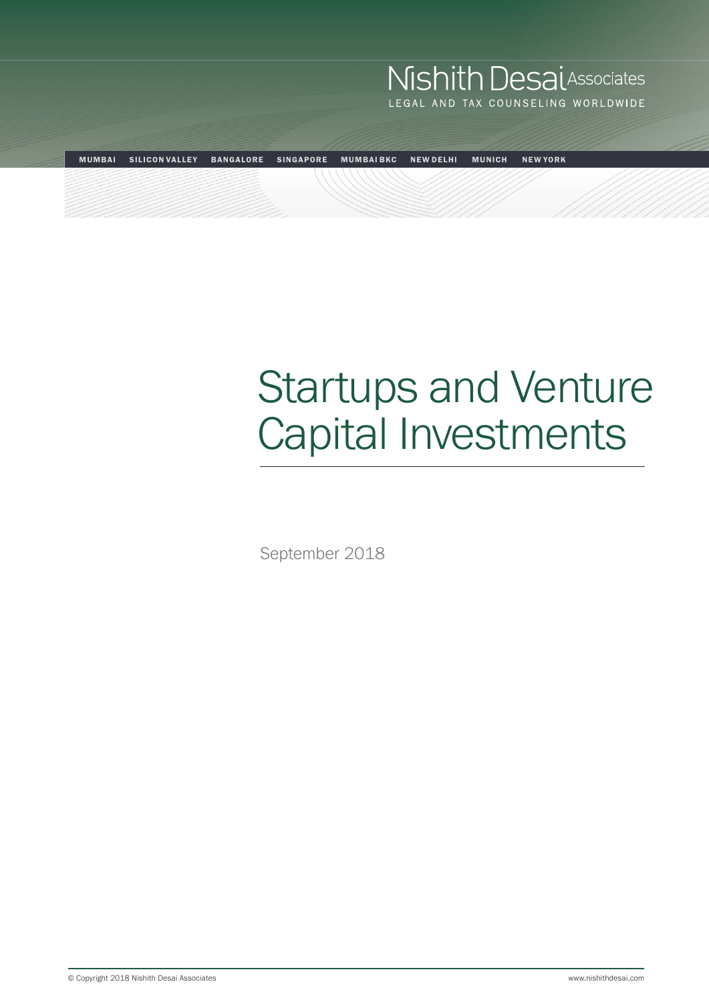# **Nishith Desai**Associates LEGAL AND TAX COUNSELING WORLDWIDE MUMBAI SILICON VALLEY BANGALORE SINGAPORE MUMBAI BKC NEW DELHI MUNICH NEW YORK

# Startups and Venture Capital Investments

September 2018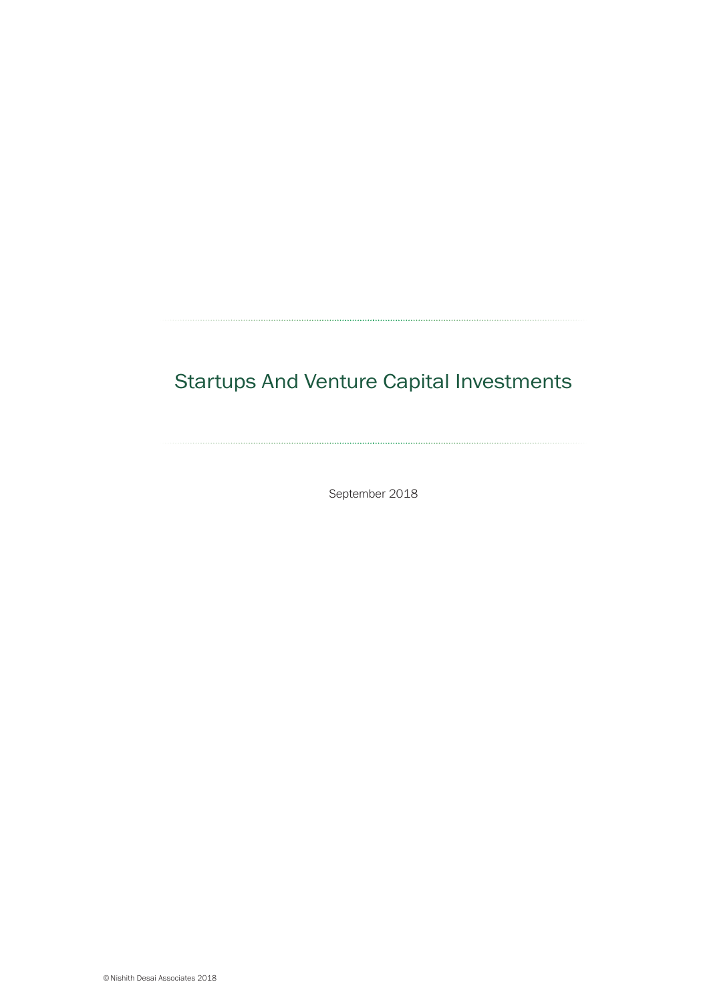## Startups And Venture Capital Investments

September 2018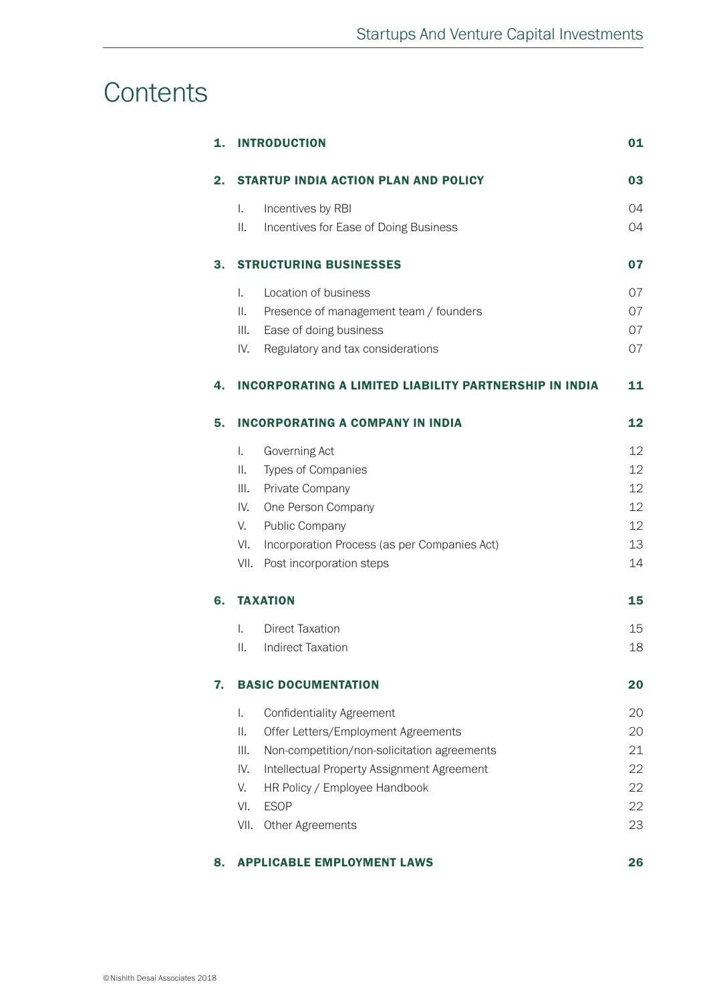## **Contents**

| 1. | <b>INTRODUCTION</b>                                           | 01 |  |
|----|---------------------------------------------------------------|----|--|
| 2. | <b>STARTUP INDIA ACTION PLAN AND POLICY</b>                   | 03 |  |
|    | $\mathbf{L}$<br>Incentives by RBI                             | 04 |  |
|    | ΙΙ.<br>Incentives for Ease of Doing Business                  | 04 |  |
| З. | <b>STRUCTURING BUSINESSES</b>                                 | 07 |  |
|    | Location of business<br>$\mathbf{L}$                          | 07 |  |
|    | Ⅱ.<br>Presence of management team / founders                  | 07 |  |
|    | III.<br>Ease of doing business                                | 07 |  |
|    | IV.<br>Regulatory and tax considerations                      | 07 |  |
| 4. | <b>INCORPORATING A LIMITED LIABILITY PARTNERSHIP IN INDIA</b> | 11 |  |
| 5. | <b>INCORPORATING A COMPANY IN INDIA</b>                       | 12 |  |
|    | $\mathbf{L}$<br>Governing Act                                 | 12 |  |
|    | Types of Companies<br>Ⅱ.                                      | 12 |  |
|    | III.<br>Private Company                                       | 12 |  |
|    | IV.<br>One Person Company                                     | 12 |  |
|    | V.<br>Public Company                                          | 12 |  |
|    | VI.<br>Incorporation Process (as per Companies Act)           | 13 |  |
|    | VII.<br>Post incorporation steps                              | 14 |  |
| 6. | <b>TAXATION</b>                                               | 15 |  |
|    | <b>Direct Taxation</b><br>$\mathbf{L}$                        | 15 |  |
|    | $\mathbb{I}$ .<br><b>Indirect Taxation</b>                    | 18 |  |
| 7. | <b>BASIC DOCUMENTATION</b>                                    |    |  |
|    | <b>Confidentiality Agreement</b><br>Ι.                        | 20 |  |
|    | ΙΙ.<br>Offer Letters/Employment Agreements                    | 20 |  |
|    | III.<br>Non-competition/non-solicitation agreements           | 21 |  |
|    | IV.<br>Intellectual Property Assignment Agreement             | 22 |  |
|    | V.<br>HR Policy / Employee Handbook                           | 22 |  |
|    | VI.<br><b>ESOP</b>                                            | 22 |  |
|    | VII.<br>Other Agreements                                      | 23 |  |
| 8. | <b>APPLICABLE EMPLOYMENT LAWS</b>                             | 26 |  |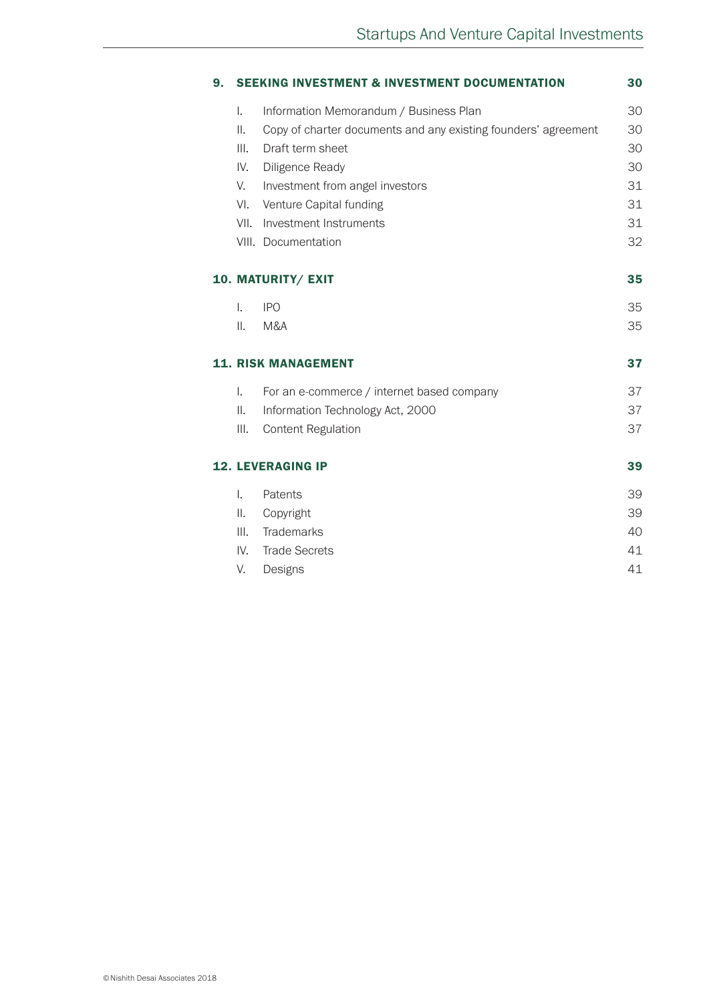|      | <b>SEEKING INVESTMENT &amp; INVESTMENT DOCUMENTATION</b>       | 30                   |
|------|----------------------------------------------------------------|----------------------|
| I.   | Information Memorandum / Business Plan                         | 30                   |
| ΙΙ.  | Copy of charter documents and any existing founders' agreement | 30                   |
| III. | Draft term sheet                                               | 30                   |
| IV.  | Diligence Ready                                                | 30                   |
| V.   | Investment from angel investors                                | 31                   |
| VI.  | Venture Capital funding                                        | 31                   |
| VII. | Investment Instruments                                         | 31                   |
|      | VIII. Documentation                                            | 32                   |
|      | 10. MATURITY/ EXIT                                             | 35                   |
| T.   | <b>IPO</b>                                                     | 35                   |
| ΙΙ.  | M&A                                                            | 35                   |
|      | <b>11. RISK MANAGEMENT</b>                                     | 37                   |
|      |                                                                |                      |
| I.   | For an e-commerce / internet based company                     | 37                   |
| Ш.   | Information Technology Act, 2000                               | 37                   |
| III. | <b>Content Regulation</b>                                      |                      |
|      | <b>12. LEVERAGING IP</b>                                       |                      |
| L.   | Patents                                                        |                      |
| Ш.   | Copyright                                                      | 37<br>39<br>39<br>39 |
| III. | Trademarks                                                     |                      |
| IV.  | <b>Trade Secrets</b>                                           | 40<br>41             |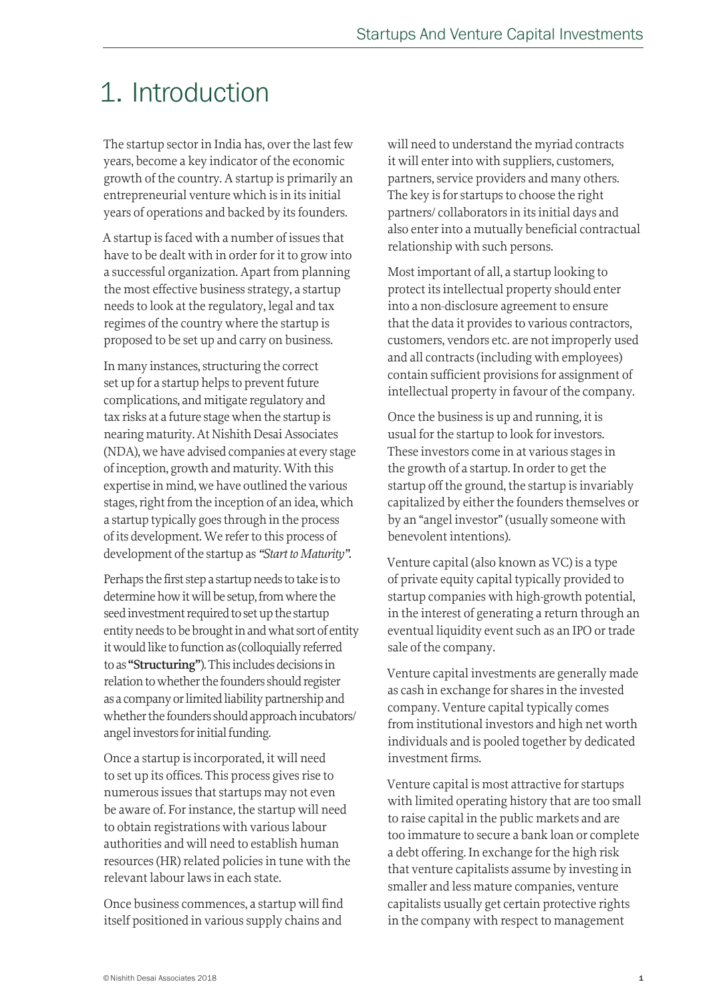## 1. Introduction

The startup sector in India has, over the last few years, become a key indicator of the economic growth of the country. A startup is primarily an entrepreneurial venture which is in its initial years of operations and backed by its founders.

A startup is faced with a number of issues that have to be dealt with in order for it to grow into a successful organization. Apart from planning the most effective business strategy, a startup needs to look at the regulatory, legal and tax regimes of the country where the startup is proposed to be set up and carry on business.

In many instances, structuring the correct set up for a startup helps to prevent future complications, and mitigate regulatory and tax risks at a future stage when the startup is nearing maturity. At Nishith Desai Associates (NDA), we have advised companies at every stage of inception, growth and maturity. With this expertise in mind, we have outlined the various stages, right from the inception of an idea, which a startup typically goes through in the process of its development. We refer to this process of development of the startup as *"Start to Maturity".*

Perhaps the first step a startup needs to take is to determine how it will be setup, from where the seed investment required to set up the startup entity needs to be brought in and what sort of entity it would like to function as (colloquially referred to as **"Structuring"**). This includes decisions in relation to whether the founders should register as a company or limited liability partnership and whether the founders should approach incubators/ angel investors for initial funding.

Once a startup is incorporated, it will need to set up its offices. This process gives rise to numerous issues that startups may not even be aware of. For instance, the startup will need to obtain registrations with various labour authorities and will need to establish human resources (HR) related policies in tune with the relevant labour laws in each state.

Once business commences, a startup will find itself positioned in various supply chains and

will need to understand the myriad contracts it will enter into with suppliers, customers, partners, service providers and many others. The key is for startups to choose the right partners/ collaborators in its initial days and also enter into a mutually beneficial contractual relationship with such persons.

Most important of all, a startup looking to protect its intellectual property should enter into a non-disclosure agreement to ensure that the data it provides to various contractors, customers, vendors etc. are not improperly used and all contracts (including with employees) contain sufficient provisions for assignment of intellectual property in favour of the company.

Once the business is up and running, it is usual for the startup to look for investors. These investors come in at various stages in the growth of a startup. In order to get the startup off the ground, the startup is invariably capitalized by either the founders themselves or by an "angel investor" (usually someone with benevolent intentions).

Venture capital (also known as VC) is a type of private equity capital typically provided to startup companies with high-growth potential, in the interest of generating a return through an eventual liquidity event such as an IPO or trade sale of the company.

Venture capital investments are generally made as cash in exchange for shares in the invested company. Venture capital typically comes from institutional investors and high net worth individuals and is pooled together by dedicated investment firms.

Venture capital is most attractive for startups with limited operating history that are too small to raise capital in the public markets and are too immature to secure a bank loan or complete a debt offering. In exchange for the high risk that venture capitalists assume by investing in smaller and less mature companies, venture capitalists usually get certain protective rights in the company with respect to management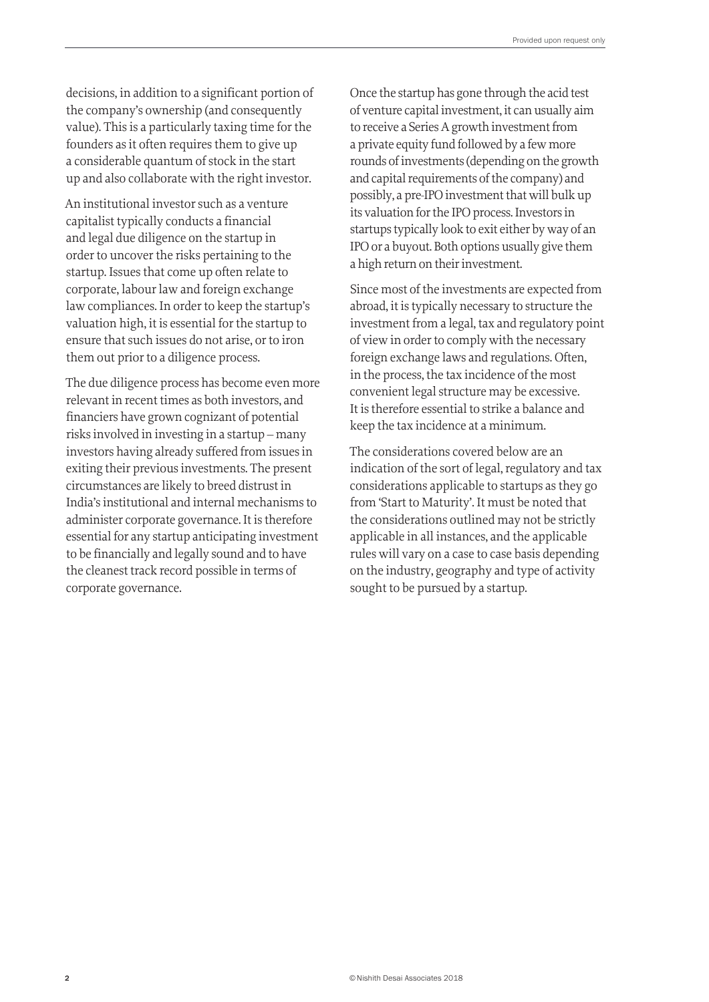decisions, in addition to a significant portion of the company's ownership (and consequently value). This is a particularly taxing time for the founders as it often requires them to give up a considerable quantum of stock in the start up and also collaborate with the right investor.

An institutional investor such as a venture capitalist typically conducts a financial and legal due diligence on the startup in order to uncover the risks pertaining to the startup. Issues that come up often relate to corporate, labour law and foreign exchange law compliances. In order to keep the startup's valuation high, it is essential for the startup to ensure that such issues do not arise, or to iron them out prior to a diligence process.

The due diligence process has become even more relevant in recent times as both investors, and financiers have grown cognizant of potential risks involved in investing in a startup – many investors having already suffered from issues in exiting their previous investments. The present circumstances are likely to breed distrust in India's institutional and internal mechanisms to administer corporate governance. It is therefore essential for any startup anticipating investment to be financially and legally sound and to have the cleanest track record possible in terms of corporate governance.

Once the startup has gone through the acid test of venture capital investment, it can usually aim to receive a Series A growth investment from a private equity fund followed by a few more rounds of investments (depending on the growth and capital requirements of the company) and possibly, a pre-IPO investment that will bulk up its valuation for the IPO process. Investors in startups typically look to exit either by way of an IPO or a buyout. Both options usually give them a high return on their investment.

Since most of the investments are expected from abroad, it is typically necessary to structure the investment from a legal, tax and regulatory point of view in order to comply with the necessary foreign exchange laws and regulations. Often, in the process, the tax incidence of the most convenient legal structure may be excessive. It is therefore essential to strike a balance and keep the tax incidence at a minimum.

The considerations covered below are an indication of the sort of legal, regulatory and tax considerations applicable to startups as they go from 'Start to Maturity'. It must be noted that the considerations outlined may not be strictly applicable in all instances, and the applicable rules will vary on a case to case basis depending on the industry, geography and type of activity sought to be pursued by a startup.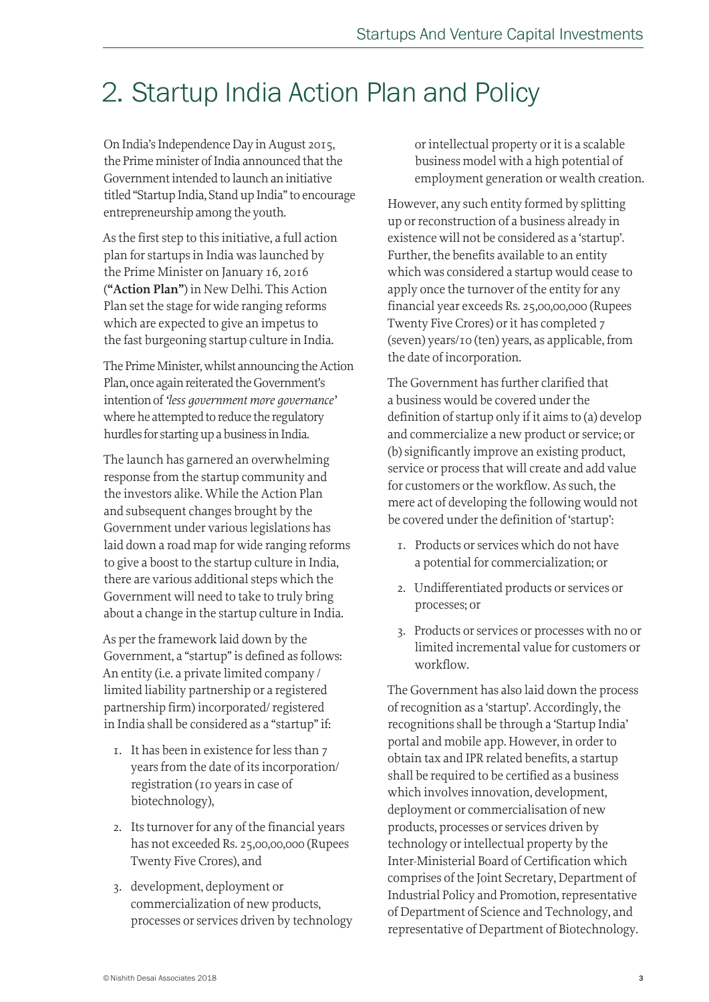## 2. Startup India Action Plan and Policy

On India's Independence Day in August 2015, the Prime minister of India announced that the Government intended to launch an initiative titled "Startup India, Stand up India" to encourage entrepreneurship among the youth.

As the first step to this initiative, a full action plan for startups in India was launched by the Prime Minister on January 16, 2016 (**"Action Plan"**) in New Delhi. This Action Plan set the stage for wide ranging reforms which are expected to give an impetus to the fast burgeoning startup culture in India.

The Prime Minister, whilst announcing the Action Plan, once again reiterated the Government's intention of *'less government more governance'*  where he attempted to reduce the regulatory hurdles for starting up a business in India.

The launch has garnered an overwhelming response from the startup community and the investors alike. While the Action Plan and subsequent changes brought by the Government under various legislations has laid down a road map for wide ranging reforms to give a boost to the startup culture in India, there are various additional steps which the Government will need to take to truly bring about a change in the startup culture in India.

As per the framework laid down by the Government, a "startup" is defined as follows: An entity (i.e. a private limited company / limited liability partnership or a registered partnership firm) incorporated/ registered in India shall be considered as a "startup" if:

- 1. It has been in existence for less than 7 years from the date of its incorporation/ registration (10 years in case of biotechnology),
- 2. Its turnover for any of the financial years has not exceeded Rs. 25,00,00,000 (Rupees Twenty Five Crores), and
- 3. development, deployment or commercialization of new products, processes or services driven by technology

or intellectual property or it is a scalable business model with a high potential of employment generation or wealth creation.

However, any such entity formed by splitting up or reconstruction of a business already in existence will not be considered as a 'startup'. Further, the benefits available to an entity which was considered a startup would cease to apply once the turnover of the entity for any financial year exceeds Rs. 25,00,00,000 (Rupees Twenty Five Crores) or it has completed 7 (seven) years/10 (ten) years, as applicable, from the date of incorporation.

The Government has further clarified that a business would be covered under the definition of startup only if it aims to (a) develop and commercialize a new product or service; or (b) significantly improve an existing product, service or process that will create and add value for customers or the workflow. As such, the mere act of developing the following would not be covered under the definition of 'startup':

- 1. Products or services which do not have a potential for commercialization; or
- 2. Undifferentiated products or services or processes; or
- 3. Products or services or processes with no or limited incremental value for customers or workflow.

The Government has also laid down the process of recognition as a 'startup'. Accordingly, the recognitions shall be through a 'Startup India' portal and mobile app. However, in order to obtain tax and IPR related benefits, a startup shall be required to be certified as a business which involves innovation, development, deployment or commercialisation of new products, processes or services driven by technology or intellectual property by the Inter-Ministerial Board of Certification which comprises of the Joint Secretary, Department of Industrial Policy and Promotion, representative of Department of Science and Technology, and representative of Department of Biotechnology.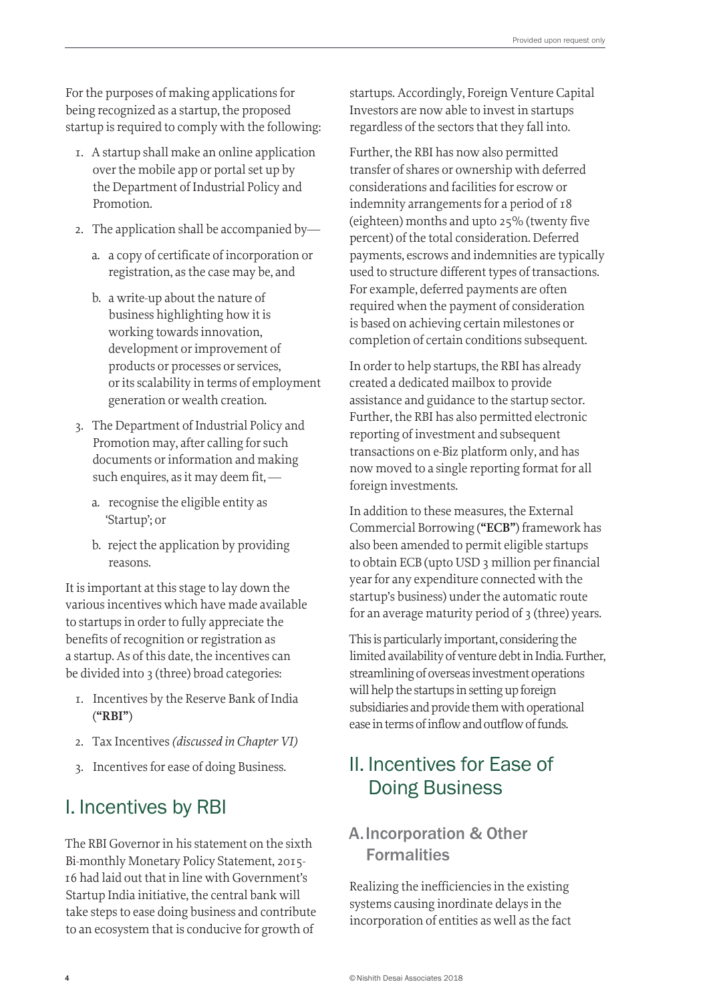For the purposes of making applications for being recognized as a startup, the proposed startup is required to comply with the following:

- 1. A startup shall make an online application over the mobile app or portal set up by the Department of Industrial Policy and Promotion.
- 2. The application shall be accompanied by
	- a. a copy of certificate of incorporation or registration, as the case may be, and
	- b. a write-up about the nature of business highlighting how it is working towards innovation, development or improvement of products or processes or services, or its scalability in terms of employment generation or wealth creation.
- 3. The Department of Industrial Policy and Promotion may, after calling for such documents or information and making such enquires, as it may deem fit,
	- a. recognise the eligible entity as 'Startup'; or
	- b. reject the application by providing reasons.

It is important at this stage to lay down the various incentives which have made available to startups in order to fully appreciate the benefits of recognition or registration as a startup. As of this date, the incentives can be divided into 3 (three) broad categories:

- 1. Incentives by the Reserve Bank of India (**"RBI"**)
- 2. Tax Incentives *(discussed in Chapter VI)*
- 3. Incentives for ease of doing Business.

## I. Incentives by RBI

The RBI Governor in his statement on the sixth Bi-monthly Monetary Policy Statement, 2015- 16 had laid out that in line with Government's Startup India initiative, the central bank will take steps to ease doing business and contribute to an ecosystem that is conducive for growth of

startups. Accordingly, Foreign Venture Capital Investors are now able to invest in startups regardless of the sectors that they fall into.

Further, the RBI has now also permitted transfer of shares or ownership with deferred considerations and facilities for escrow or indemnity arrangements for a period of 18 (eighteen) months and upto 25% (twenty five percent) of the total consideration. Deferred payments, escrows and indemnities are typically used to structure different types of transactions. For example, deferred payments are often required when the payment of consideration is based on achieving certain milestones or completion of certain conditions subsequent.

In order to help startups, the RBI has already created a dedicated mailbox to provide assistance and guidance to the startup sector. Further, the RBI has also permitted electronic reporting of investment and subsequent transactions on e-Biz platform only, and has now moved to a single reporting format for all foreign investments.

In addition to these measures, the External Commercial Borrowing (**"ECB"**) framework has also been amended to permit eligible startups to obtain ECB (upto USD 3 million per financial year for any expenditure connected with the startup's business) under the automatic route for an average maturity period of 3 (three) years.

This is particularly important, considering the limited availability of venture debt in India. Further, streamlining of overseas investment operations will help the startups in setting up foreign subsidiaries and provide them with operational ease in terms of inflow and outflow of funds.

## II. Incentives for Ease of Doing Business

### A. Incorporation & Other Formalities

Realizing the inefficiencies in the existing systems causing inordinate delays in the incorporation of entities as well as the fact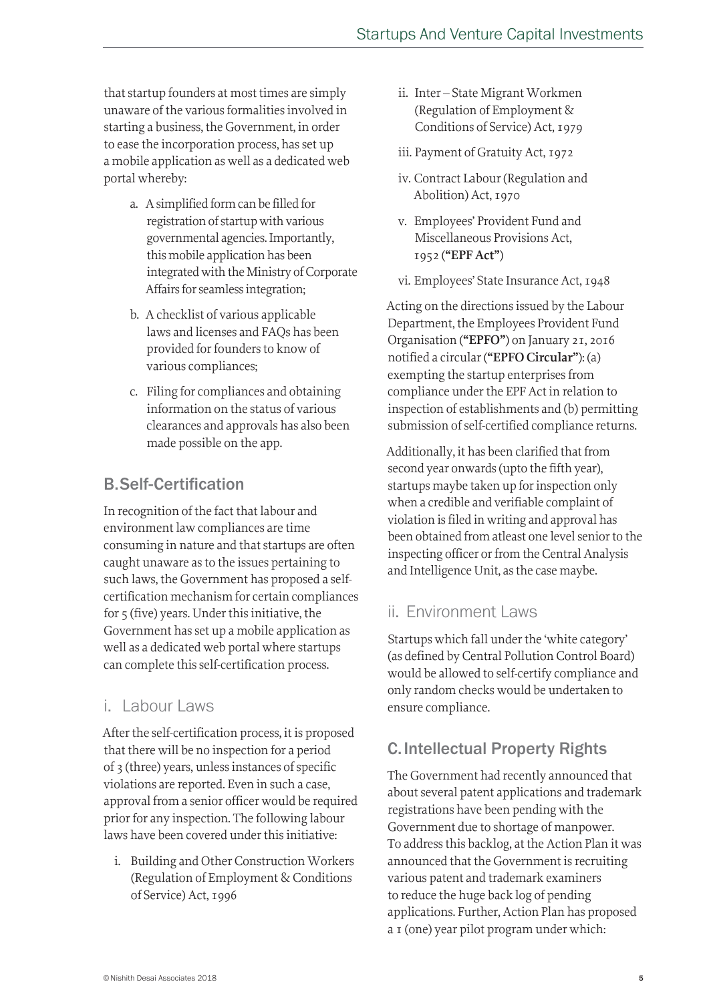that startup founders at most times are simply unaware of the various formalities involved in starting a business, the Government, in order to ease the incorporation process, has set up a mobile application as well as a dedicated web portal whereby:

- a. A simplified form can be filled for registration of startup with various governmental agencies. Importantly, this mobile application has been integrated with the Ministry of Corporate Affairs for seamless integration;
- b. A checklist of various applicable laws and licenses and FAQs has been provided for founders to know of various compliances;
- c. Filing for compliances and obtaining information on the status of various clearances and approvals has also been made possible on the app.

## B. Self-Certification

In recognition of the fact that labour and environment law compliances are time consuming in nature and that startups are often caught unaware as to the issues pertaining to such laws, the Government has proposed a selfcertification mechanism for certain compliances for 5 (five) years. Under this initiative, the Government has set up a mobile application as well as a dedicated web portal where startups can complete this self-certification process.

## i. Labour Laws

After the self-certification process, it is proposed that there will be no inspection for a period of 3 (three) years, unless instances of specific violations are reported. Even in such a case, approval from a senior officer would be required prior for any inspection. The following labour laws have been covered under this initiative:

i. Building and Other Construction Workers (Regulation of Employment & Conditions of Service) Act, 1996

- ii. Inter State Migrant Workmen (Regulation of Employment & Conditions of Service) Act, 1979
- iii. Payment of Gratuity Act, 1972
- iv. Contract Labour (Regulation and Abolition) Act, 1970
- v. Employees' Provident Fund and Miscellaneous Provisions Act, 1952 (**"EPF Act"**)
- vi. Employees' State Insurance Act, 1948

Acting on the directions issued by the Labour Department, the Employees Provident Fund Organisation (**"EPFO"**) on January 21, 2016 notified a circular (**"EPFO Circular"**): (a) exempting the startup enterprises from compliance under the EPF Act in relation to inspection of establishments and (b) permitting submission of self-certified compliance returns.

Additionally, it has been clarified that from second year onwards (upto the fifth year), startups maybe taken up for inspection only when a credible and verifiable complaint of violation is filed in writing and approval has been obtained from atleast one level senior to the inspecting officer or from the Central Analysis and Intelligence Unit, as the case maybe.

## ii. Environment Laws

Startups which fall under the 'white category' (as defined by Central Pollution Control Board) would be allowed to self-certify compliance and only random checks would be undertaken to ensure compliance.

## C. Intellectual Property Rights

The Government had recently announced that about several patent applications and trademark registrations have been pending with the Government due to shortage of manpower. To address this backlog, at the Action Plan it was announced that the Government is recruiting various patent and trademark examiners to reduce the huge back log of pending applications. Further, Action Plan has proposed a 1 (one) year pilot program under which: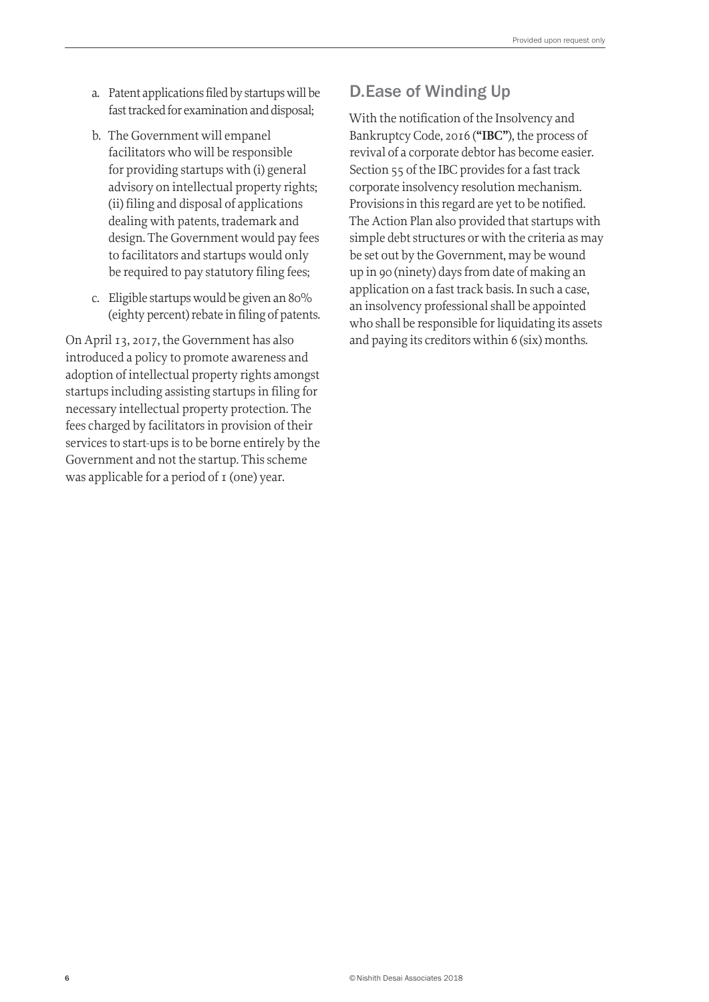- a. Patent applications filed by startups will be fast tracked for examination and disposal;
- b. The Government will empanel facilitators who will be responsible for providing startups with (i) general advisory on intellectual property rights; (ii) filing and disposal of applications dealing with patents, trademark and design. The Government would pay fees to facilitators and startups would only be required to pay statutory filing fees;
- c. Eligible startups would be given an 80% (eighty percent) rebate in filing of patents.

On April 13, 2017, the Government has also introduced a policy to promote awareness and adoption of intellectual property rights amongst startups including assisting startups in filing for necessary intellectual property protection. The fees charged by facilitators in provision of their services to start-ups is to be borne entirely by the Government and not the startup. This scheme was applicable for a period of 1 (one) year.

#### D. Ease of Winding Up

With the notification of the Insolvency and Bankruptcy Code, 2016 (**"IBC"**), the process of revival of a corporate debtor has become easier. Section 55 of the IBC provides for a fast track corporate insolvency resolution mechanism. Provisions in this regard are yet to be notified. The Action Plan also provided that startups with simple debt structures or with the criteria as may be set out by the Government, may be wound up in 90 (ninety) days from date of making an application on a fast track basis. In such a case, an insolvency professional shall be appointed who shall be responsible for liquidating its assets and paying its creditors within 6 (six) months.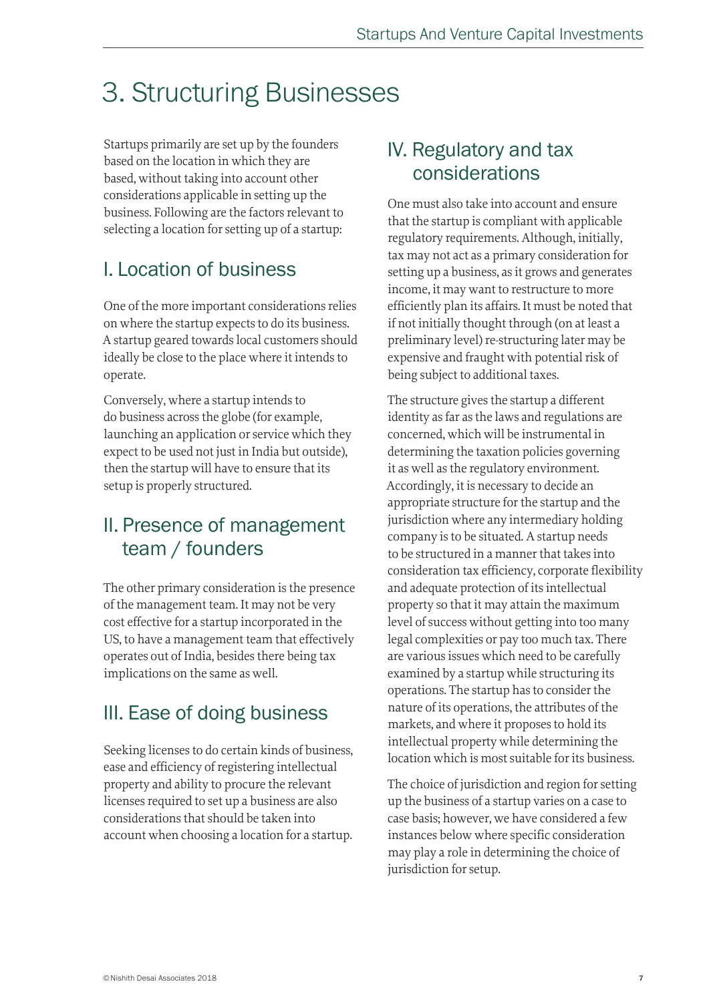## 3. Structuring Businesses

Startups primarily are set up by the founders based on the location in which they are based, without taking into account other considerations applicable in setting up the business. Following are the factors relevant to selecting a location for setting up of a startup:

## I. Location of business

One of the more important considerations relies on where the startup expects to do its business. A startup geared towards local customers should ideally be close to the place where it intends to operate.

Conversely, where a startup intends to do business across the globe (for example, launching an application or service which they expect to be used not just in India but outside), then the startup will have to ensure that its setup is properly structured.

## II. Presence of management team / founders

The other primary consideration is the presence of the management team. It may not be very cost effective for a startup incorporated in the US, to have a management team that effectively operates out of India, besides there being tax implications on the same as well.

## III. Ease of doing business

Seeking licenses to do certain kinds of business, ease and efficiency of registering intellectual property and ability to procure the relevant licenses required to set up a business are also considerations that should be taken into account when choosing a location for a startup.

## IV. Regulatory and tax considerations

One must also take into account and ensure that the startup is compliant with applicable regulatory requirements. Although, initially, tax may not act as a primary consideration for setting up a business, as it grows and generates income, it may want to restructure to more efficiently plan its affairs. It must be noted that if not initially thought through (on at least a preliminary level) re-structuring later may be expensive and fraught with potential risk of being subject to additional taxes.

The structure gives the startup a different identity as far as the laws and regulations are concerned, which will be instrumental in determining the taxation policies governing it as well as the regulatory environment. Accordingly, it is necessary to decide an appropriate structure for the startup and the jurisdiction where any intermediary holding company is to be situated. A startup needs to be structured in a manner that takes into consideration tax efficiency, corporate flexibility and adequate protection of its intellectual property so that it may attain the maximum level of success without getting into too many legal complexities or pay too much tax. There are various issues which need to be carefully examined by a startup while structuring its operations. The startup has to consider the nature of its operations, the attributes of the markets, and where it proposes to hold its intellectual property while determining the location which is most suitable for its business.

The choice of jurisdiction and region for setting up the business of a startup varies on a case to case basis; however, we have considered a few instances below where specific consideration may play a role in determining the choice of jurisdiction for setup.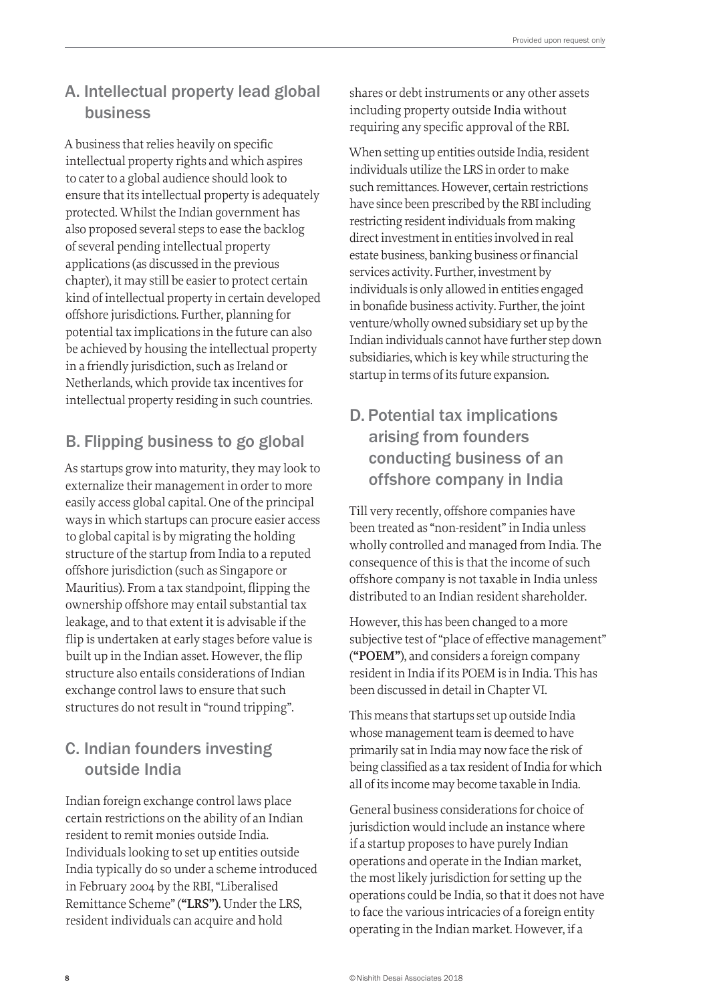## A. Intellectual property lead global business

A business that relies heavily on specific intellectual property rights and which aspires to cater to a global audience should look to ensure that its intellectual property is adequately protected. Whilst the Indian government has also proposed several steps to ease the backlog of several pending intellectual property applications (as discussed in the previous chapter), it may still be easier to protect certain kind of intellectual property in certain developed offshore jurisdictions. Further, planning for potential tax implications in the future can also be achieved by housing the intellectual property in a friendly jurisdiction, such as Ireland or Netherlands, which provide tax incentives for intellectual property residing in such countries.

## B. Flipping business to go global

As startups grow into maturity, they may look to externalize their management in order to more easily access global capital. One of the principal ways in which startups can procure easier access to global capital is by migrating the holding structure of the startup from India to a reputed offshore jurisdiction (such as Singapore or Mauritius). From a tax standpoint, flipping the ownership offshore may entail substantial tax leakage, and to that extent it is advisable if the flip is undertaken at early stages before value is built up in the Indian asset. However, the flip structure also entails considerations of Indian exchange control laws to ensure that such structures do not result in "round tripping".

### C. Indian founders investing outside India

Indian foreign exchange control laws place certain restrictions on the ability of an Indian resident to remit monies outside India. Individuals looking to set up entities outside India typically do so under a scheme introduced in February 2004 by the RBI, "Liberalised Remittance Scheme" (**"LRS")**. Under the LRS, resident individuals can acquire and hold

shares or debt instruments or any other assets including property outside India without requiring any specific approval of the RBI.

When setting up entities outside India, resident individuals utilize the LRS in order to make such remittances. However, certain restrictions have since been prescribed by the RBI including restricting resident individuals from making direct investment in entities involved in real estate business, banking business or financial services activity. Further, investment by individuals is only allowed in entities engaged in bonafide business activity. Further, the joint venture/wholly owned subsidiary set up by the Indian individuals cannot have further step down subsidiaries, which is key while structuring the startup in terms of its future expansion.

## D. Potential tax implications arising from founders conducting business of an offshore company in India

Till very recently, offshore companies have been treated as "non-resident" in India unless wholly controlled and managed from India. The consequence of this is that the income of such offshore company is not taxable in India unless distributed to an Indian resident shareholder.

However, this has been changed to a more subjective test of "place of effective management" (**"POEM"**), and considers a foreign company resident in India if its POEM is in India. This has been discussed in detail in Chapter VI.

This means that startups set up outside India whose management team is deemed to have primarily sat in India may now face the risk of being classified as a tax resident of India for which all of its income may become taxable in India.

General business considerations for choice of jurisdiction would include an instance where if a startup proposes to have purely Indian operations and operate in the Indian market, the most likely jurisdiction for setting up the operations could be India, so that it does not have to face the various intricacies of a foreign entity operating in the Indian market. However, if a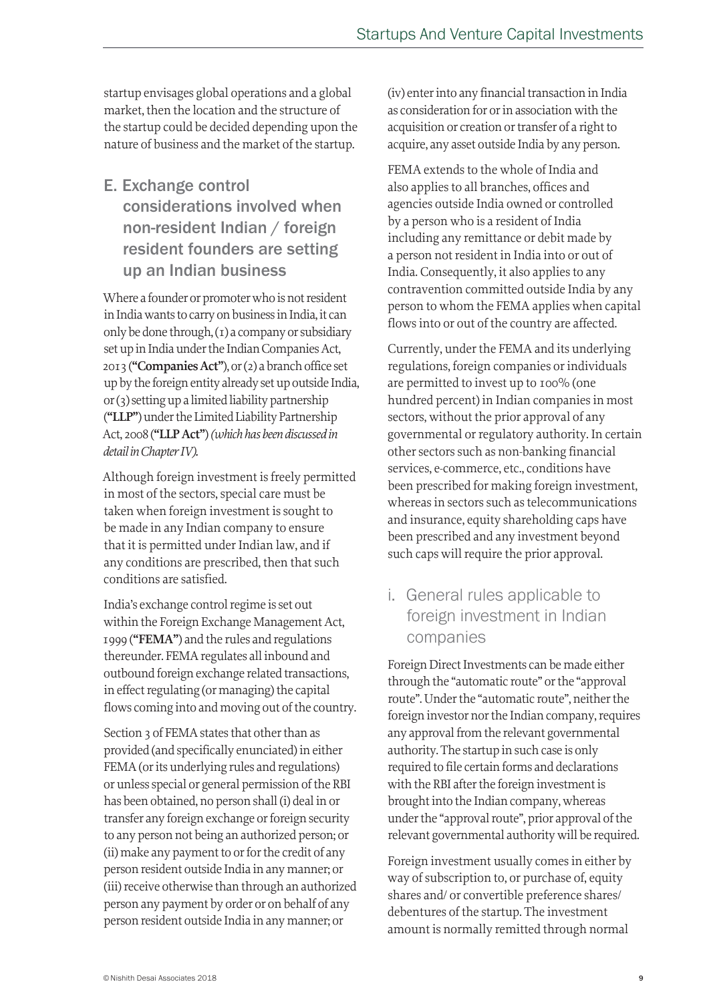startup envisages global operations and a global market, then the location and the structure of the startup could be decided depending upon the nature of business and the market of the startup.

## E. Exchange control considerations involved when non-resident Indian / foreign resident founders are setting up an Indian business

Where a founder or promoter who is not resident in India wants to carry on business in India, it can only be done through, (1) a company or subsidiary set up in India under the Indian Companies Act, 2013 (**"Companies Act"**), or (2) a branch office set up by the foreign entity already set up outside India, or (3) setting up a limited liability partnership (**"LLP"**) under the Limited Liability Partnership Act, 2008 (**"LLP Act"**) *(which has been discussed in detail in Chapter IV).*

Although foreign investment is freely permitted in most of the sectors, special care must be taken when foreign investment is sought to be made in any Indian company to ensure that it is permitted under Indian law, and if any conditions are prescribed, then that such conditions are satisfied.

India's exchange control regime is set out within the Foreign Exchange Management Act, 1999 (**"FEMA"**) and the rules and regulations thereunder. FEMA regulates all inbound and outbound foreign exchange related transactions, in effect regulating (or managing) the capital flows coming into and moving out of the country.

Section 3 of FEMA states that other than as provided (and specifically enunciated) in either FEMA (or its underlying rules and regulations) or unless special or general permission of the RBI has been obtained, no person shall (i) deal in or transfer any foreign exchange or foreign security to any person not being an authorized person; or (ii) make any payment to or for the credit of any person resident outside India in any manner; or (iii) receive otherwise than through an authorized person any payment by order or on behalf of any person resident outside India in any manner; or

(iv) enter into any financial transaction in India as consideration for or in association with the acquisition or creation or transfer of a right to acquire, any asset outside India by any person.

FEMA extends to the whole of India and also applies to all branches, offices and agencies outside India owned or controlled by a person who is a resident of India including any remittance or debit made by a person not resident in India into or out of India. Consequently, it also applies to any contravention committed outside India by any person to whom the FEMA applies when capital flows into or out of the country are affected.

Currently, under the FEMA and its underlying regulations, foreign companies or individuals are permitted to invest up to 100% (one hundred percent) in Indian companies in most sectors, without the prior approval of any governmental or regulatory authority. In certain other sectors such as non-banking financial services, e-commerce, etc., conditions have been prescribed for making foreign investment, whereas in sectors such as telecommunications and insurance, equity shareholding caps have been prescribed and any investment beyond such caps will require the prior approval.

### i. General rules applicable to foreign investment in Indian companies

Foreign Direct Investments can be made either through the "automatic route" or the "approval route". Under the "automatic route", neither the foreign investor nor the Indian company, requires any approval from the relevant governmental authority. The startup in such case is only required to file certain forms and declarations with the RBI after the foreign investment is brought into the Indian company, whereas under the "approval route", prior approval of the relevant governmental authority will be required.

Foreign investment usually comes in either by way of subscription to, or purchase of, equity shares and/ or convertible preference shares/ debentures of the startup. The investment amount is normally remitted through normal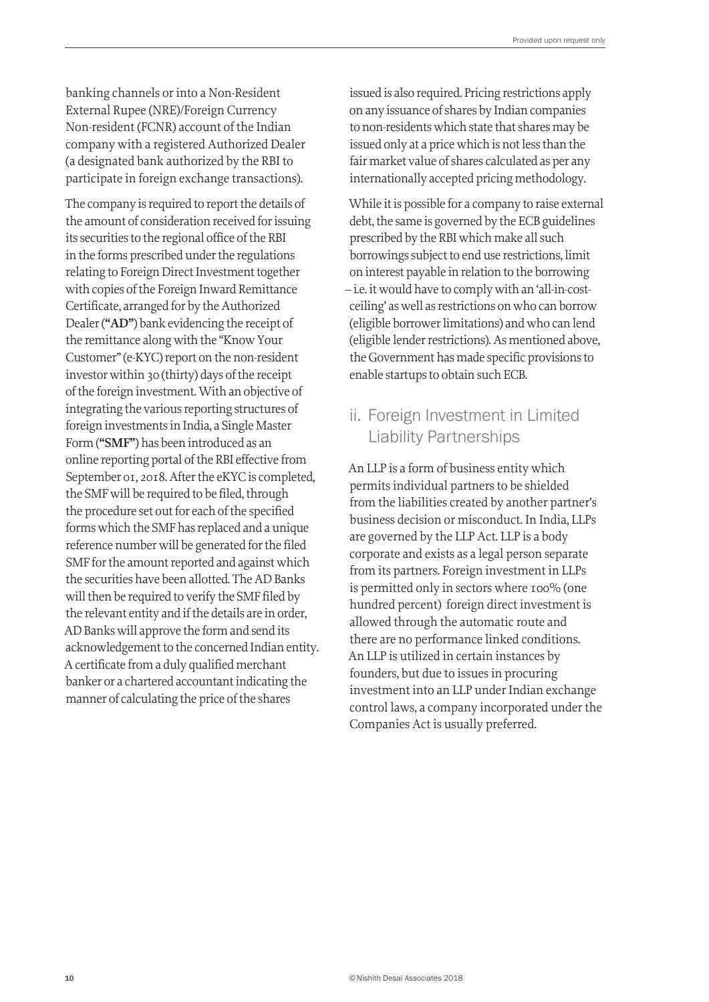banking channels or into a Non-Resident External Rupee (NRE)/Foreign Currency Non-resident (FCNR) account of the Indian company with a registered Authorized Dealer (a designated bank authorized by the RBI to participate in foreign exchange transactions).

The company is required to report the details of the amount of consideration received for issuing its securities to the regional office of the RBI in the forms prescribed under the regulations relating to Foreign Direct Investment together with copies of the Foreign Inward Remittance Certificate, arranged for by the Authorized Dealer (**"AD"**) bank evidencing the receipt of the remittance along with the "Know Your Customer" (e-KYC) report on the non-resident investor within 30 (thirty) days of the receipt of the foreign investment. With an objective of integrating the various reporting structures of foreign investments in India, a Single Master Form (**"SMF"**) has been introduced as an online reporting portal of the RBI effective from September 01, 2018. After the eKYC is completed, the SMF will be required to be filed, through the procedure set out for each of the specified forms which the SMF has replaced and a unique reference number will be generated for the filed SMF for the amount reported and against which the securities have been allotted. The AD Banks will then be required to verify the SMF filed by the relevant entity and if the details are in order, AD Banks will approve the form and send its acknowledgement to the concerned Indian entity. A certificate from a duly qualified merchant banker or a chartered accountant indicating the manner of calculating the price of the shares

issued is also required. Pricing restrictions apply on any issuance of shares by Indian companies to non-residents which state that shares may be issued only at a price which is not less than the fair market value of shares calculated as per any internationally accepted pricing methodology.

While it is possible for a company to raise external debt, the same is governed by the ECB guidelines prescribed by the RBI which make all such borrowings subject to end use restrictions, limit on interest payable in relation to the borrowing – i.e. it would have to comply with an 'all-in-costceiling' as well as restrictions on who can borrow (eligible borrower limitations) and who can lend (eligible lender restrictions). As mentioned above, the Government has made specific provisions to enable startups to obtain such ECB.

### ii. Foreign Investment in Limited Liability Partnerships

An LLP is a form of business entity which permits individual partners to be shielded from the liabilities created by another partner's business decision or misconduct. In India, LLPs are governed by the LLP Act. LLP is a body corporate and exists as a legal person separate from its partners. Foreign investment in LLPs is permitted only in sectors where 100% (one hundred percent) foreign direct investment is allowed through the automatic route and there are no performance linked conditions. An LLP is utilized in certain instances by founders, but due to issues in procuring investment into an LLP under Indian exchange control laws, a company incorporated under the Companies Act is usually preferred.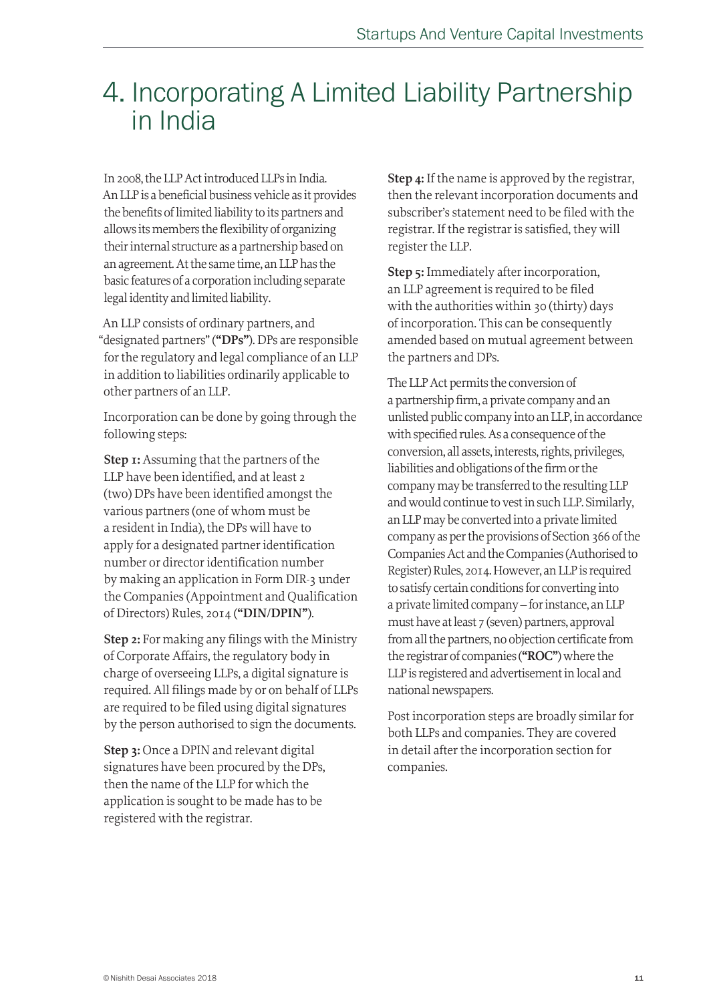## 4. Incorporating A Limited Liability Partnership in India

In 2008, the LLP Act introduced LLPs in India. An LLP is a beneficial business vehicle as it provides the benefits of limited liability to its partners and allows its members the flexibility of organizing their internal structure as a partnership based on an agreement. At the same time, an LLP has the basic features of a corporation including separate legal identity and limited liability.

An LLP consists of ordinary partners, and "designated partners" (**"DPs"**). DPs are responsible for the regulatory and legal compliance of an LLP in addition to liabilities ordinarily applicable to other partners of an LLP.

Incorporation can be done by going through the following steps:

**Step 1:** Assuming that the partners of the LLP have been identified, and at least 2 (two) DPs have been identified amongst the various partners (one of whom must be a resident in India), the DPs will have to apply for a designated partner identification number or director identification number by making an application in Form DIR-3 under the Companies (Appointment and Qualification of Directors) Rules, 2014 (**"DIN/DPIN"**).

**Step 2:** For making any filings with the Ministry of Corporate Affairs, the regulatory body in charge of overseeing LLPs, a digital signature is required. All filings made by or on behalf of LLPs are required to be filed using digital signatures by the person authorised to sign the documents.

**Step 3:** Once a DPIN and relevant digital signatures have been procured by the DPs, then the name of the LLP for which the application is sought to be made has to be registered with the registrar.

**Step 4:** If the name is approved by the registrar, then the relevant incorporation documents and subscriber's statement need to be filed with the registrar. If the registrar is satisfied, they will register the LLP.

**Step 5:** Immediately after incorporation, an LLP agreement is required to be filed with the authorities within 30 (thirty) days of incorporation. This can be consequently amended based on mutual agreement between the partners and DPs.

The LLP Act permits the conversion of a partnership firm, a private company and an unlisted public company into an LLP, in accordance with specified rules. As a consequence of the conversion, all assets, interests, rights, privileges, liabilities and obligations of the firm or the company may be transferred to the resulting LLP and would continue to vest in such LLP. Similarly, an LLP may be converted into a private limited company as per the provisions of Section 366 of the Companies Act and the Companies (Authorised to Register) Rules, 2014. However, an LLP is required to satisfy certain conditions for converting into a private limited company – for instance, an LLP must have at least 7 (seven) partners, approval from all the partners, no objection certificate from the registrar of companies (**"ROC"**) where the LLP is registered and advertisement in local and national newspapers.

Post incorporation steps are broadly similar for both LLPs and companies. They are covered in detail after the incorporation section for companies.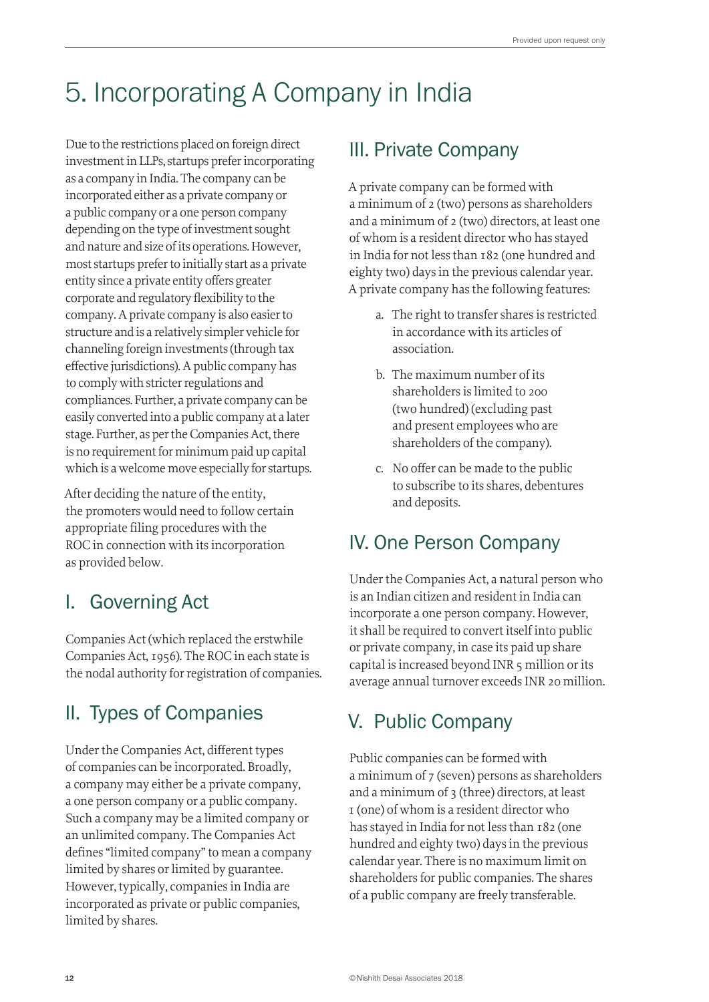## 5. Incorporating A Company in India

Due to the restrictions placed on foreign direct investment in LLPs, startups prefer incorporating as a company in India. The company can be incorporated either as a private company or a public company or a one person company depending on the type of investment sought and nature and size of its operations. However, most startups prefer to initially start as a private entity since a private entity offers greater corporate and regulatory flexibility to the company. A private company is also easier to structure and is a relatively simpler vehicle for channeling foreign investments (through tax effective jurisdictions). A public company has to comply with stricter regulations and compliances. Further, a private company can be easily converted into a public company at a later stage. Further, as per the Companies Act, there is no requirement for minimum paid up capital which is a welcome move especially for startups.

After deciding the nature of the entity, the promoters would need to follow certain appropriate filing procedures with the ROC in connection with its incorporation as provided below.

## I. Governing Act

Companies Act (which replaced the erstwhile Companies Act, 1956). The ROC in each state is the nodal authority for registration of companies.

## II. Types of Companies

Under the Companies Act, different types of companies can be incorporated. Broadly, a company may either be a private company, a one person company or a public company. Such a company may be a limited company or an unlimited company. The Companies Act defines "limited company" to mean a company limited by shares or limited by guarantee. However, typically, companies in India are incorporated as private or public companies, limited by shares.

## III. Private Company

A private company can be formed with a minimum of 2 (two) persons as shareholders and a minimum of 2 (two) directors, at least one of whom is a resident director who has stayed in India for not less than 182 (one hundred and eighty two) days in the previous calendar year. A private company has the following features:

- a. The right to transfer shares is restricted in accordance with its articles of association.
- b. The maximum number of its shareholders is limited to 200 (two hundred) (excluding past and present employees who are shareholders of the company).
- c. No offer can be made to the public to subscribe to its shares, debentures and deposits.

## IV. One Person Company

Under the Companies Act, a natural person who is an Indian citizen and resident in India can incorporate a one person company. However, it shall be required to convert itself into public or private company, in case its paid up share capital is increased beyond INR 5 million or its average annual turnover exceeds INR 20 million.

## V. Public Company

Public companies can be formed with a minimum of 7 (seven) persons as shareholders and a minimum of 3 (three) directors, at least 1 (one) of whom is a resident director who has stayed in India for not less than 182 (one hundred and eighty two) days in the previous calendar year. There is no maximum limit on shareholders for public companies. The shares of a public company are freely transferable.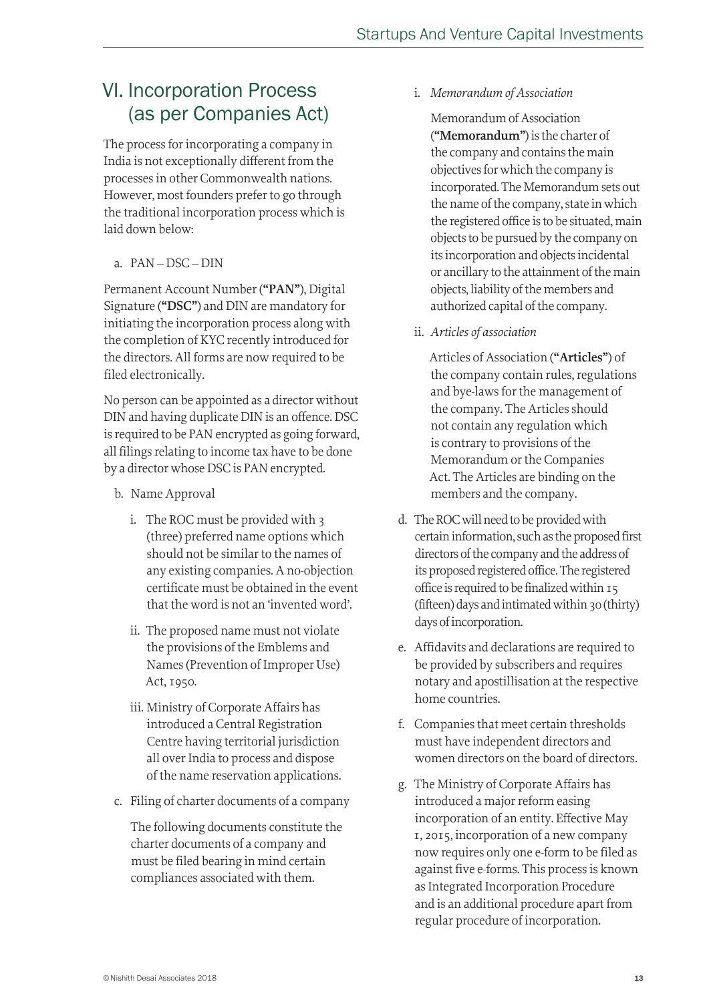## VI. Incorporation Process (as per Companies Act)

The process for incorporating a company in India is not exceptionally different from the processes in other Commonwealth nations. However, most founders prefer to go through the traditional incorporation process which is laid down below:

a. PAN – DSC – DIN

Permanent Account Number (**"PAN"**), Digital Signature (**"DSC"**) and DIN are mandatory for initiating the incorporation process along with the completion of KYC recently introduced for the directors. All forms are now required to be filed electronically.

No person can be appointed as a director without DIN and having duplicate DIN is an offence. DSC is required to be PAN encrypted as going forward, all filings relating to income tax have to be done by a director whose DSC is PAN encrypted.

- b. Name Approval
	- i. The ROC must be provided with 3 (three) preferred name options which should not be similar to the names of any existing companies. A no-objection certificate must be obtained in the event that the word is not an 'invented word'.
	- ii. The proposed name must not violate the provisions of the Emblems and Names (Prevention of Improper Use) Act, 1950.
	- iii. Ministry of Corporate Affairs has introduced a Central Registration Centre having territorial jurisdiction all over India to process and dispose of the name reservation applications.
- c. Filing of charter documents of a company

The following documents constitute the charter documents of a company and must be filed bearing in mind certain compliances associated with them.

i. *Memorandum of Association*

Memorandum of Association (**"Memorandum"**) is the charter of the company and contains the main objectives for which the company is incorporated. The Memorandum sets out the name of the company, state in which the registered office is to be situated, main objects to be pursued by the company on its incorporation and objects incidental or ancillary to the attainment of the main objects, liability of the members and authorized capital of the company.

ii. *Articles of association*

Articles of Association (**"Articles"**) of the company contain rules, regulations and bye-laws for the management of the company. The Articles should not contain any regulation which is contrary to provisions of the Memorandum or the Companies Act. The Articles are binding on the members and the company.

- d. The ROC will need to be provided with certain information, such as the proposed first directors of the company and the address of its proposed registered office. The registered office is required to be finalized within 15 (fifteen) days and intimated within 30 (thirty) days of incorporation.
- e. Affidavits and declarations are required to be provided by subscribers and requires notary and apostillisation at the respective home countries.
- f. Companies that meet certain thresholds must have independent directors and women directors on the board of directors.
- g. The Ministry of Corporate Affairs has introduced a major reform easing incorporation of an entity. Effective May 1, 2015, incorporation of a new company now requires only one e-form to be filed as against five e-forms. This process is known as Integrated Incorporation Procedure and is an additional procedure apart from regular procedure of incorporation.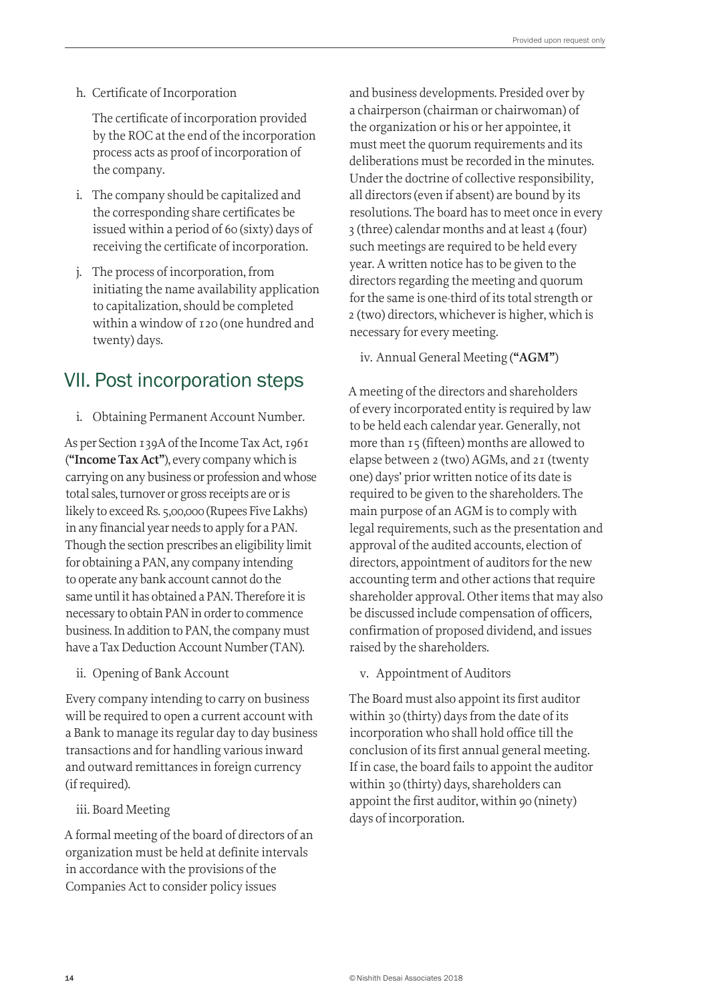h. Certificate of Incorporation

The certificate of incorporation provided by the ROC at the end of the incorporation process acts as proof of incorporation of the company.

- i. The company should be capitalized and the corresponding share certificates be issued within a period of 60 (sixty) days of receiving the certificate of incorporation.
- j. The process of incorporation, from initiating the name availability application to capitalization, should be completed within a window of 120 (one hundred and twenty) days.

## VII. Post incorporation steps

i. Obtaining Permanent Account Number.

As per Section 139A of the Income Tax Act, 1961 (**"Income Tax Act"**), every company which is carrying on any business or profession and whose total sales, turnover or gross receipts are or is likely to exceed Rs. 5,00,000 (Rupees Five Lakhs) in any financial year needs to apply for a PAN. Though the section prescribes an eligibility limit for obtaining a PAN, any company intending to operate any bank account cannot do the same until it has obtained a PAN. Therefore it is necessary to obtain PAN in order to commence business. In addition to PAN, the company must have a Tax Deduction Account Number (TAN).

ii. Opening of Bank Account

Every company intending to carry on business will be required to open a current account with a Bank to manage its regular day to day business transactions and for handling various inward and outward remittances in foreign currency (if required).

#### iii. Board Meeting

A formal meeting of the board of directors of an organization must be held at definite intervals in accordance with the provisions of the Companies Act to consider policy issues

and business developments. Presided over by a chairperson (chairman or chairwoman) of the organization or his or her appointee, it must meet the quorum requirements and its deliberations must be recorded in the minutes. Under the doctrine of collective responsibility, all directors (even if absent) are bound by its resolutions. The board has to meet once in every 3 (three) calendar months and at least 4 (four) such meetings are required to be held every year. A written notice has to be given to the directors regarding the meeting and quorum for the same is one-third of its total strength or 2 (two) directors, whichever is higher, which is necessary for every meeting.

iv. Annual General Meeting (**"AGM"**)

A meeting of the directors and shareholders of every incorporated entity is required by law to be held each calendar year. Generally, not more than 15 (fifteen) months are allowed to elapse between 2 (two) AGMs, and 21 (twenty one) days' prior written notice of its date is required to be given to the shareholders. The main purpose of an AGM is to comply with legal requirements, such as the presentation and approval of the audited accounts, election of directors, appointment of auditors for the new accounting term and other actions that require shareholder approval. Other items that may also be discussed include compensation of officers, confirmation of proposed dividend, and issues raised by the shareholders.

v. Appointment of Auditors

The Board must also appoint its first auditor within 30 (thirty) days from the date of its incorporation who shall hold office till the conclusion of its first annual general meeting. If in case, the board fails to appoint the auditor within 30 (thirty) days, shareholders can appoint the first auditor, within 90 (ninety) days of incorporation.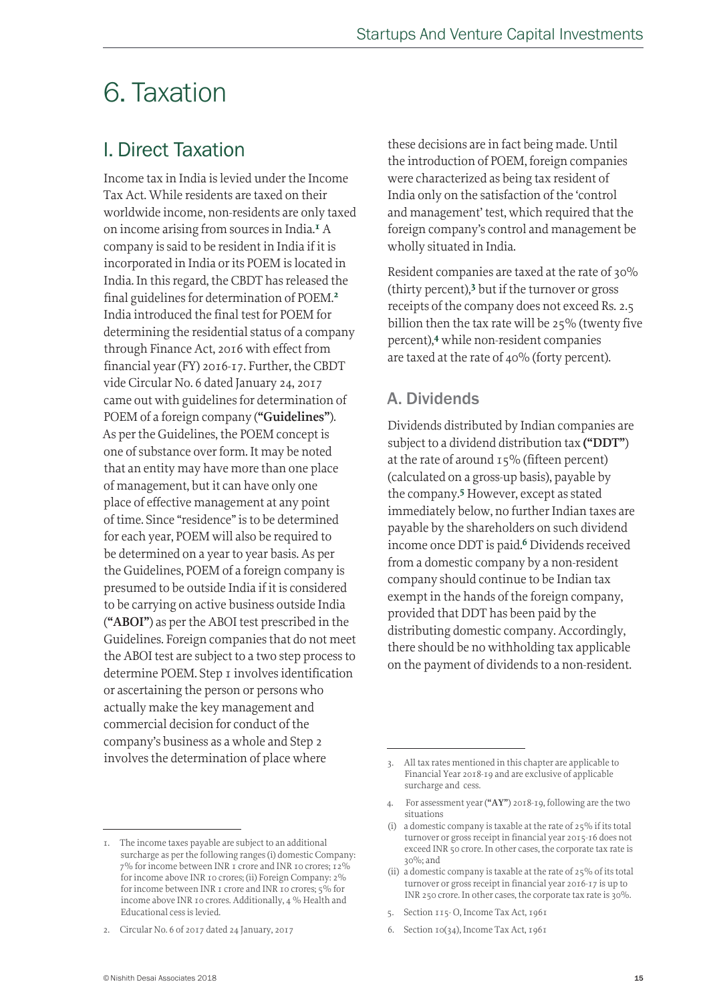## 6. Taxation

## I. Direct Taxation

Income tax in India is levied under the Income Tax Act. While residents are taxed on their worldwide income, non-residents are only taxed on income arising from sources in India.<sup>1</sup> A company is said to be resident in India if it is incorporated in India or its POEM is located in India. In this regard, the CBDT has released the final guidelines for determination of POEM.<sup>2</sup> India introduced the final test for POEM for determining the residential status of a company through Finance Act, 2016 with effect from financial year (FY) 2016-17. Further, the CBDT vide Circular No. 6 dated January 24, 2017 came out with guidelines for determination of POEM of a foreign company (**"Guidelines"**). As per the Guidelines, the POEM concept is one of substance over form. It may be noted that an entity may have more than one place of management, but it can have only one place of effective management at any point of time. Since "residence" is to be determined for each year, POEM will also be required to be determined on a year to year basis. As per the Guidelines, POEM of a foreign company is presumed to be outside India if it is considered to be carrying on active business outside India (**"ABOI"**) as per the ABOI test prescribed in the Guidelines. Foreign companies that do not meet the ABOI test are subject to a two step process to determine POEM. Step 1 involves identification or ascertaining the person or persons who actually make the key management and commercial decision for conduct of the company's business as a whole and Step 2 involves the determination of place where

1. The income taxes payable are subject to an additional surcharge as per the following ranges (i) domestic Company: 7% for income between INR 1 crore and INR 10 crores; 12% for income above INR 10 crores; (ii) Foreign Company: 2% for income between INR 1 crore and INR 10 crores; 5% for income above INR 10 crores. Additionally, 4 % Health and Educational cess is levied.

these decisions are in fact being made. Until the introduction of POEM, foreign companies were characterized as being tax resident of India only on the satisfaction of the 'control and management' test, which required that the foreign company's control and management be wholly situated in India.

Resident companies are taxed at the rate of 30% (thirty percent),3 but if the turnover or gross receipts of the company does not exceed Rs. 2.5 billion then the tax rate will be 25% (twenty five percent),4 while non-resident companies are taxed at the rate of 40% (forty percent).

### A. Dividends

Dividends distributed by Indian companies are subject to a dividend distribution tax **("DDT"**) at the rate of around 15% (fifteen percent) (calculated on a gross-up basis), payable by the company.5 However, except as stated immediately below, no further Indian taxes are payable by the shareholders on such dividend income once DDT is paid.<sup>6</sup> Dividends received from a domestic company by a non-resident company should continue to be Indian tax exempt in the hands of the foreign company, provided that DDT has been paid by the distributing domestic company. Accordingly, there should be no withholding tax applicable on the payment of dividends to a non-resident.

- 5. Section 115- O, Income Tax Act, 1961
- 6. Section 10(34), Income Tax Act, 1961

<sup>2.</sup> Circular No. 6 of 2017 dated 24 January, 2017

<sup>3.</sup> All tax rates mentioned in this chapter are applicable to Financial Year 2018-19 and are exclusive of applicable surcharge and cess.

<sup>4.</sup> For assessment year (**"AY"**) 2018-19, following are the two situations

<sup>(</sup>i) a domestic company is taxable at the rate of 25% if its total turnover or gross receipt in financial year 2015-16 does not exceed INR 50 crore. In other cases, the corporate tax rate is 30%; and

<sup>(</sup>ii) a domestic company is taxable at the rate of 25% of its total turnover or gross receipt in financial year 2016-17 is up to INR 250 crore. In other cases, the corporate tax rate is 30%.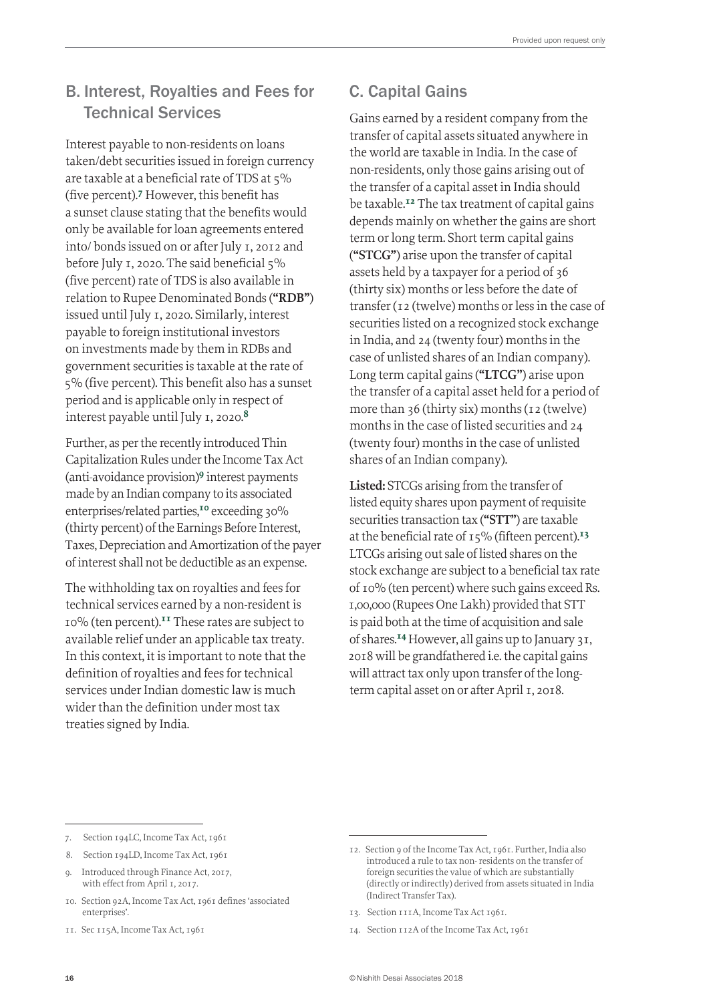## B. Interest, Royalties and Fees for Technical Services

Interest payable to non-residents on loans taken/debt securities issued in foreign currency are taxable at a beneficial rate of TDS at 5% (five percent).7 However, this benefit has a sunset clause stating that the benefits would only be available for loan agreements entered into/ bonds issued on or after July 1, 2012 and before July 1, 2020. The said beneficial 5% (five percent) rate of TDS is also available in relation to Rupee Denominated Bonds (**"RDB"**) issued until July 1, 2020. Similarly, interest payable to foreign institutional investors on investments made by them in RDBs and government securities is taxable at the rate of 5% (five percent). This benefit also has a sunset period and is applicable only in respect of interest payable until July 1, 2020.<sup>8</sup>

Further, as per the recently introduced Thin Capitalization Rules under the Income Tax Act (anti-avoidance provision)9 interest payments made by an Indian company to its associated enterprises/related parties,<sup>10</sup> exceeding 30% (thirty percent) of the Earnings Before Interest, Taxes, Depreciation and Amortization of the payer of interest shall not be deductible as an expense.

The withholding tax on royalties and fees for technical services earned by a non-resident is 10% (ten percent).11 These rates are subject to available relief under an applicable tax treaty. In this context, it is important to note that the definition of royalties and fees for technical services under Indian domestic law is much wider than the definition under most tax treaties signed by India.

## C. Capital Gains

Gains earned by a resident company from the transfer of capital assets situated anywhere in the world are taxable in India. In the case of non-residents, only those gains arising out of the transfer of a capital asset in India should be taxable.<sup>12</sup> The tax treatment of capital gains depends mainly on whether the gains are short term or long term. Short term capital gains (**"STCG"**) arise upon the transfer of capital assets held by a taxpayer for a period of 36 (thirty six) months or less before the date of transfer (12 (twelve) months or less in the case of securities listed on a recognized stock exchange in India, and 24 (twenty four) months in the case of unlisted shares of an Indian company). Long term capital gains (**"LTCG"**) arise upon the transfer of a capital asset held for a period of more than 36 (thirty six) months (12 (twelve) months in the case of listed securities and 24 (twenty four) months in the case of unlisted shares of an Indian company).

**Listed:** STCGs arising from the transfer of listed equity shares upon payment of requisite securities transaction tax (**"STT"**) are taxable at the beneficial rate of  $15\%$  (fifteen percent).<sup>13</sup> LTCGs arising out sale of listed shares on the stock exchange are subject to a beneficial tax rate of 10% (ten percent) where such gains exceed Rs. 1,00,000 (Rupees One Lakh) provided that STT is paid both at the time of acquisition and sale of shares.14 However, all gains up to January 31, 2018 will be grandfathered i.e. the capital gains will attract tax only upon transfer of the longterm capital asset on or after April 1, 2018.

- 10. Section 92A, Income Tax Act, 1961 defines 'associated enterprises'.
- 11. Sec 115A, Income Tax Act, 1961

13. Section 111A, Income Tax Act 1961.

<sup>7.</sup> Section 194LC, Income Tax Act, 1961

<sup>8.</sup> Section 194LD, Income Tax Act, 1961

<sup>9.</sup> Introduced through Finance Act, 2017, with effect from April 1, 2017.

<sup>12.</sup> Section 9 of the Income Tax Act, 1961. Further, India also introduced a rule to tax non- residents on the transfer of foreign securities the value of which are substantially (directly or indirectly) derived from assets situated in India (Indirect Transfer Tax).

<sup>14.</sup> Section 112A of the Income Tax Act, 1961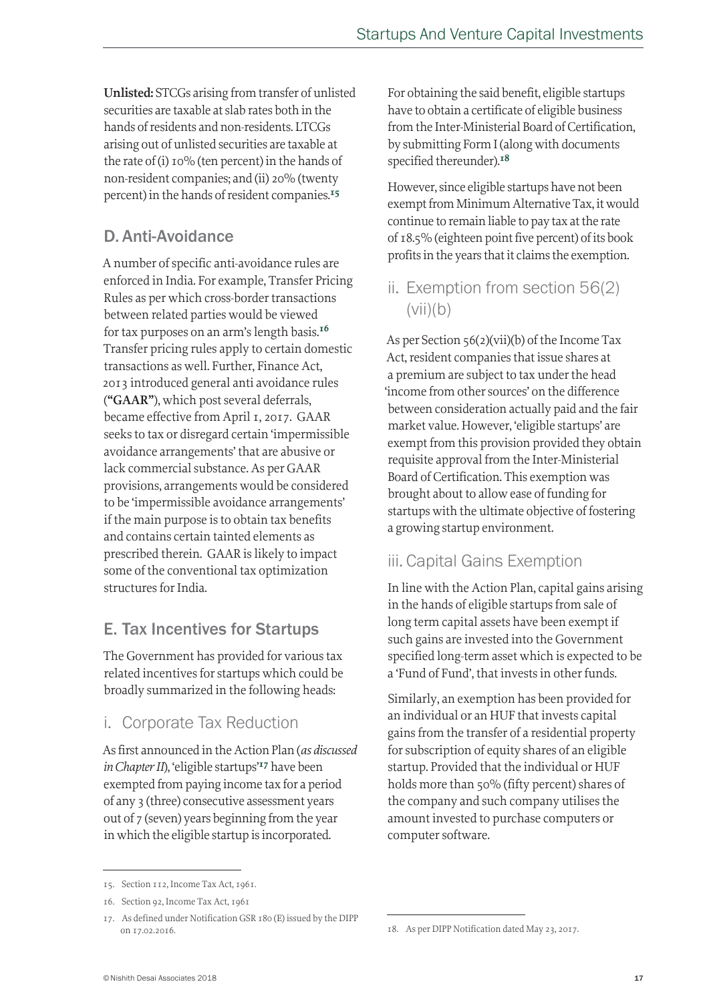**Unlisted:** STCGs arising from transfer of unlisted securities are taxable at slab rates both in the hands of residents and non-residents. LTCGs arising out of unlisted securities are taxable at the rate of (i) 10% (ten percent) in the hands of non-resident companies; and (ii) 20% (twenty percent) in the hands of resident companies.<sup>15</sup>

## D. Anti-Avoidance

A number of specific anti-avoidance rules are enforced in India. For example, Transfer Pricing Rules as per which cross-border transactions between related parties would be viewed for tax purposes on an arm's length basis.<sup>16</sup> Transfer pricing rules apply to certain domestic transactions as well. Further, Finance Act, 2013 introduced general anti avoidance rules (**"GAAR"**), which post several deferrals, became effective from April 1, 2017. GAAR seeks to tax or disregard certain 'impermissible avoidance arrangements' that are abusive or lack commercial substance. As per GAAR provisions, arrangements would be considered to be 'impermissible avoidance arrangements' if the main purpose is to obtain tax benefits and contains certain tainted elements as prescribed therein. GAAR is likely to impact some of the conventional tax optimization structures for India.

## E. Tax Incentives for Startups

The Government has provided for various tax related incentives for startups which could be broadly summarized in the following heads:

### i. Corporate Tax Reduction

As first announced in the Action Plan (*as discussed in Chapter II*), 'eligible startups'<sup>17</sup> have been exempted from paying income tax for a period of any 3 (three) consecutive assessment years out of 7 (seven) years beginning from the year in which the eligible startup is incorporated.

For obtaining the said benefit, eligible startups have to obtain a certificate of eligible business from the Inter-Ministerial Board of Certification, by submitting Form I (along with documents specified thereunder).<sup>18</sup>

However, since eligible startups have not been exempt from Minimum Alternative Tax, it would continue to remain liable to pay tax at the rate of 18.5% (eighteen point five percent) of its book profits in the years that it claims the exemption.

ii. Exemption from section 56(2)  $(vii)(b)$ 

As per Section 56(2)(vii)(b) of the Income Tax Act, resident companies that issue shares at a premium are subject to tax under the head 'income from other sources' on the difference between consideration actually paid and the fair market value. However, 'eligible startups' are exempt from this provision provided they obtain requisite approval from the Inter-Ministerial Board of Certification. This exemption was brought about to allow ease of funding for startups with the ultimate objective of fostering a growing startup environment.

### iii. Capital Gains Exemption

In line with the Action Plan, capital gains arising in the hands of eligible startups from sale of long term capital assets have been exempt if such gains are invested into the Government specified long-term asset which is expected to be a 'Fund of Fund', that invests in other funds.

Similarly, an exemption has been provided for an individual or an HUF that invests capital gains from the transfer of a residential property for subscription of equity shares of an eligible startup. Provided that the individual or HUF holds more than 50% (fifty percent) shares of the company and such company utilises the amount invested to purchase computers or computer software.

<sup>15.</sup> Section 112, Income Tax Act, 1961.

<sup>16.</sup> Section 92, Income Tax Act, 1961

<sup>17.</sup> As defined under Notification GSR 180 (E) issued by the DIPP on 17.02.2016.

<sup>18.</sup> As per DIPP Notification dated May 23, 2017.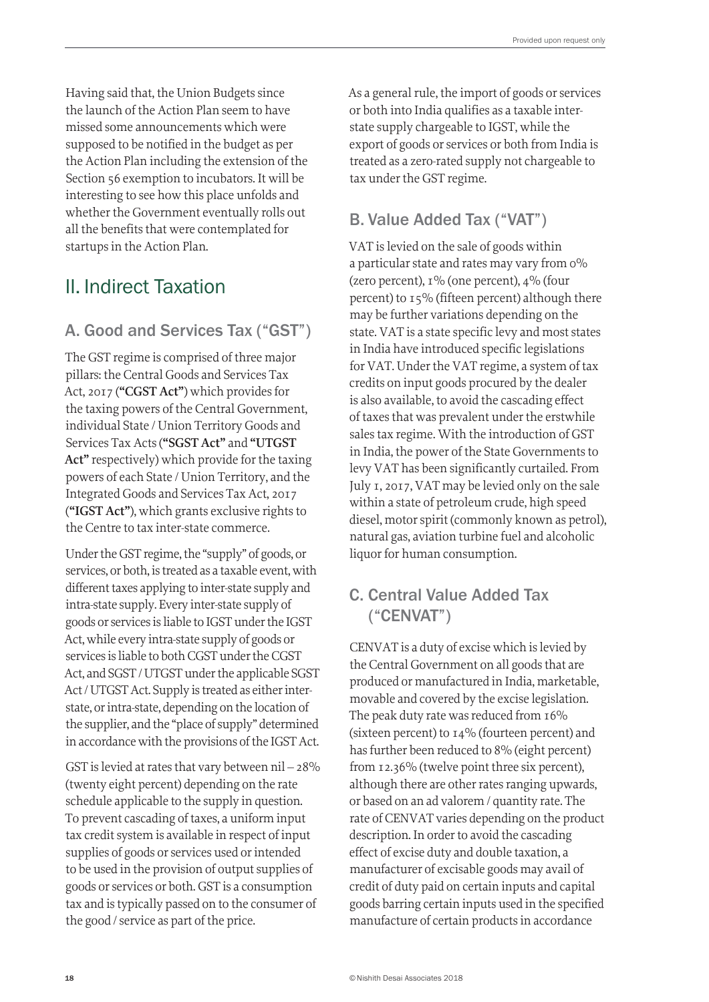Having said that, the Union Budgets since the launch of the Action Plan seem to have missed some announcements which were supposed to be notified in the budget as per the Action Plan including the extension of the Section 56 exemption to incubators. It will be interesting to see how this place unfolds and whether the Government eventually rolls out all the benefits that were contemplated for startups in the Action Plan.

## II. Indirect Taxation

### A. Good and Services Tax ("GST")

The GST regime is comprised of three major pillars: the Central Goods and Services Tax Act, 2017 (**"CGST Act"**) which provides for the taxing powers of the Central Government, individual State / Union Territory Goods and Services Tax Acts (**"SGST Act"** and **"UTGST Act"** respectively) which provide for the taxing powers of each State / Union Territory, and the Integrated Goods and Services Tax Act, 2017 (**"IGST Act"**), which grants exclusive rights to the Centre to tax inter-state commerce.

Under the GST regime, the "supply" of goods, or services, or both, is treated as a taxable event, with different taxes applying to inter-state supply and intra-state supply. Every inter-state supply of goods or services is liable to IGST under the IGST Act, while every intra-state supply of goods or services is liable to both CGST under the CGST Act, and SGST / UTGST under the applicable SGST Act / UTGST Act. Supply is treated as either interstate, or intra-state, depending on the location of the supplier, and the "place of supply" determined in accordance with the provisions of the IGST Act.

GST is levied at rates that vary between  $\text{nil}$  – 28% (twenty eight percent) depending on the rate schedule applicable to the supply in question. To prevent cascading of taxes, a uniform input tax credit system is available in respect of input supplies of goods or services used or intended to be used in the provision of output supplies of goods or services or both. GST is a consumption tax and is typically passed on to the consumer of the good / service as part of the price.

As a general rule, the import of goods or services or both into India qualifies as a taxable interstate supply chargeable to IGST, while the export of goods or services or both from India is treated as a zero-rated supply not chargeable to tax under the GST regime.

## B. Value Added Tax ("VAT")

VAT is levied on the sale of goods within a particular state and rates may vary from 0% (zero percent),  $I\%$  (one percent),  $4\%$  (four percent) to 15% (fifteen percent) although there may be further variations depending on the state. VAT is a state specific levy and most states in India have introduced specific legislations for VAT. Under the VAT regime, a system of tax credits on input goods procured by the dealer is also available, to avoid the cascading effect of taxes that was prevalent under the erstwhile sales tax regime. With the introduction of GST in India, the power of the State Governments to levy VAT has been significantly curtailed. From July 1, 2017, VAT may be levied only on the sale within a state of petroleum crude, high speed diesel, motor spirit (commonly known as petrol), natural gas, aviation turbine fuel and alcoholic liquor for human consumption.

## C. Central Value Added Tax ("CENVAT")

CENVAT is a duty of excise which is levied by the Central Government on all goods that are produced or manufactured in India, marketable, movable and covered by the excise legislation. The peak duty rate was reduced from 16% (sixteen percent) to 14% (fourteen percent) and has further been reduced to 8% (eight percent) from 12.36% (twelve point three six percent), although there are other rates ranging upwards, or based on an ad valorem / quantity rate. The rate of CENVAT varies depending on the product description. In order to avoid the cascading effect of excise duty and double taxation, a manufacturer of excisable goods may avail of credit of duty paid on certain inputs and capital goods barring certain inputs used in the specified manufacture of certain products in accordance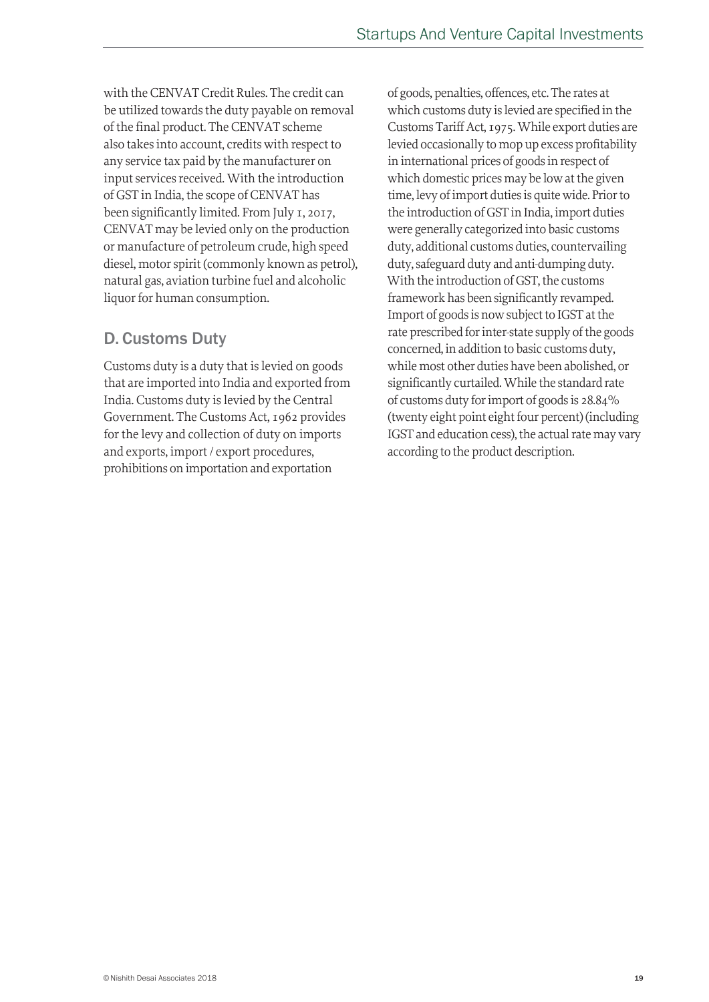with the CENVAT Credit Rules. The credit can be utilized towards the duty payable on removal of the final product. The CENVAT scheme also takes into account, credits with respect to any service tax paid by the manufacturer on input services received. With the introduction of GST in India, the scope of CENVAT has been significantly limited. From July 1, 2017, CENVAT may be levied only on the production or manufacture of petroleum crude, high speed diesel, motor spirit (commonly known as petrol), natural gas, aviation turbine fuel and alcoholic liquor for human consumption.

### D. Customs Duty

Customs duty is a duty that is levied on goods that are imported into India and exported from India. Customs duty is levied by the Central Government. The Customs Act, 1962 provides for the levy and collection of duty on imports and exports, import / export procedures, prohibitions on importation and exportation

of goods, penalties, offences, etc. The rates at which customs duty is levied are specified in the Customs Tariff Act, 1975. While export duties are levied occasionally to mop up excess profitability in international prices of goods in respect of which domestic prices may be low at the given time, levy of import duties is quite wide. Prior to the introduction of GST in India, import duties were generally categorized into basic customs duty, additional customs duties, countervailing duty, safeguard duty and anti-dumping duty. With the introduction of GST, the customs framework has been significantly revamped. Import of goods is now subject to IGST at the rate prescribed for inter-state supply of the goods concerned, in addition to basic customs duty, while most other duties have been abolished, or significantly curtailed. While the standard rate of customs duty for import of goods is 28.84% (twenty eight point eight four percent) (including IGST and education cess), the actual rate may vary according to the product description.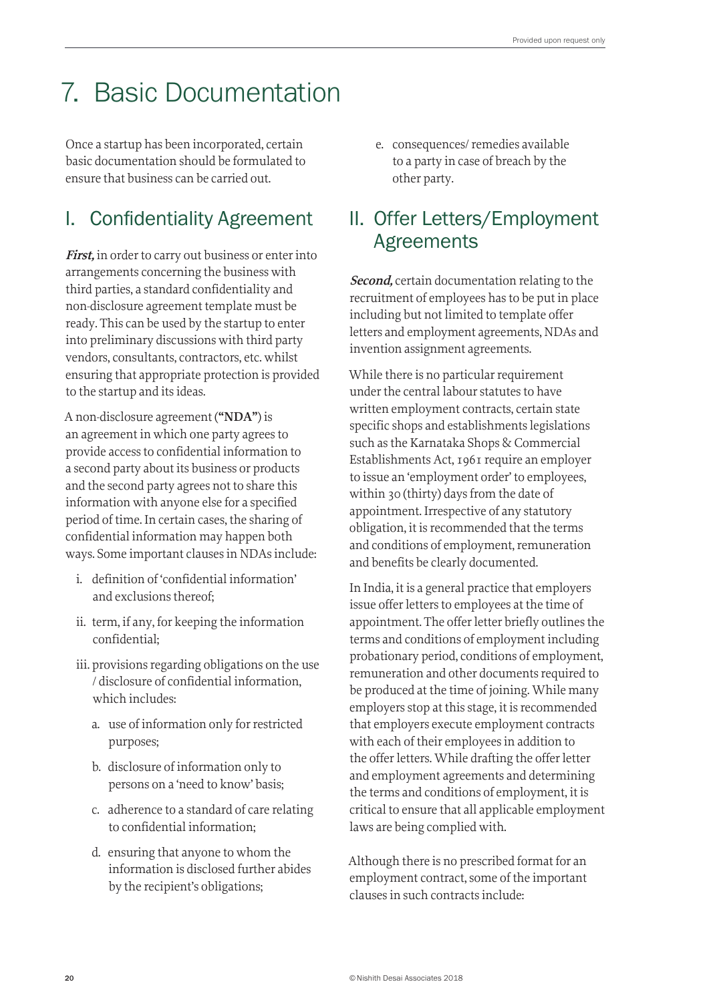## 7. Basic Documentation

Once a startup has been incorporated, certain basic documentation should be formulated to ensure that business can be carried out.

## I. Confidentiality Agreement

**First,** in order to carry out business or enter into arrangements concerning the business with third parties, a standard confidentiality and non-disclosure agreement template must be ready. This can be used by the startup to enter into preliminary discussions with third party vendors, consultants, contractors, etc. whilst ensuring that appropriate protection is provided to the startup and its ideas.

A non-disclosure agreement (**"NDA"**) is an agreement in which one party agrees to provide access to confidential information to a second party about its business or products and the second party agrees not to share this information with anyone else for a specified period of time. In certain cases, the sharing of confidential information may happen both ways. Some important clauses in NDAs include:

- i. definition of 'confidential information' and exclusions thereof;
- ii. term, if any, for keeping the information confidential;
- iii. provisions regarding obligations on the use / disclosure of confidential information, which includes:
	- a. use of information only for restricted purposes;
	- b. disclosure of information only to persons on a 'need to know' basis;
	- c. adherence to a standard of care relating to confidential information;
	- d. ensuring that anyone to whom the information is disclosed further abides by the recipient's obligations;

e. consequences/ remedies available to a party in case of breach by the other party.

## II. Offer Letters/Employment Agreements

**Second,** certain documentation relating to the recruitment of employees has to be put in place including but not limited to template offer letters and employment agreements, NDAs and invention assignment agreements.

While there is no particular requirement under the central labour statutes to have written employment contracts, certain state specific shops and establishments legislations such as the Karnataka Shops & Commercial Establishments Act, 1961 require an employer to issue an 'employment order' to employees, within 30 (thirty) days from the date of appointment. Irrespective of any statutory obligation, it is recommended that the terms and conditions of employment, remuneration and benefits be clearly documented.

In India, it is a general practice that employers issue offer letters to employees at the time of appointment. The offer letter briefly outlines the terms and conditions of employment including probationary period, conditions of employment, remuneration and other documents required to be produced at the time of joining. While many employers stop at this stage, it is recommended that employers execute employment contracts with each of their employees in addition to the offer letters. While drafting the offer letter and employment agreements and determining the terms and conditions of employment, it is critical to ensure that all applicable employment laws are being complied with.

Although there is no prescribed format for an employment contract, some of the important clauses in such contracts include: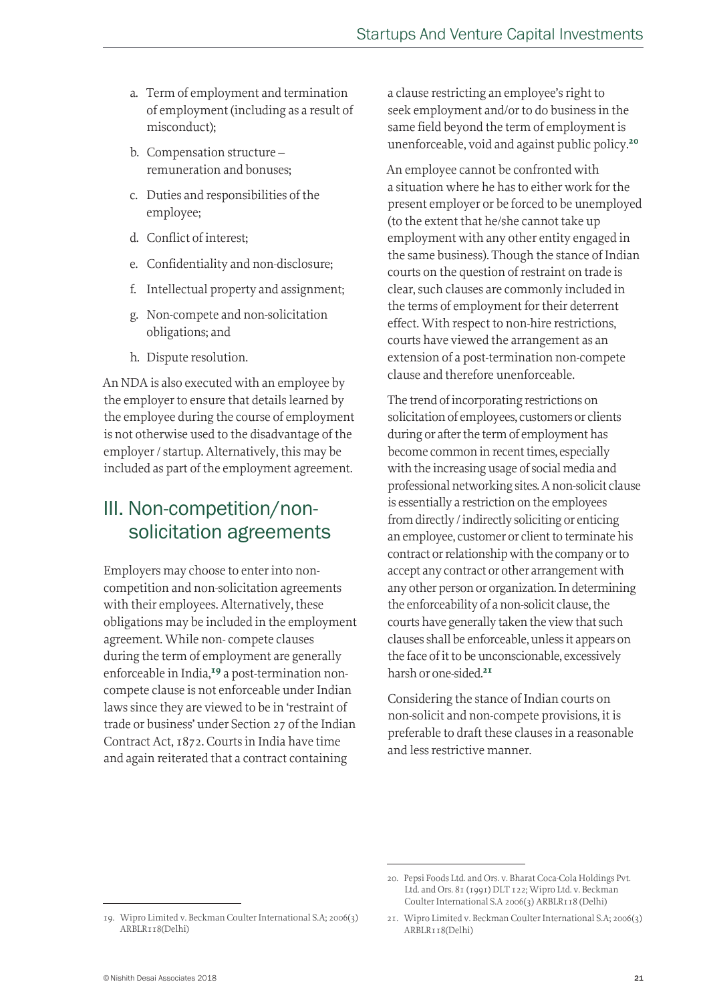- a. Term of employment and termination of employment (including as a result of misconduct);
- b. Compensation structure remuneration and bonuses;
- c. Duties and responsibilities of the employee;
- d. Conflict of interest;
- e. Confidentiality and non-disclosure;
- f. Intellectual property and assignment;
- g. Non-compete and non-solicitation obligations; and
- h. Dispute resolution.

An NDA is also executed with an employee by the employer to ensure that details learned by the employee during the course of employment is not otherwise used to the disadvantage of the employer / startup. Alternatively, this may be included as part of the employment agreement.

## III. Non-competition/nonsolicitation agreements

Employers may choose to enter into noncompetition and non-solicitation agreements with their employees. Alternatively, these obligations may be included in the employment agreement. While non- compete clauses during the term of employment are generally enforceable in India,<sup>19</sup> a post-termination noncompete clause is not enforceable under Indian laws since they are viewed to be in 'restraint of trade or business' under Section 27 of the Indian Contract Act, 1872. Courts in India have time and again reiterated that a contract containing

a clause restricting an employee's right to seek employment and/or to do business in the same field beyond the term of employment is unenforceable, void and against public policy.<sup>20</sup>

An employee cannot be confronted with a situation where he has to either work for the present employer or be forced to be unemployed (to the extent that he/she cannot take up employment with any other entity engaged in the same business). Though the stance of Indian courts on the question of restraint on trade is clear, such clauses are commonly included in the terms of employment for their deterrent effect. With respect to non-hire restrictions, courts have viewed the arrangement as an extension of a post-termination non-compete clause and therefore unenforceable.

The trend of incorporating restrictions on solicitation of employees, customers or clients during or after the term of employment has become common in recent times, especially with the increasing usage of social media and professional networking sites. A non-solicit clause is essentially a restriction on the employees from directly / indirectly soliciting or enticing an employee, customer or client to terminate his contract or relationship with the company or to accept any contract or other arrangement with any other person or organization. In determining the enforceability of a non-solicit clause, the courts have generally taken the view that such clauses shall be enforceable, unless it appears on the face of it to be unconscionable, excessively harsh or one-sided.<sup>21</sup>

Considering the stance of Indian courts on non-solicit and non-compete provisions, it is preferable to draft these clauses in a reasonable and less restrictive manner.

<sup>20.</sup> Pepsi Foods Ltd. and Ors. v. Bharat Coca-Cola Holdings Pvt. Ltd. and Ors. 81 (1991) DLT 122; Wipro Ltd. v. Beckman Coulter International S.A 2006(3) ARBLR118 (Delhi)

<sup>19.</sup> Wipro Limited v. Beckman Coulter International S.A; 2006(3) ARBLR118(Delhi)

<sup>21.</sup> Wipro Limited v. Beckman Coulter International S.A; 2006(3) ARBLR118(Delhi)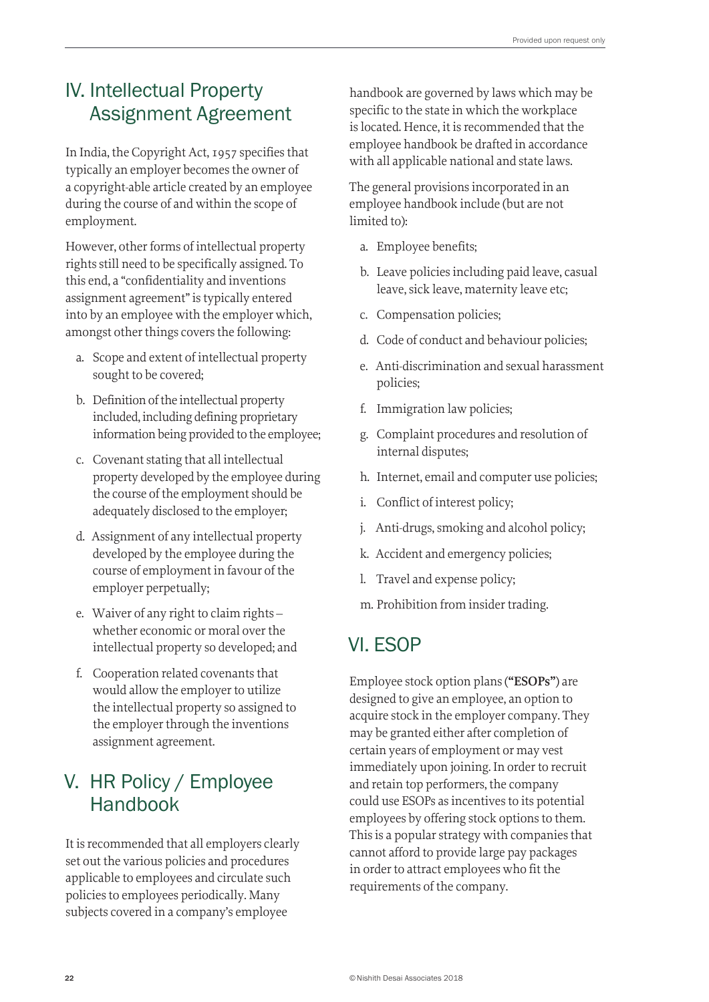## IV. Intellectual Property Assignment Agreement

In India, the Copyright Act, 1957 specifies that typically an employer becomes the owner of a copyright-able article created by an employee during the course of and within the scope of employment.

However, other forms of intellectual property rights still need to be specifically assigned. To this end, a "confidentiality and inventions assignment agreement" is typically entered into by an employee with the employer which, amongst other things covers the following:

- a. Scope and extent of intellectual property sought to be covered;
- b. Definition of the intellectual property included, including defining proprietary information being provided to the employee;
- c. Covenant stating that all intellectual property developed by the employee during the course of the employment should be adequately disclosed to the employer;
- d. Assignment of any intellectual property developed by the employee during the course of employment in favour of the employer perpetually;
- e. Waiver of any right to claim rights whether economic or moral over the intellectual property so developed; and
- f. Cooperation related covenants that would allow the employer to utilize the intellectual property so assigned to the employer through the inventions assignment agreement.

## V. HR Policy / Employee Handbook

It is recommended that all employers clearly set out the various policies and procedures applicable to employees and circulate such policies to employees periodically. Many subjects covered in a company's employee

handbook are governed by laws which may be specific to the state in which the workplace is located. Hence, it is recommended that the employee handbook be drafted in accordance with all applicable national and state laws.

The general provisions incorporated in an employee handbook include (but are not limited to):

- a. Employee benefits;
- b. Leave policies including paid leave, casual leave, sick leave, maternity leave etc;
- c. Compensation policies;
- d. Code of conduct and behaviour policies;
- e. Anti-discrimination and sexual harassment policies;
- f. Immigration law policies;
- g. Complaint procedures and resolution of internal disputes;
- h. Internet, email and computer use policies;
- i. Conflict of interest policy;
- j. Anti-drugs, smoking and alcohol policy;
- k. Accident and emergency policies;
- l. Travel and expense policy;
- m. Prohibition from insider trading.

## VI. ESOP

Employee stock option plans (**"ESOPs"**) are designed to give an employee, an option to acquire stock in the employer company. They may be granted either after completion of certain years of employment or may vest immediately upon joining. In order to recruit and retain top performers, the company could use ESOPs as incentives to its potential employees by offering stock options to them. This is a popular strategy with companies that cannot afford to provide large pay packages in order to attract employees who fit the requirements of the company.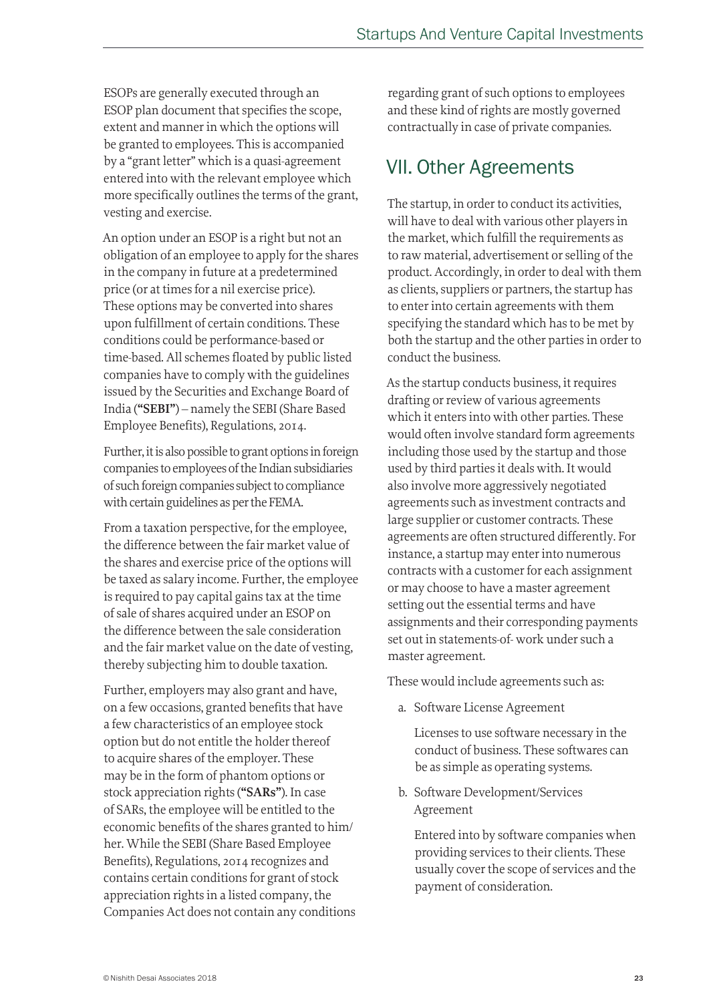ESOPs are generally executed through an ESOP plan document that specifies the scope, extent and manner in which the options will be granted to employees. This is accompanied by a "grant letter" which is a quasi-agreement entered into with the relevant employee which more specifically outlines the terms of the grant, vesting and exercise.

An option under an ESOP is a right but not an obligation of an employee to apply for the shares in the company in future at a predetermined price (or at times for a nil exercise price). These options may be converted into shares upon fulfillment of certain conditions. These conditions could be performance-based or time-based. All schemes floated by public listed companies have to comply with the guidelines issued by the Securities and Exchange Board of India (**"SEBI"**) – namely the SEBI (Share Based Employee Benefits), Regulations, 2014.

Further, it is also possible to grant options in foreign companies to employees of the Indian subsidiaries of such foreign companies subject to compliance with certain guidelines as per the FEMA.

From a taxation perspective, for the employee, the difference between the fair market value of the shares and exercise price of the options will be taxed as salary income. Further, the employee is required to pay capital gains tax at the time of sale of shares acquired under an ESOP on the difference between the sale consideration and the fair market value on the date of vesting, thereby subjecting him to double taxation.

Further, employers may also grant and have, on a few occasions, granted benefits that have a few characteristics of an employee stock option but do not entitle the holder thereof to acquire shares of the employer. These may be in the form of phantom options or stock appreciation rights (**"SARs"**). In case of SARs, the employee will be entitled to the economic benefits of the shares granted to him/ her. While the SEBI (Share Based Employee Benefits), Regulations, 2014 recognizes and contains certain conditions for grant of stock appreciation rights in a listed company, the Companies Act does not contain any conditions regarding grant of such options to employees and these kind of rights are mostly governed contractually in case of private companies.

## VII. Other Agreements

The startup, in order to conduct its activities, will have to deal with various other players in the market, which fulfill the requirements as to raw material, advertisement or selling of the product. Accordingly, in order to deal with them as clients, suppliers or partners, the startup has to enter into certain agreements with them specifying the standard which has to be met by both the startup and the other parties in order to conduct the business.

As the startup conducts business, it requires drafting or review of various agreements which it enters into with other parties. These would often involve standard form agreements including those used by the startup and those used by third parties it deals with. It would also involve more aggressively negotiated agreements such as investment contracts and large supplier or customer contracts. These agreements are often structured differently. For instance, a startup may enter into numerous contracts with a customer for each assignment or may choose to have a master agreement setting out the essential terms and have assignments and their corresponding payments set out in statements-of- work under such a master agreement.

These would include agreements such as:

a. Software License Agreement

 Licenses to use software necessary in the conduct of business. These softwares can be as simple as operating systems.

b. Software Development/Services Agreement

 Entered into by software companies when providing services to their clients. These usually cover the scope of services and the payment of consideration.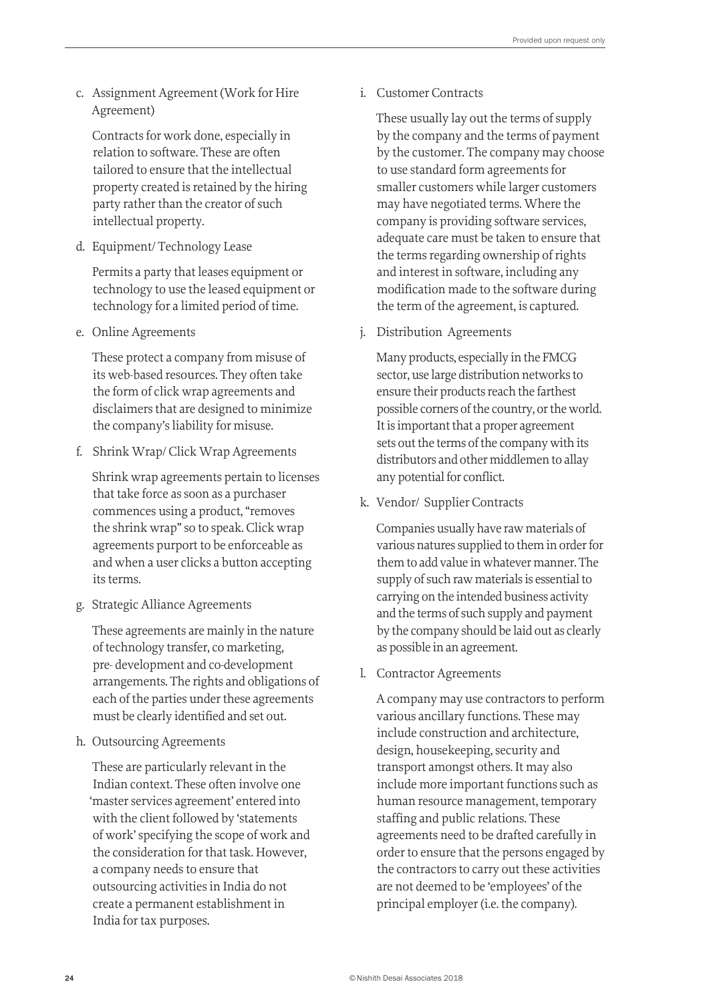c. Assignment Agreement (Work for Hire Agreement)

 Contracts for work done, especially in relation to software. These are often tailored to ensure that the intellectual property created is retained by the hiring party rather than the creator of such intellectual property.

d. Equipment/ Technology Lease

 Permits a party that leases equipment or technology to use the leased equipment or technology for a limited period of time.

e. Online Agreements

 These protect a company from misuse of its web-based resources. They often take the form of click wrap agreements and disclaimers that are designed to minimize the company's liability for misuse.

f. Shrink Wrap/ Click Wrap Agreements

 Shrink wrap agreements pertain to licenses that take force as soon as a purchaser commences using a product, "removes the shrink wrap" so to speak. Click wrap agreements purport to be enforceable as and when a user clicks a button accepting its terms.

g. Strategic Alliance Agreements

 These agreements are mainly in the nature of technology transfer, co marketing, pre- development and co-development arrangements. The rights and obligations of each of the parties under these agreements must be clearly identified and set out.

h. Outsourcing Agreements

 These are particularly relevant in the Indian context. These often involve one 'master services agreement' entered into with the client followed by 'statements of work' specifying the scope of work and the consideration for that task. However, a company needs to ensure that outsourcing activities in India do not create a permanent establishment in India for tax purposes.

i. Customer Contracts

 These usually lay out the terms of supply by the company and the terms of payment by the customer. The company may choose to use standard form agreements for smaller customers while larger customers may have negotiated terms. Where the company is providing software services, adequate care must be taken to ensure that the terms regarding ownership of rights and interest in software, including any modification made to the software during the term of the agreement, is captured.

j. Distribution Agreements

 Many products, especially in the FMCG sector, use large distribution networks to ensure their products reach the farthest possible corners of the country, or the world. It is important that a proper agreement sets out the terms of the company with its distributors and other middlemen to allay any potential for conflict.

k. Vendor/ Supplier Contracts

 Companies usually have raw materials of various natures supplied to them in order for them to add value in whatever manner. The supply of such raw materials is essential to carrying on the intended business activity and the terms of such supply and payment by the company should be laid out as clearly as possible in an agreement.

l. Contractor Agreements

 A company may use contractors to perform various ancillary functions. These may include construction and architecture, design, housekeeping, security and transport amongst others. It may also include more important functions such as human resource management, temporary staffing and public relations. These agreements need to be drafted carefully in order to ensure that the persons engaged by the contractors to carry out these activities are not deemed to be 'employees' of the principal employer (i.e. the company).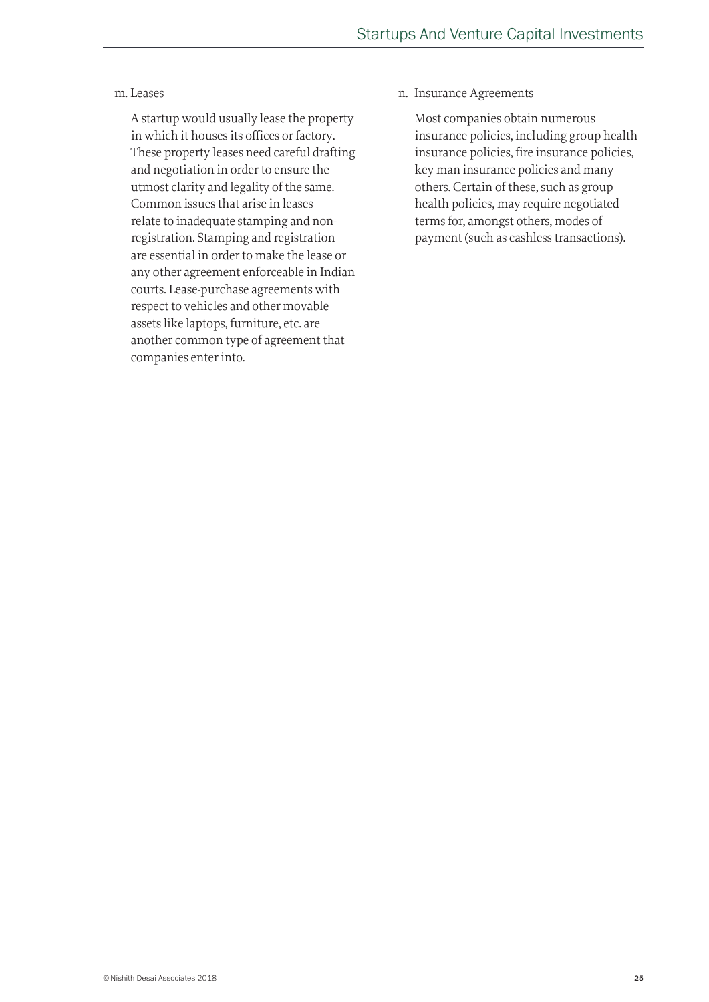#### m. Leases

 A startup would usually lease the property in which it houses its offices or factory. These property leases need careful drafting and negotiation in order to ensure the utmost clarity and legality of the same. Common issues that arise in leases relate to inadequate stamping and nonregistration. Stamping and registration are essential in order to make the lease or any other agreement enforceable in Indian courts. Lease-purchase agreements with respect to vehicles and other movable assets like laptops, furniture, etc. are another common type of agreement that companies enter into.

n. Insurance Agreements

 Most companies obtain numerous insurance policies, including group health insurance policies, fire insurance policies, key man insurance policies and many others. Certain of these, such as group health policies, may require negotiated terms for, amongst others, modes of payment (such as cashless transactions).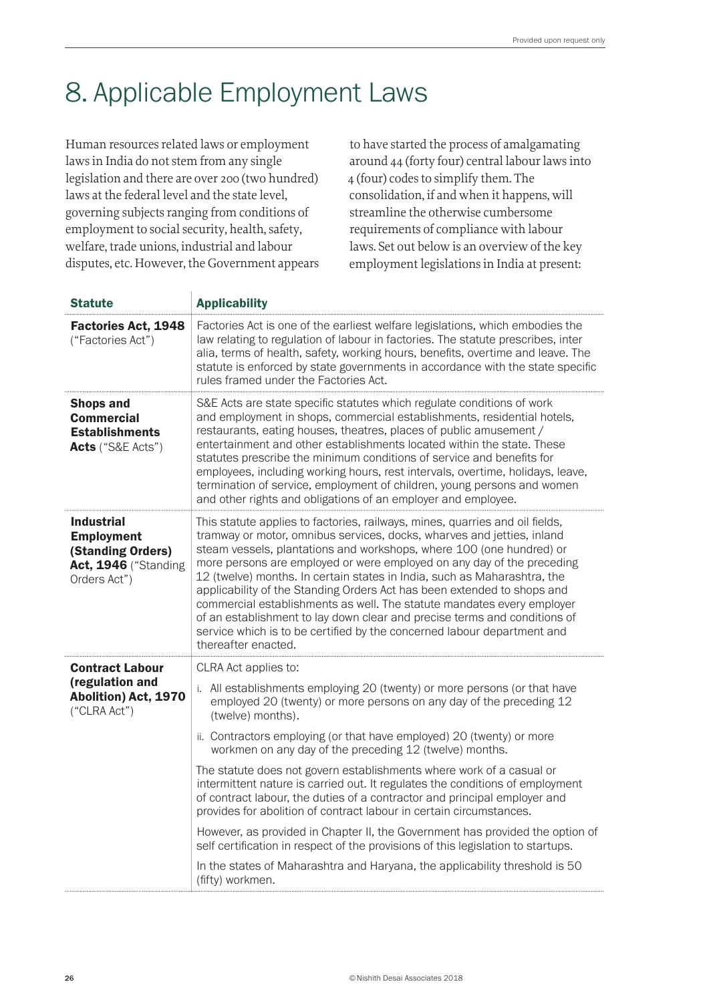## 8. Applicable Employment Laws

Human resources related laws or employment laws in India do not stem from any single legislation and there are over 200 (two hundred) laws at the federal level and the state level, governing subjects ranging from conditions of employment to social security, health, safety, welfare, trade unions, industrial and labour disputes, etc. However, the Government appears

to have started the process of amalgamating around 44 (forty four) central labour laws into 4 (four) codes to simplify them. The consolidation, if and when it happens, will streamline the otherwise cumbersome requirements of compliance with labour laws. Set out below is an overview of the key employment legislations in India at present:

| <b>Statute</b>                                                                                             | <b>Applicability</b>                                                                                                                                                                                                                                                                                                                                                                                                                                                                                                                                                                                                                                                                                                                                                                                                                                                                               |
|------------------------------------------------------------------------------------------------------------|----------------------------------------------------------------------------------------------------------------------------------------------------------------------------------------------------------------------------------------------------------------------------------------------------------------------------------------------------------------------------------------------------------------------------------------------------------------------------------------------------------------------------------------------------------------------------------------------------------------------------------------------------------------------------------------------------------------------------------------------------------------------------------------------------------------------------------------------------------------------------------------------------|
| <b>Factories Act, 1948</b><br>("Factories Act")                                                            | Factories Act is one of the earliest welfare legislations, which embodies the<br>law relating to regulation of labour in factories. The statute prescribes, inter<br>alia, terms of health, safety, working hours, benefits, overtime and leave. The<br>statute is enforced by state governments in accordance with the state specific<br>rules framed under the Factories Act.                                                                                                                                                                                                                                                                                                                                                                                                                                                                                                                    |
| <b>Shops and</b><br><b>Commercial</b><br><b>Establishments</b><br>Acts ("S&E Acts")                        | S&E Acts are state specific statutes which regulate conditions of work<br>and employment in shops, commercial establishments, residential hotels,<br>restaurants, eating houses, theatres, places of public amusement /<br>entertainment and other establishments located within the state. These<br>statutes prescribe the minimum conditions of service and benefits for<br>employees, including working hours, rest intervals, overtime, holidays, leave,<br>termination of service, employment of children, young persons and women<br>and other rights and obligations of an employer and employee.                                                                                                                                                                                                                                                                                           |
| <b>Industrial</b><br><b>Employment</b><br>(Standing Orders)<br><b>Act, 1946</b> ("Standing<br>Orders Act") | This statute applies to factories, railways, mines, quarries and oil fields,<br>tramway or motor, omnibus services, docks, wharves and jetties, inland<br>steam vessels, plantations and workshops, where 100 (one hundred) or<br>more persons are employed or were employed on any day of the preceding<br>12 (twelve) months. In certain states in India, such as Maharashtra, the<br>applicability of the Standing Orders Act has been extended to shops and<br>commercial establishments as well. The statute mandates every employer<br>of an establishment to lay down clear and precise terms and conditions of<br>service which is to be certified by the concerned labour department and<br>thereafter enacted.                                                                                                                                                                           |
| <b>Contract Labour</b><br>(regulation and<br>Abolition) Act, 1970<br>("CLRA Act")                          | CLRA Act applies to:<br>i. All establishments employing 20 (twenty) or more persons (or that have<br>employed 20 (twenty) or more persons on any day of the preceding 12<br>(twelve) months).<br>ii. Contractors employing (or that have employed) 20 (twenty) or more<br>workmen on any day of the preceding 12 (twelve) months.<br>The statute does not govern establishments where work of a casual or<br>intermittent nature is carried out. It regulates the conditions of employment<br>of contract labour, the duties of a contractor and principal employer and<br>provides for abolition of contract labour in certain circumstances.<br>However, as provided in Chapter II, the Government has provided the option of<br>self certification in respect of the provisions of this legislation to startups.<br>In the states of Maharashtra and Haryana, the applicability threshold is 50 |
|                                                                                                            | (fifty) workmen.                                                                                                                                                                                                                                                                                                                                                                                                                                                                                                                                                                                                                                                                                                                                                                                                                                                                                   |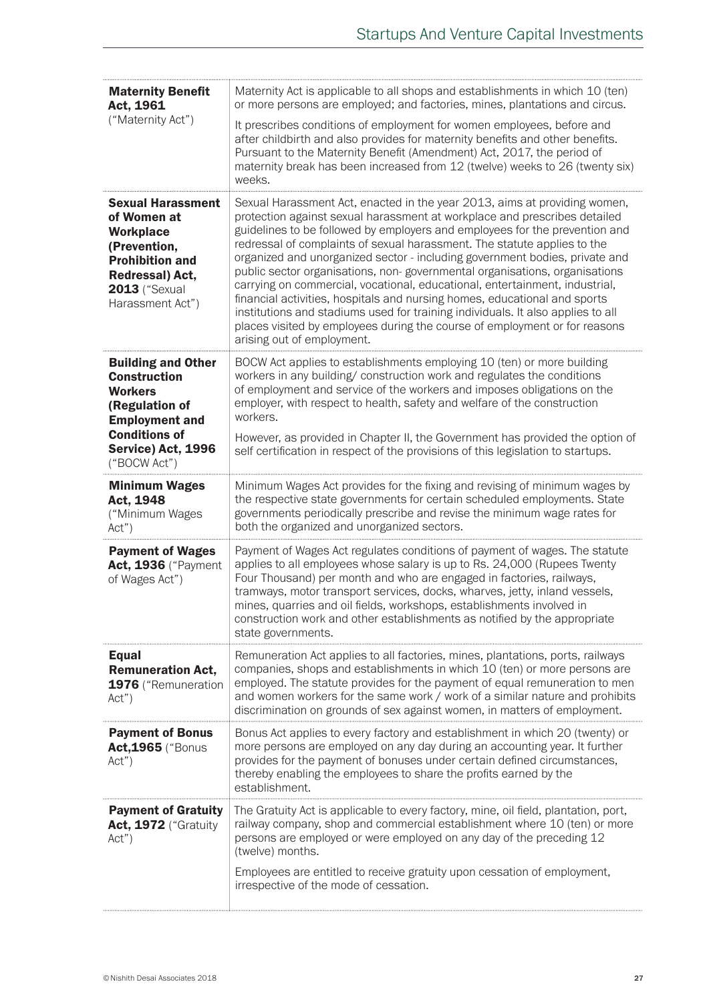| <b>Maternity Benefit</b><br>Act, 1961                                                                                                                                | Maternity Act is applicable to all shops and establishments in which 10 (ten)<br>or more persons are employed; and factories, mines, plantations and circus.                                                                                                                                                                                                                                                                                                                                                                                                                                                                                                                                                                                                                                                                              |
|----------------------------------------------------------------------------------------------------------------------------------------------------------------------|-------------------------------------------------------------------------------------------------------------------------------------------------------------------------------------------------------------------------------------------------------------------------------------------------------------------------------------------------------------------------------------------------------------------------------------------------------------------------------------------------------------------------------------------------------------------------------------------------------------------------------------------------------------------------------------------------------------------------------------------------------------------------------------------------------------------------------------------|
| ("Maternity Act")                                                                                                                                                    | It prescribes conditions of employment for women employees, before and<br>after childbirth and also provides for maternity benefits and other benefits.<br>Pursuant to the Maternity Benefit (Amendment) Act, 2017, the period of<br>maternity break has been increased from 12 (twelve) weeks to 26 (twenty six)<br>weeks.                                                                                                                                                                                                                                                                                                                                                                                                                                                                                                               |
| <b>Sexual Harassment</b><br>of Women at<br><b>Workplace</b><br>(Prevention,<br><b>Prohibition and</b><br>Redressal) Act,<br><b>2013</b> ("Sexual<br>Harassment Act") | Sexual Harassment Act, enacted in the year 2013, aims at providing women,<br>protection against sexual harassment at workplace and prescribes detailed<br>guidelines to be followed by employers and employees for the prevention and<br>redressal of complaints of sexual harassment. The statute applies to the<br>organized and unorganized sector - including government bodies, private and<br>public sector organisations, non-governmental organisations, organisations<br>carrying on commercial, vocational, educational, entertainment, industrial,<br>financial activities, hospitals and nursing homes, educational and sports<br>institutions and stadiums used for training individuals. It also applies to all<br>places visited by employees during the course of employment or for reasons<br>arising out of employment. |
| <b>Building and Other</b><br><b>Construction</b><br><b>Workers</b><br>(Regulation of<br><b>Employment and</b><br><b>Conditions of</b><br>Service) Act, 1996          | BOCW Act applies to establishments employing 10 (ten) or more building<br>workers in any building/ construction work and regulates the conditions<br>of employment and service of the workers and imposes obligations on the<br>employer, with respect to health, safety and welfare of the construction<br>workers.<br>However, as provided in Chapter II, the Government has provided the option of<br>self certification in respect of the provisions of this legislation to startups.                                                                                                                                                                                                                                                                                                                                                 |
| ("BOCW Act")                                                                                                                                                         |                                                                                                                                                                                                                                                                                                                                                                                                                                                                                                                                                                                                                                                                                                                                                                                                                                           |
| <b>Minimum Wages</b><br>Act, 1948<br>("Minimum Wages<br>Act")                                                                                                        | Minimum Wages Act provides for the fixing and revising of minimum wages by<br>the respective state governments for certain scheduled employments. State<br>governments periodically prescribe and revise the minimum wage rates for<br>both the organized and unorganized sectors.                                                                                                                                                                                                                                                                                                                                                                                                                                                                                                                                                        |
| <b>Payment of Wages</b><br><b>Act, 1936</b> ("Payment<br>of Wages Act")                                                                                              | Payment of Wages Act regulates conditions of payment of wages. The statute<br>applies to all employees whose salary is up to Rs. 24,000 (Rupees Twenty<br>Four Thousand) per month and who are engaged in factories, railways,<br>tramways, motor transport services, docks, wharves, jetty, inland vessels,<br>mines, quarries and oil fields, workshops, establishments involved in<br>construction work and other establishments as notified by the appropriate<br>state governments.                                                                                                                                                                                                                                                                                                                                                  |
| <b>Equal</b><br><b>Remuneration Act,</b><br>1976 ("Remuneration<br>Act")                                                                                             | Remuneration Act applies to all factories, mines, plantations, ports, railways<br>companies, shops and establishments in which 10 (ten) or more persons are<br>employed. The statute provides for the payment of equal remuneration to men<br>and women workers for the same work / work of a similar nature and prohibits<br>discrimination on grounds of sex against women, in matters of employment.                                                                                                                                                                                                                                                                                                                                                                                                                                   |
| <b>Payment of Bonus</b><br><b>Act, 1965</b> ("Bonus<br>Act")                                                                                                         | Bonus Act applies to every factory and establishment in which 20 (twenty) or<br>more persons are employed on any day during an accounting year. It further<br>provides for the payment of bonuses under certain defined circumstances,<br>thereby enabling the employees to share the profits earned by the<br>establishment.                                                                                                                                                                                                                                                                                                                                                                                                                                                                                                             |
| <b>Payment of Gratuity</b><br>Act, 1972 ("Gratuity<br>Act")                                                                                                          | The Gratuity Act is applicable to every factory, mine, oil field, plantation, port,<br>railway company, shop and commercial establishment where 10 (ten) or more<br>persons are employed or were employed on any day of the preceding 12<br>(twelve) months.<br>Employees are entitled to receive gratuity upon cessation of employment,<br>irrespective of the mode of cessation.                                                                                                                                                                                                                                                                                                                                                                                                                                                        |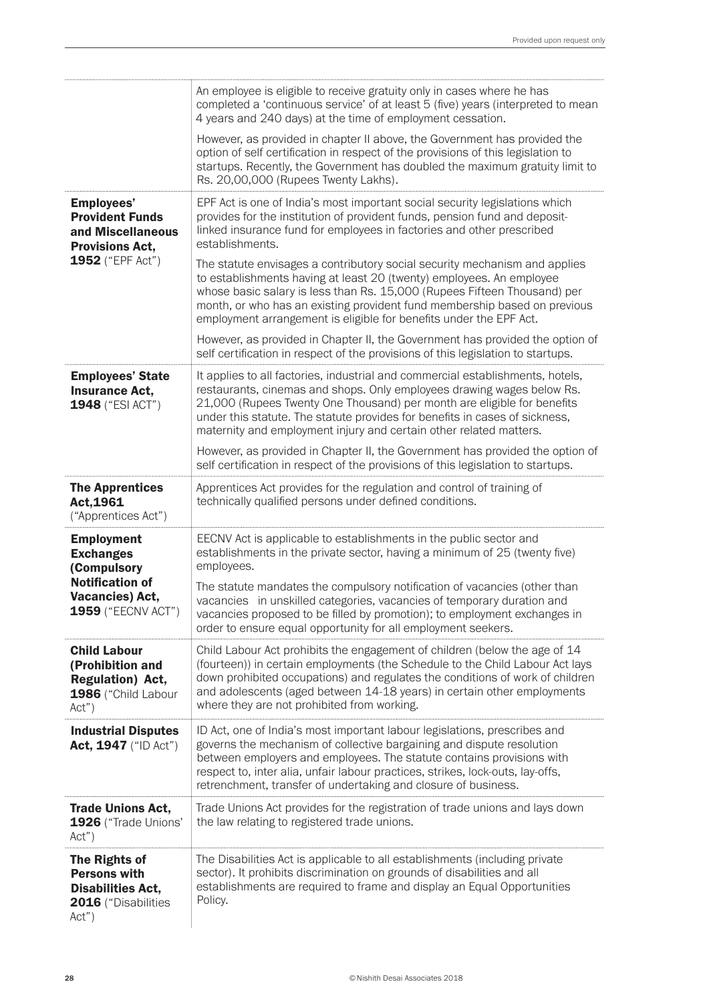|                                                                                                    | An employee is eligible to receive gratuity only in cases where he has<br>completed a 'continuous service' of at least 5 (five) years (interpreted to mean<br>4 years and 240 days) at the time of employment cessation.                                                                                                                                                                 |
|----------------------------------------------------------------------------------------------------|------------------------------------------------------------------------------------------------------------------------------------------------------------------------------------------------------------------------------------------------------------------------------------------------------------------------------------------------------------------------------------------|
|                                                                                                    | However, as provided in chapter II above, the Government has provided the<br>option of self certification in respect of the provisions of this legislation to<br>startups. Recently, the Government has doubled the maximum gratuity limit to<br>Rs. 20,00,000 (Rupees Twenty Lakhs).                                                                                                    |
| <b>Employees'</b><br><b>Provident Funds</b><br>and Miscellaneous<br><b>Provisions Act,</b>         | EPF Act is one of India's most important social security legislations which<br>provides for the institution of provident funds, pension fund and deposit-<br>linked insurance fund for employees in factories and other prescribed<br>establishments.                                                                                                                                    |
| 1952 ("EPF Act")                                                                                   | The statute envisages a contributory social security mechanism and applies<br>to establishments having at least 20 (twenty) employees. An employee<br>whose basic salary is less than Rs. 15,000 (Rupees Fifteen Thousand) per<br>month, or who has an existing provident fund membership based on previous<br>employment arrangement is eligible for benefits under the EPF Act.        |
|                                                                                                    | However, as provided in Chapter II, the Government has provided the option of<br>self certification in respect of the provisions of this legislation to startups.                                                                                                                                                                                                                        |
| <b>Employees' State</b><br><b>Insurance Act,</b><br>1948 ("ESI ACT")                               | It applies to all factories, industrial and commercial establishments, hotels,<br>restaurants, cinemas and shops. Only employees drawing wages below Rs.<br>21,000 (Rupees Twenty One Thousand) per month are eligible for benefits<br>under this statute. The statute provides for benefits in cases of sickness,<br>maternity and employment injury and certain other related matters. |
|                                                                                                    | However, as provided in Chapter II, the Government has provided the option of<br>self certification in respect of the provisions of this legislation to startups.                                                                                                                                                                                                                        |
| <b>The Apprentices</b><br>Act, 1961<br>("Apprentices Act")                                         | Apprentices Act provides for the regulation and control of training of<br>technically qualified persons under defined conditions.                                                                                                                                                                                                                                                        |
| <b>Employment</b><br><b>Exchanges</b><br>(Compulsory                                               | EECNV Act is applicable to establishments in the public sector and<br>establishments in the private sector, having a minimum of 25 (twenty five)<br>employees.                                                                                                                                                                                                                           |
| <b>Notification of</b><br><b>Vacancies) Act,</b><br>1959 ("EECNV ACT")                             | The statute mandates the compulsory notification of vacancies (other than<br>vacancies in unskilled categories, vacancies of temporary duration and<br>vacancies proposed to be filled by promotion); to employment exchanges in<br>order to ensure equal opportunity for all employment seekers.                                                                                        |
| <b>Child Labour</b><br>(Prohibition and<br><b>Regulation) Act,</b><br>1986 ("Child Labour<br>Act") | Child Labour Act prohibits the engagement of children (below the age of 14<br>(fourteen)) in certain employments (the Schedule to the Child Labour Act lays<br>down prohibited occupations) and regulates the conditions of work of children<br>and adolescents (aged between 14-18 years) in certain other employments<br>where they are not prohibited from working.                   |
| <b>Industrial Disputes</b><br>Act, 1947 ("ID Act")                                                 | ID Act, one of India's most important labour legislations, prescribes and<br>governs the mechanism of collective bargaining and dispute resolution<br>between employers and employees. The statute contains provisions with<br>respect to, inter alia, unfair labour practices, strikes, lock-outs, lay-offs,<br>retrenchment, transfer of undertaking and closure of business.          |
| <b>Trade Unions Act,</b><br>1926 ("Trade Unions"<br>Act")                                          | Trade Unions Act provides for the registration of trade unions and lays down<br>the law relating to registered trade unions.                                                                                                                                                                                                                                                             |
| The Rights of<br><b>Persons with</b><br><b>Disabilities Act,</b><br>2016 ("Disabilities<br>Act")   | The Disabilities Act is applicable to all establishments (including private<br>sector). It prohibits discrimination on grounds of disabilities and all<br>establishments are required to frame and display an Equal Opportunities<br>Policy.                                                                                                                                             |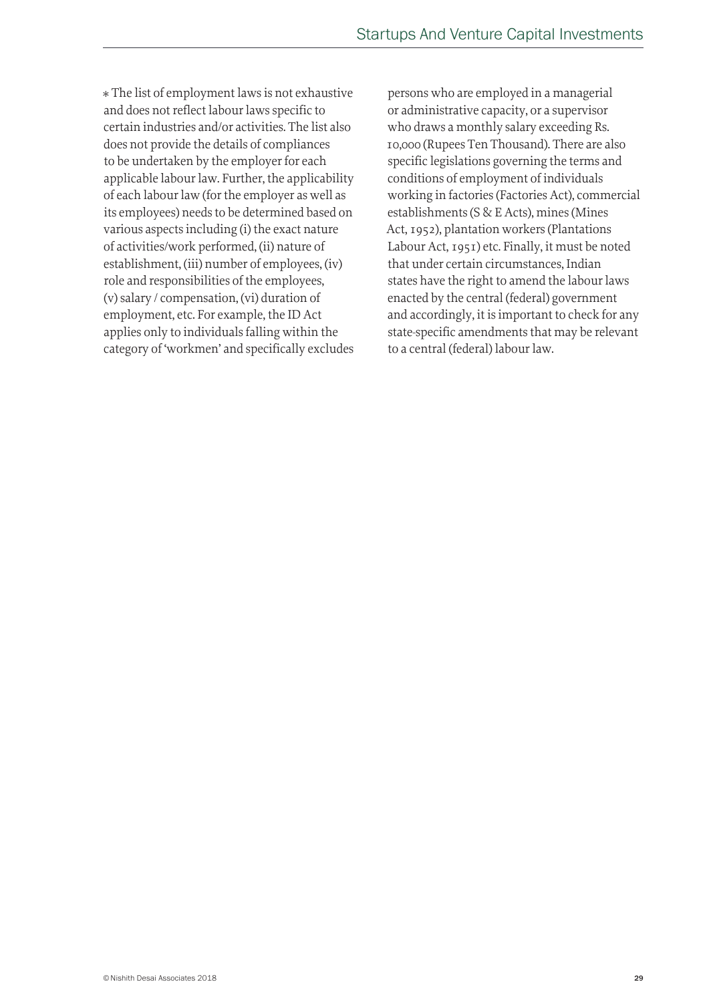\* The list of employment laws is not exhaustive and does not reflect labour laws specific to certain industries and/or activities. The list also does not provide the details of compliances to be undertaken by the employer for each applicable labour law. Further, the applicability of each labour law (for the employer as well as its employees) needs to be determined based on various aspects including (i) the exact nature of activities/work performed, (ii) nature of establishment, (iii) number of employees, (iv) role and responsibilities of the employees, (v) salary / compensation, (vi) duration of employment, etc. For example, the ID Act applies only to individuals falling within the category of 'workmen' and specifically excludes

persons who are employed in a managerial or administrative capacity, or a supervisor who draws a monthly salary exceeding Rs. 10,000 (Rupees Ten Thousand). There are also specific legislations governing the terms and conditions of employment of individuals working in factories (Factories Act), commercial establishments (S & E Acts), mines (Mines Act, 1952), plantation workers (Plantations Labour Act, 1951) etc. Finally, it must be noted that under certain circumstances, Indian states have the right to amend the labour laws enacted by the central (federal) government and accordingly, it is important to check for any state-specific amendments that may be relevant to a central (federal) labour law.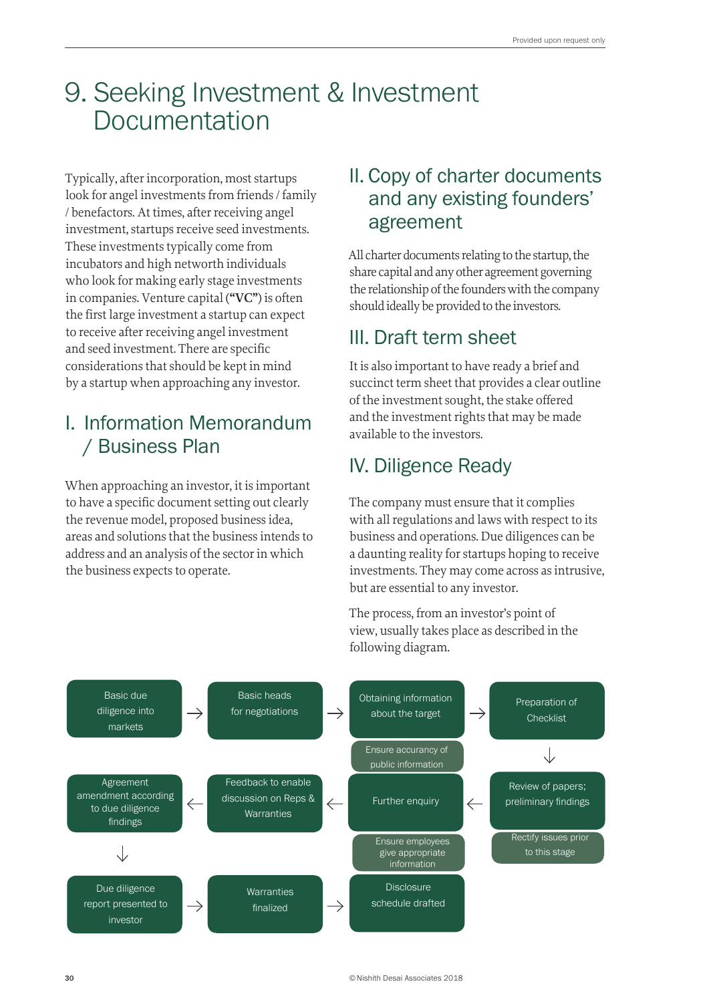## 9. Seeking Investment & Investment Documentation

Typically, after incorporation, most startups look for angel investments from friends / family / benefactors. At times, after receiving angel investment, startups receive seed investments. These investments typically come from incubators and high networth individuals who look for making early stage investments in companies. Venture capital (**"VC"**) is often the first large investment a startup can expect to receive after receiving angel investment and seed investment. There are specific considerations that should be kept in mind by a startup when approaching any investor.

## I. Information Memorandum / Business Plan

When approaching an investor, it is important to have a specific document setting out clearly the revenue model, proposed business idea, areas and solutions that the business intends to address and an analysis of the sector in which the business expects to operate.

## II. Copy of charter documents and any existing founders' agreement

All charter documents relating to the startup, the share capital and any other agreement governing the relationship of the founders with the company should ideally be provided to the investors.

## III. Draft term sheet

It is also important to have ready a brief and succinct term sheet that provides a clear outline of the investment sought, the stake offered and the investment rights that may be made available to the investors.

## IV. Diligence Ready

The company must ensure that it complies with all regulations and laws with respect to its business and operations. Due diligences can be a daunting reality for startups hoping to receive investments. They may come across as intrusive, but are essential to any investor.

The process, from an investor's point of view, usually takes place as described in the following diagram.

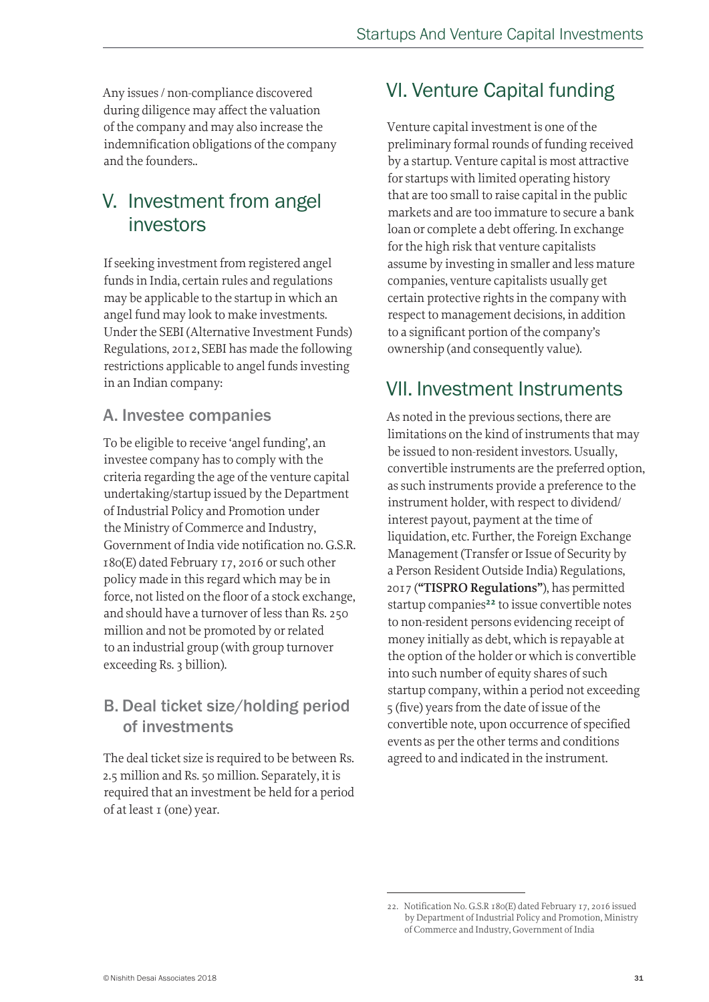Any issues / non-compliance discovered during diligence may affect the valuation of the company and may also increase the indemnification obligations of the company and the founders..

## V. Investment from angel investors

If seeking investment from registered angel funds in India, certain rules and regulations may be applicable to the startup in which an angel fund may look to make investments. Under the SEBI (Alternative Investment Funds) Regulations, 2012, SEBI has made the following restrictions applicable to angel funds investing in an Indian company:

### A. Investee companies

To be eligible to receive 'angel funding', an investee company has to comply with the criteria regarding the age of the venture capital undertaking/startup issued by the Department of Industrial Policy and Promotion under the Ministry of Commerce and Industry, Government of India vide notification no. G.S.R. 180(E) dated February 17, 2016 or such other policy made in this regard which may be in force, not listed on the floor of a stock exchange, and should have a turnover of less than Rs. 250 million and not be promoted by or related to an industrial group (with group turnover exceeding Rs. 3 billion).

### B. Deal ticket size/holding period of investments

The deal ticket size is required to be between Rs. 2.5 million and Rs. 50 million. Separately, it is required that an investment be held for a period of at least 1 (one) year.

## VI. Venture Capital funding

Venture capital investment is one of the preliminary formal rounds of funding received by a startup. Venture capital is most attractive for startups with limited operating history that are too small to raise capital in the public markets and are too immature to secure a bank loan or complete a debt offering. In exchange for the high risk that venture capitalists assume by investing in smaller and less mature companies, venture capitalists usually get certain protective rights in the company with respect to management decisions, in addition to a significant portion of the company's ownership (and consequently value).

## VII. Investment Instruments

As noted in the previous sections, there are limitations on the kind of instruments that may be issued to non-resident investors. Usually, convertible instruments are the preferred option, as such instruments provide a preference to the instrument holder, with respect to dividend/ interest payout, payment at the time of liquidation, etc. Further, the Foreign Exchange Management (Transfer or Issue of Security by a Person Resident Outside India) Regulations, 2017 (**"TISPRO Regulations"**), has permitted startup companies<sup>22</sup> to issue convertible notes to non-resident persons evidencing receipt of money initially as debt, which is repayable at the option of the holder or which is convertible into such number of equity shares of such startup company, within a period not exceeding 5 (five) years from the date of issue of the convertible note, upon occurrence of specified events as per the other terms and conditions agreed to and indicated in the instrument.

<sup>22.</sup> Notification No. G.S.R 180(E) dated February 17, 2016 issued by Department of Industrial Policy and Promotion, Ministry of Commerce and Industry, Government of India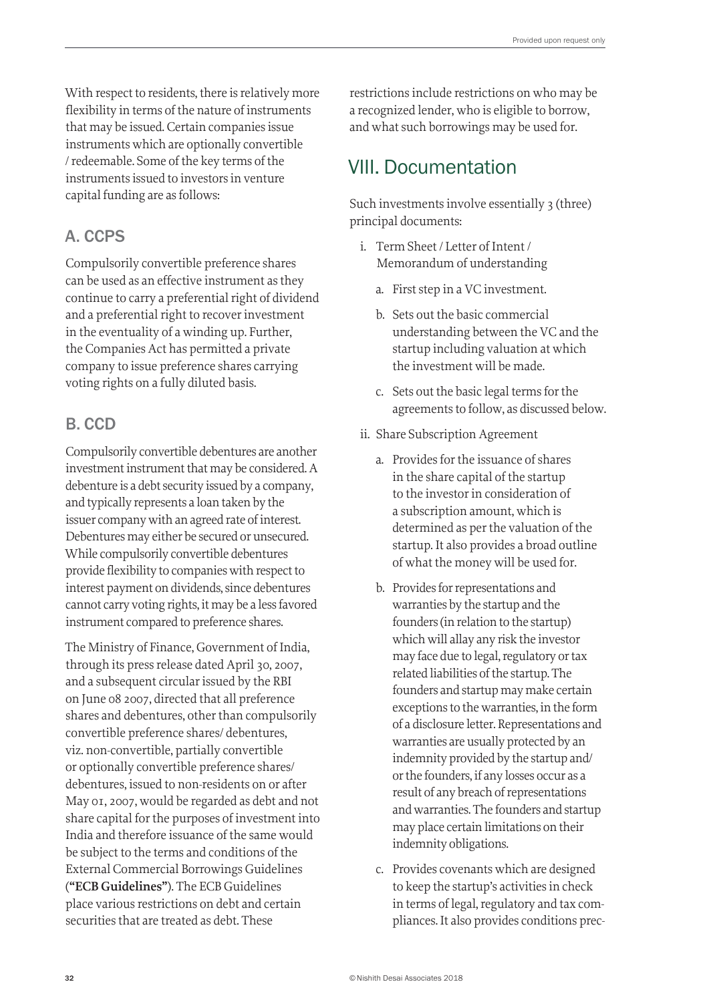With respect to residents, there is relatively more flexibility in terms of the nature of instruments that may be issued. Certain companies issue instruments which are optionally convertible / redeemable. Some of the key terms of the instruments issued to investors in venture capital funding are as follows:

### A. CCPS

Compulsorily convertible preference shares can be used as an effective instrument as they continue to carry a preferential right of dividend and a preferential right to recover investment in the eventuality of a winding up. Further, the Companies Act has permitted a private company to issue preference shares carrying voting rights on a fully diluted basis.

### B. CCD

Compulsorily convertible debentures are another investment instrument that may be considered. A debenture is a debt security issued by a company, and typically represents a loan taken by the issuer company with an agreed rate of interest. Debentures may either be secured or unsecured. While compulsorily convertible debentures provide flexibility to companies with respect to interest payment on dividends, since debentures cannot carry voting rights, it may be a less favored instrument compared to preference shares.

The Ministry of Finance, Government of India, through its press release dated April 30, 2007, and a subsequent circular issued by the RBI on June 08 2007, directed that all preference shares and debentures, other than compulsorily convertible preference shares/ debentures, viz. non-convertible, partially convertible or optionally convertible preference shares/ debentures, issued to non-residents on or after May 01, 2007, would be regarded as debt and not share capital for the purposes of investment into India and therefore issuance of the same would be subject to the terms and conditions of the External Commercial Borrowings Guidelines (**"ECB Guidelines"**). The ECB Guidelines place various restrictions on debt and certain securities that are treated as debt. These

restrictions include restrictions on who may be a recognized lender, who is eligible to borrow, and what such borrowings may be used for.

## VIII. Documentation

Such investments involve essentially 3 (three) principal documents:

- i. Term Sheet / Letter of Intent / Memorandum of understanding
	- a. First step in a VC investment.
	- b. Sets out the basic commercial understanding between the VC and the startup including valuation at which the investment will be made.
	- c. Sets out the basic legal terms for the agreements to follow, as discussed below.
- ii. Share Subscription Agreement
	- a. Provides for the issuance of shares in the share capital of the startup to the investor in consideration of a subscription amount, which is determined as per the valuation of the startup. It also provides a broad outline of what the money will be used for.
	- b. Provides for representations and warranties by the startup and the founders (in relation to the startup) which will allay any risk the investor may face due to legal, regulatory or tax related liabilities of the startup. The founders and startup may make certain exceptions to the warranties, in the form of a disclosure letter. Representations and warranties are usually protected by an indemnity provided by the startup and/ or the founders, if any losses occur as a result of any breach of representations and warranties. The founders and startup may place certain limitations on their indemnity obligations.
	- c. Provides covenants which are designed to keep the startup's activities in check in terms of legal, regulatory and tax compliances. It also provides conditions prec-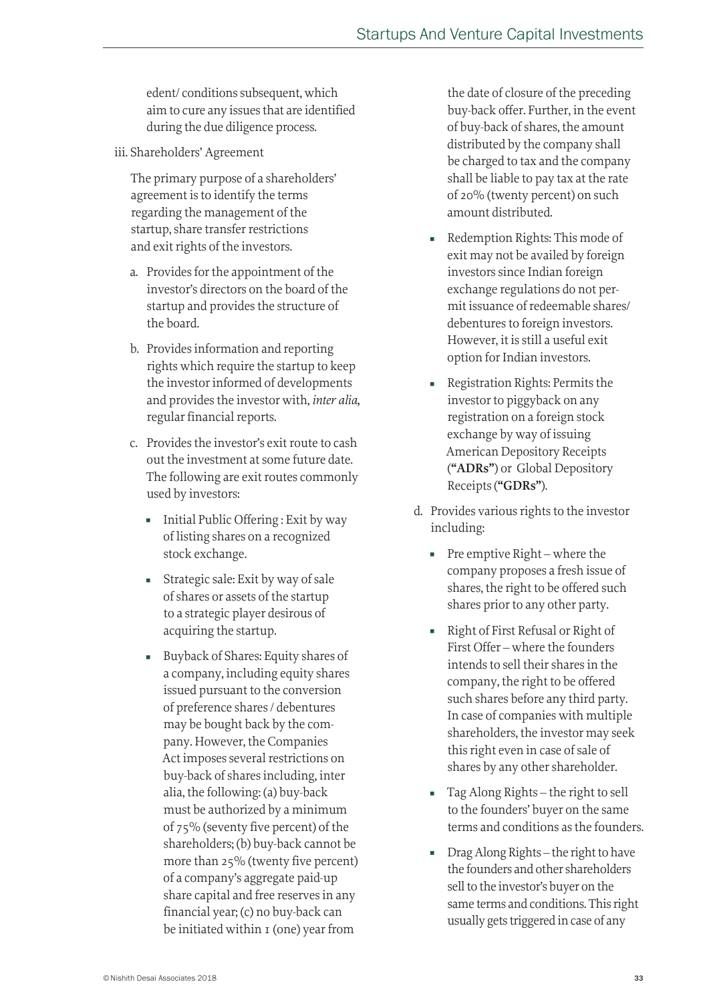edent/ conditions subsequent, which aim to cure any issues that are identified during the due diligence process.

iii. Shareholders' Agreement

The primary purpose of a shareholders' agreement is to identify the terms regarding the management of the startup, share transfer restrictions and exit rights of the investors.

- a. Provides for the appointment of the investor's directors on the board of the startup and provides the structure of the board.
- b. Provides information and reporting rights which require the startup to keep the investor informed of developments and provides the investor with, *inter alia,* regular financial reports.
- c. Provides the investor's exit route to cash out the investment at some future date. The following are exit routes commonly used by investors:
	- Initial Public Offering : Exit by way of listing shares on a recognized stock exchange.
	- Strategic sale: Exit by way of sale of shares or assets of the startup to a strategic player desirous of acquiring the startup.
	- Buyback of Shares: Equity shares of a company, including equity shares issued pursuant to the conversion of preference shares / debentures may be bought back by the company. However, the Companies Act imposes several restrictions on buy-back of shares including, inter alia, the following: (a) buy-back must be authorized by a minimum of 75% (seventy five percent) of the shareholders; (b) buy-back cannot be more than 25% (twenty five percent) of a company's aggregate paid-up share capital and free reserves in any financial year; (c) no buy-back can be initiated within 1 (one) year from

the date of closure of the preceding buy-back offer. Further, in the event of buy-back of shares, the amount distributed by the company shall be charged to tax and the company shall be liable to pay tax at the rate of 20% (twenty percent) on such amount distributed.

- Redemption Rights: This mode of exit may not be availed by foreign investors since Indian foreign exchange regulations do not permit issuance of redeemable shares/ debentures to foreign investors. However, it is still a useful exit option for Indian investors.
- Registration Rights: Permits the investor to piggyback on any registration on a foreign stock exchange by way of issuing American Depository Receipts (**"ADRs"**) or Global Depository Receipts (**"GDRs"**).
- d. Provides various rights to the investor including:
	- $\blacksquare$  Pre emptive Right where the company proposes a fresh issue of shares, the right to be offered such shares prior to any other party.
	- Right of First Refusal or Right of First Offer – where the founders intends to sell their shares in the company, the right to be offered such shares before any third party. In case of companies with multiple shareholders, the investor may seek this right even in case of sale of shares by any other shareholder.
	- Tag Along Rights the right to sell to the founders' buyer on the same terms and conditions as the founders.
	- Drag Along Rights the right to have the founders and other shareholders sell to the investor's buyer on the same terms and conditions. This right usually gets triggered in case of any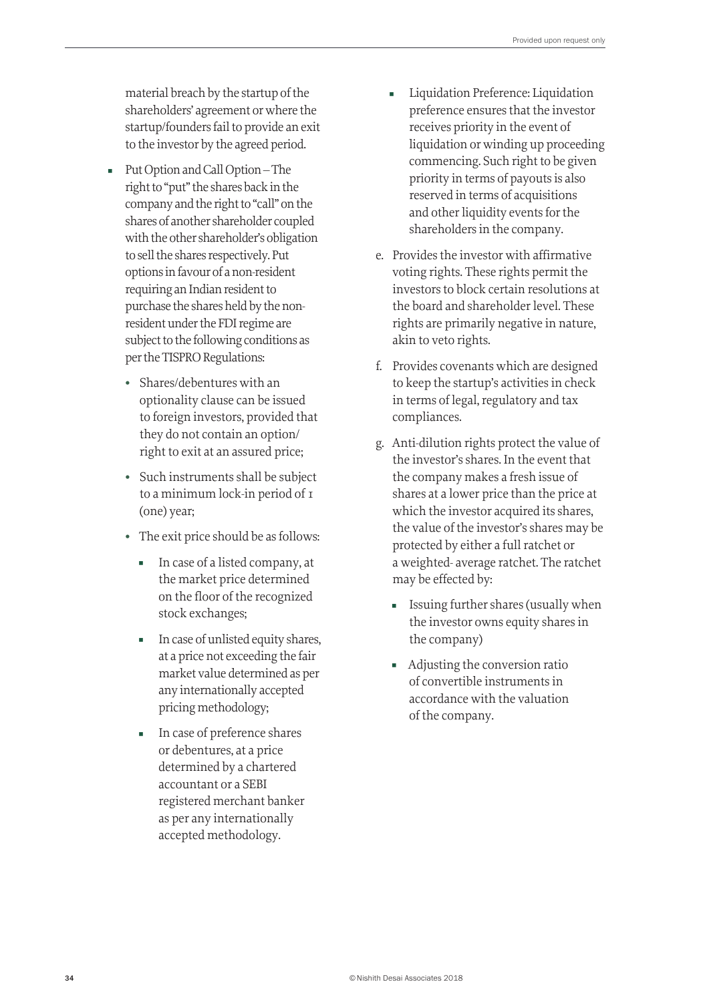material breach by the startup of the shareholders' agreement or where the startup/founders fail to provide an exit to the investor by the agreed period.

- Put Option and Call Option The right to "put" the shares back in the company and the right to "call" on the shares of another shareholder coupled with the other shareholder's obligation to sell the shares respectively. Put options in favour of a non-resident requiring an Indian resident to purchase the shares held by the nonresident under the FDI regime are subject to the following conditions as per the TISPRO Regulations:
	- Shares/debentures with an optionality clause can be issued to foreign investors, provided that they do not contain an option/ right to exit at an assured price;
	- Such instruments shall be subject to a minimum lock-in period of 1 (one) year;
	- The exit price should be as follows:
		- In case of a listed company, at the market price determined on the floor of the recognized stock exchanges;
		- In case of unlisted equity shares, at a price not exceeding the fair market value determined as per any internationally accepted pricing methodology;
		- In case of preference shares or debentures, at a price determined by a chartered accountant or a SEBI registered merchant banker as per any internationally accepted methodology.
- Liquidation Preference: Liquidation preference ensures that the investor receives priority in the event of liquidation or winding up proceeding commencing. Such right to be given priority in terms of payouts is also reserved in terms of acquisitions and other liquidity events for the shareholders in the company.
- e. Provides the investor with affirmative voting rights. These rights permit the investors to block certain resolutions at the board and shareholder level. These rights are primarily negative in nature, akin to veto rights.
- f. Provides covenants which are designed to keep the startup's activities in check in terms of legal, regulatory and tax compliances.
- g. Anti-dilution rights protect the value of the investor's shares. In the event that the company makes a fresh issue of shares at a lower price than the price at which the investor acquired its shares, the value of the investor's shares may be protected by either a full ratchet or a weighted- average ratchet. The ratchet may be effected by:
	- Issuing further shares (usually when the investor owns equity shares in the company)
	- Adjusting the conversion ratio of convertible instruments in accordance with the valuation of the company.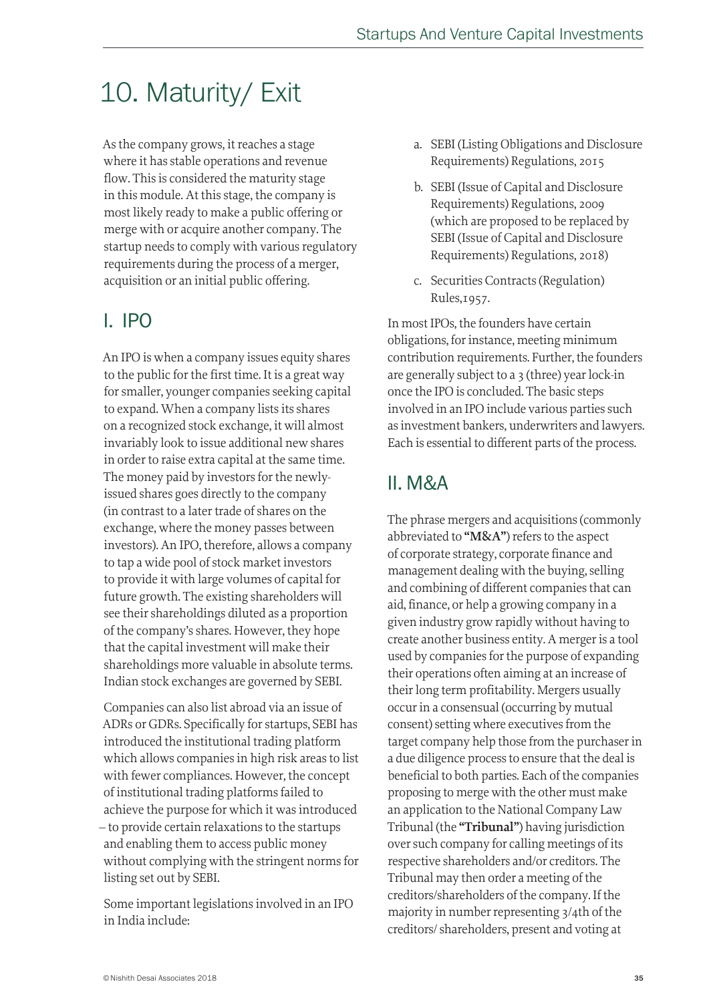## 10. Maturity/ Exit

As the company grows, it reaches a stage where it has stable operations and revenue flow. This is considered the maturity stage in this module. At this stage, the company is most likely ready to make a public offering or merge with or acquire another company. The startup needs to comply with various regulatory requirements during the process of a merger, acquisition or an initial public offering.

## I. IPO

An IPO is when a company issues equity shares to the public for the first time. It is a great way for smaller, younger companies seeking capital to expand. When a company lists its shares on a recognized stock exchange, it will almost invariably look to issue additional new shares in order to raise extra capital at the same time. The money paid by investors for the newlyissued shares goes directly to the company (in contrast to a later trade of shares on the exchange, where the money passes between investors). An IPO, therefore, allows a company to tap a wide pool of stock market investors to provide it with large volumes of capital for future growth. The existing shareholders will see their shareholdings diluted as a proportion of the company's shares. However, they hope that the capital investment will make their shareholdings more valuable in absolute terms. Indian stock exchanges are governed by SEBI.

Companies can also list abroad via an issue of ADRs or GDRs. Specifically for startups, SEBI has introduced the institutional trading platform which allows companies in high risk areas to list with fewer compliances. However, the concept of institutional trading platforms failed to achieve the purpose for which it was introduced – to provide certain relaxations to the startups and enabling them to access public money without complying with the stringent norms for listing set out by SEBI.

Some important legislations involved in an IPO in India include:

- a. SEBI (Listing Obligations and Disclosure Requirements) Regulations, 2015
- b. SEBI (Issue of Capital and Disclosure Requirements) Regulations, 2009 (which are proposed to be replaced by SEBI (Issue of Capital and Disclosure Requirements) Regulations, 2018)
- c. Securities Contracts (Regulation) Rules,1957.

In most IPOs, the founders have certain obligations, for instance, meeting minimum contribution requirements. Further, the founders are generally subject to a 3 (three) year lock-in once the IPO is concluded. The basic steps involved in an IPO include various parties such as investment bankers, underwriters and lawyers. Each is essential to different parts of the process.

## II. M&A

The phrase mergers and acquisitions (commonly abbreviated to **"M&A"**) refers to the aspect of corporate strategy, corporate finance and management dealing with the buying, selling and combining of different companies that can aid, finance, or help a growing company in a given industry grow rapidly without having to create another business entity. A merger is a tool used by companies for the purpose of expanding their operations often aiming at an increase of their long term profitability. Mergers usually occur in a consensual (occurring by mutual consent) setting where executives from the target company help those from the purchaser in a due diligence process to ensure that the deal is beneficial to both parties. Each of the companies proposing to merge with the other must make an application to the National Company Law Tribunal (the **"Tribunal"**) having jurisdiction over such company for calling meetings of its respective shareholders and/or creditors. The Tribunal may then order a meeting of the creditors/shareholders of the company. If the majority in number representing 3/4th of the creditors/ shareholders, present and voting at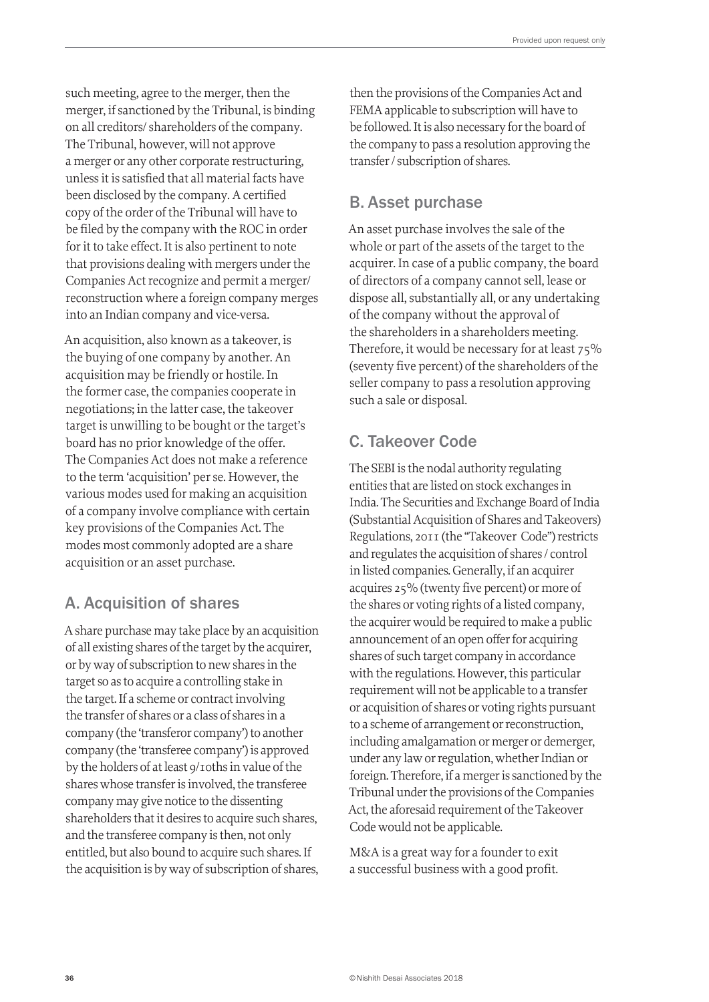such meeting, agree to the merger, then the merger, if sanctioned by the Tribunal, is binding on all creditors/ shareholders of the company. The Tribunal, however, will not approve a merger or any other corporate restructuring, unless it is satisfied that all material facts have been disclosed by the company. A certified copy of the order of the Tribunal will have to be filed by the company with the ROC in order for it to take effect. It is also pertinent to note that provisions dealing with mergers under the Companies Act recognize and permit a merger/ reconstruction where a foreign company merges into an Indian company and vice-versa.

An acquisition, also known as a takeover, is the buying of one company by another. An acquisition may be friendly or hostile. In the former case, the companies cooperate in negotiations; in the latter case, the takeover target is unwilling to be bought or the target's board has no prior knowledge of the offer. The Companies Act does not make a reference to the term 'acquisition' per se. However, the various modes used for making an acquisition of a company involve compliance with certain key provisions of the Companies Act. The modes most commonly adopted are a share acquisition or an asset purchase.

### A. Acquisition of shares

A share purchase may take place by an acquisition of all existing shares of the target by the acquirer, or by way of subscription to new shares in the target so as to acquire a controlling stake in the target. If a scheme or contract involving the transfer of shares or a class of shares in a company (the 'transferor company') to another company (the 'transferee company') is approved by the holders of at least 9/10ths in value of the shares whose transfer is involved, the transferee company may give notice to the dissenting shareholders that it desires to acquire such shares, and the transferee company is then, not only entitled, but also bound to acquire such shares. If the acquisition is by way of subscription of shares,

then the provisions of the Companies Act and FEMA applicable to subscription will have to be followed. It is also necessary for the board of the company to pass a resolution approving the transfer / subscription of shares.

### B. Asset purchase

An asset purchase involves the sale of the whole or part of the assets of the target to the acquirer. In case of a public company, the board of directors of a company cannot sell, lease or dispose all, substantially all, or any undertaking of the company without the approval of the shareholders in a shareholders meeting. Therefore, it would be necessary for at least 75% (seventy five percent) of the shareholders of the seller company to pass a resolution approving such a sale or disposal.

## C. Takeover Code

The SEBI is the nodal authority regulating entities that are listed on stock exchanges in India. The Securities and Exchange Board of India (Substantial Acquisition of Shares and Takeovers) Regulations, 2011 (the "Takeover Code") restricts and regulates the acquisition of shares / control in listed companies. Generally, if an acquirer acquires 25% (twenty five percent) or more of the shares or voting rights of a listed company, the acquirer would be required to make a public announcement of an open offer for acquiring shares of such target company in accordance with the regulations. However, this particular requirement will not be applicable to a transfer or acquisition of shares or voting rights pursuant to a scheme of arrangement or reconstruction, including amalgamation or merger or demerger, under any law or regulation, whether Indian or foreign. Therefore, if a merger is sanctioned by the Tribunal under the provisions of the Companies Act, the aforesaid requirement of the Takeover Code would not be applicable.

M&A is a great way for a founder to exit a successful business with a good profit.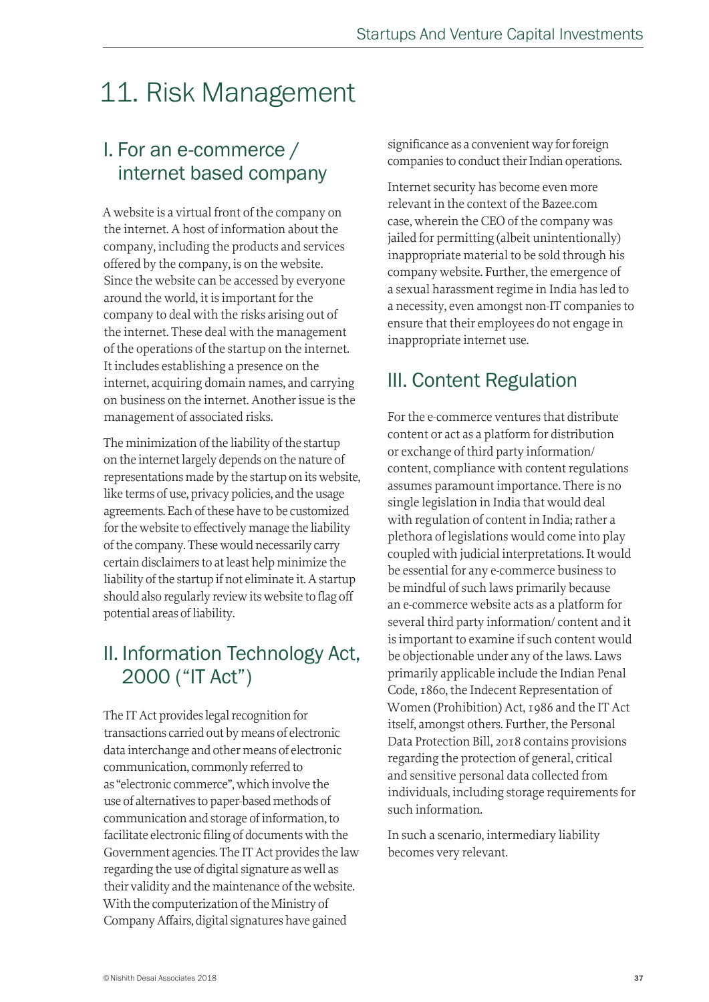## 11. Risk Management

## I. For an e-commerce / internet based company

A website is a virtual front of the company on the internet. A host of information about the company, including the products and services offered by the company, is on the website. Since the website can be accessed by everyone around the world, it is important for the company to deal with the risks arising out of the internet. These deal with the management of the operations of the startup on the internet. It includes establishing a presence on the internet, acquiring domain names, and carrying on business on the internet. Another issue is the management of associated risks.

The minimization of the liability of the startup on the internet largely depends on the nature of representations made by the startup on its website, like terms of use, privacy policies, and the usage agreements. Each of these have to be customized for the website to effectively manage the liability of the company. These would necessarily carry certain disclaimers to at least help minimize the liability of the startup if not eliminate it. A startup should also regularly review its website to flag off potential areas of liability.

## II. Information Technology Act, 2000 ("IT Act")

The IT Act provides legal recognition for transactions carried out by means of electronic data interchange and other means of electronic communication, commonly referred to as "electronic commerce", which involve the use of alternatives to paper-based methods of communication and storage of information, to facilitate electronic filing of documents with the Government agencies. The IT Act provides the law regarding the use of digital signature as well as their validity and the maintenance of the website. With the computerization of the Ministry of Company Affairs, digital signatures have gained

significance as a convenient way for foreign companies to conduct their Indian operations.

Internet security has become even more relevant in the context of the Bazee.com case, wherein the CEO of the company was jailed for permitting (albeit unintentionally) inappropriate material to be sold through his company website. Further, the emergence of a sexual harassment regime in India has led to a necessity, even amongst non-IT companies to ensure that their employees do not engage in inappropriate internet use.

## III. Content Regulation

For the e-commerce ventures that distribute content or act as a platform for distribution or exchange of third party information/ content, compliance with content regulations assumes paramount importance. There is no single legislation in India that would deal with regulation of content in India; rather a plethora of legislations would come into play coupled with judicial interpretations. It would be essential for any e-commerce business to be mindful of such laws primarily because an e-commerce website acts as a platform for several third party information/ content and it is important to examine if such content would be objectionable under any of the laws. Laws primarily applicable include the Indian Penal Code, 1860, the Indecent Representation of Women (Prohibition) Act, 1986 and the IT Act itself, amongst others. Further, the Personal Data Protection Bill, 2018 contains provisions regarding the protection of general, critical and sensitive personal data collected from individuals, including storage requirements for such information.

In such a scenario, intermediary liability becomes very relevant.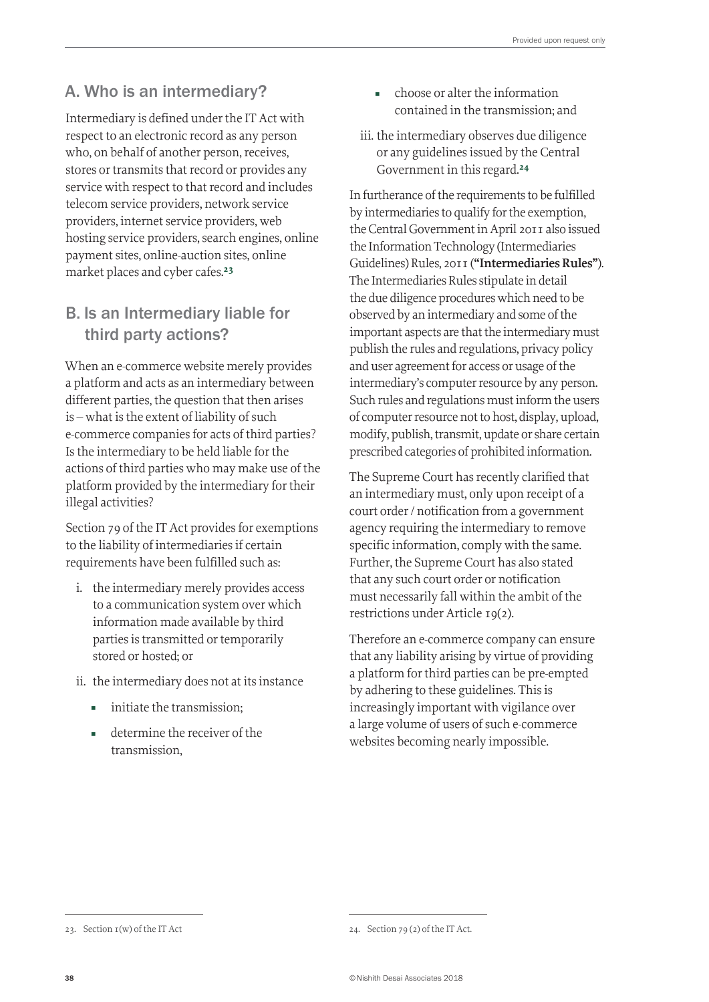## A. Who is an intermediary?

Intermediary is defined under the IT Act with respect to an electronic record as any person who, on behalf of another person, receives, stores or transmits that record or provides any service with respect to that record and includes telecom service providers, network service providers, internet service providers, web hosting service providers, search engines, online payment sites, online-auction sites, online market places and cyber cafes.<sup>23</sup>

### B. Is an Intermediary liable for third party actions?

When an e-commerce website merely provides a platform and acts as an intermediary between different parties, the question that then arises is – what is the extent of liability of such e-commerce companies for acts of third parties? Is the intermediary to be held liable for the actions of third parties who may make use of the platform provided by the intermediary for their illegal activities?

Section 79 of the IT Act provides for exemptions to the liability of intermediaries if certain requirements have been fulfilled such as:

- i. the intermediary merely provides access to a communication system over which information made available by third parties is transmitted or temporarily stored or hosted; or
- ii. the intermediary does not at its instance
	- initiate the transmission;
	- determine the receiver of the transmission,
- choose or alter the information contained in the transmission; and
- iii. the intermediary observes due diligence or any guidelines issued by the Central Government in this regard.<sup>24</sup>

In furtherance of the requirements to be fulfilled by intermediaries to qualify for the exemption, the Central Government in April 2011 also issued the Information Technology (Intermediaries Guidelines) Rules, 2011 (**"Intermediaries Rules"**). The Intermediaries Rules stipulate in detail the due diligence procedures which need to be observed by an intermediary and some of the important aspects are that the intermediary must publish the rules and regulations, privacy policy and user agreement for access or usage of the intermediary's computer resource by any person. Such rules and regulations must inform the users of computer resource not to host, display, upload, modify, publish, transmit, update or share certain prescribed categories of prohibited information.

The Supreme Court has recently clarified that an intermediary must, only upon receipt of a court order / notification from a government agency requiring the intermediary to remove specific information, comply with the same. Further, the Supreme Court has also stated that any such court order or notification must necessarily fall within the ambit of the restrictions under Article 19(2).

Therefore an e-commerce company can ensure that any liability arising by virtue of providing a platform for third parties can be pre-empted by adhering to these guidelines. This is increasingly important with vigilance over a large volume of users of such e-commerce websites becoming nearly impossible.

<sup>23.</sup> Section 1(w) of the IT Act

<sup>24.</sup> Section 79 (2) of the IT Act.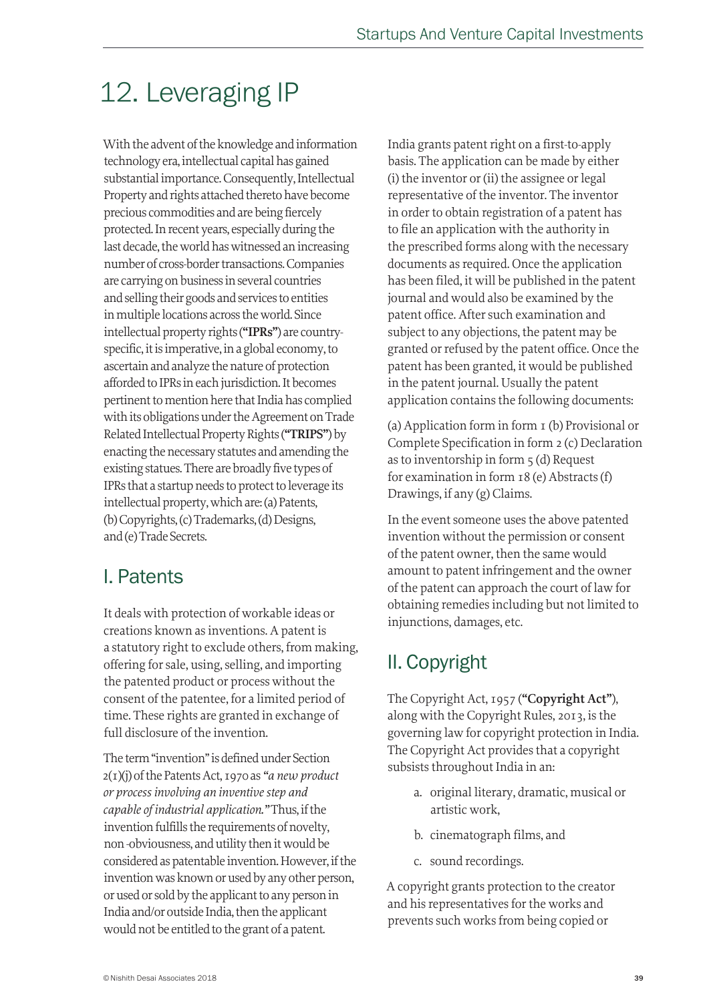## 12. Leveraging IP

With the advent of the knowledge and information technology era, intellectual capital has gained substantial importance. Consequently, Intellectual Property and rights attached thereto have become precious commodities and are being fiercely protected. In recent years, especially during the last decade, the world has witnessed an increasing number of cross-border transactions. Companies are carrying on business in several countries and selling their goods and services to entities in multiple locations across the world. Since intellectual property rights (**"IPRs"**) are countryspecific, it is imperative, in a global economy, to ascertain and analyze the nature of protection afforded to IPRs in each jurisdiction. It becomes pertinent to mention here that India has complied with its obligations under the Agreement on Trade Related Intellectual Property Rights (**"TRIPS"**) by enacting the necessary statutes and amending the existing statues. There are broadly five types of IPRs that a startup needs to protect to leverage its intellectual property, which are: (a) Patents, (b) Copyrights, (c) Trademarks, (d) Designs, and (e) Trade Secrets.

## I. Patents

It deals with protection of workable ideas or creations known as inventions. A patent is a statutory right to exclude others, from making, offering for sale, using, selling, and importing the patented product or process without the consent of the patentee, for a limited period of time. These rights are granted in exchange of full disclosure of the invention.

The term "invention" is defined under Section 2(1)(j) of the Patents Act, 1970 as *"a new product or process involving an inventive step and capable of industrial application."* Thus, if the invention fulfills the requirements of novelty, non -obviousness, and utility then it would be considered as patentable invention. However, if the invention was known or used by any other person, or used or sold by the applicant to any person in India and/or outside India, then the applicant would not be entitled to the grant of a patent.

India grants patent right on a first-to-apply basis. The application can be made by either (i) the inventor or (ii) the assignee or legal representative of the inventor. The inventor in order to obtain registration of a patent has to file an application with the authority in the prescribed forms along with the necessary documents as required. Once the application has been filed, it will be published in the patent journal and would also be examined by the patent office. After such examination and subject to any objections, the patent may be granted or refused by the patent office. Once the patent has been granted, it would be published in the patent journal. Usually the patent application contains the following documents:

(a) Application form in form 1 (b) Provisional or Complete Specification in form 2 (c) Declaration as to inventorship in form 5 (d) Request for examination in form 18 (e) Abstracts (f) Drawings, if any (g) Claims.

In the event someone uses the above patented invention without the permission or consent of the patent owner, then the same would amount to patent infringement and the owner of the patent can approach the court of law for obtaining remedies including but not limited to injunctions, damages, etc.

## II. Copyright

The Copyright Act, 1957 (**"Copyright Act"**), along with the Copyright Rules, 2013, is the governing law for copyright protection in India. The Copyright Act provides that a copyright subsists throughout India in an:

- a. original literary, dramatic, musical or artistic work,
- b. cinematograph films, and
- c. sound recordings.

A copyright grants protection to the creator and his representatives for the works and prevents such works from being copied or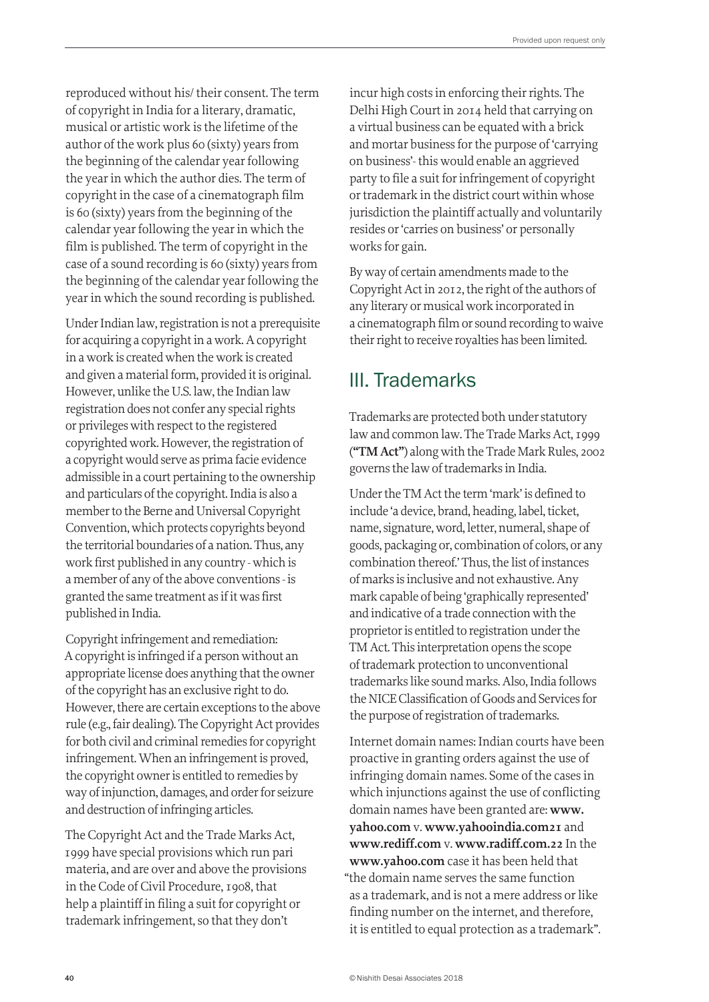reproduced without his/ their consent. The term of copyright in India for a literary, dramatic, musical or artistic work is the lifetime of the author of the work plus 60 (sixty) years from the beginning of the calendar year following the year in which the author dies. The term of copyright in the case of a cinematograph film is 60 (sixty) years from the beginning of the calendar year following the year in which the film is published. The term of copyright in the case of a sound recording is 60 (sixty) years from the beginning of the calendar year following the year in which the sound recording is published.

Under Indian law, registration is not a prerequisite for acquiring a copyright in a work. A copyright in a work is created when the work is created and given a material form, provided it is original. However, unlike the U.S. law, the Indian law registration does not confer any special rights or privileges with respect to the registered copyrighted work. However, the registration of a copyright would serve as prima facie evidence admissible in a court pertaining to the ownership and particulars of the copyright. India is also a member to the Berne and Universal Copyright Convention, which protects copyrights beyond the territorial boundaries of a nation. Thus, any work first published in any country - which is a member of any of the above conventions - is granted the same treatment as if it was first published in India.

Copyright infringement and remediation: A copyright is infringed if a person without an appropriate license does anything that the owner of the copyright has an exclusive right to do. However, there are certain exceptions to the above rule (e.g., fair dealing). The Copyright Act provides for both civil and criminal remedies for copyright infringement. When an infringement is proved, the copyright owner is entitled to remedies by way of injunction, damages, and order for seizure and destruction of infringing articles.

The Copyright Act and the Trade Marks Act, 1999 have special provisions which run pari materia, and are over and above the provisions in the Code of Civil Procedure, 1908, that help a plaintiff in filing a suit for copyright or trademark infringement, so that they don't

incur high costs in enforcing their rights. The Delhi High Court in 2014 held that carrying on a virtual business can be equated with a brick and mortar business for the purpose of 'carrying on business'- this would enable an aggrieved party to file a suit for infringement of copyright or trademark in the district court within whose jurisdiction the plaintiff actually and voluntarily resides or 'carries on business' or personally works for gain.

By way of certain amendments made to the Copyright Act in 2012, the right of the authors of any literary or musical work incorporated in a cinematograph film or sound recording to waive their right to receive royalties has been limited.

## III. Trademarks

Trademarks are protected both under statutory law and common law. The Trade Marks Act, 1999 (**"TM Act"**) along with the Trade Mark Rules, 2002 governs the law of trademarks in India.

Under the TM Act the term 'mark' is defined to include 'a device, brand, heading, label, ticket, name, signature, word, letter, numeral, shape of goods, packaging or, combination of colors, or any combination thereof.' Thus, the list of instances of marks is inclusive and not exhaustive. Any mark capable of being 'graphically represented' and indicative of a trade connection with the proprietor is entitled to registration under the TM Act. This interpretation opens the scope of trademark protection to unconventional trademarks like sound marks. Also, India follows the NICE Classification of Goods and Services for the purpose of registration of trademarks.

Internet domain names: Indian courts have been proactive in granting orders against the use of infringing domain names. Some of the cases in which injunctions against the use of conflicting domain names have been granted are: **www. yahoo.com** v. **www.yahooindia.com21** and **www.rediff.com** v. **www.radiff.com.22** In the **www.yahoo.com** case it has been held that "the domain name serves the same function as a trademark, and is not a mere address or like finding number on the internet, and therefore, it is entitled to equal protection as a trademark".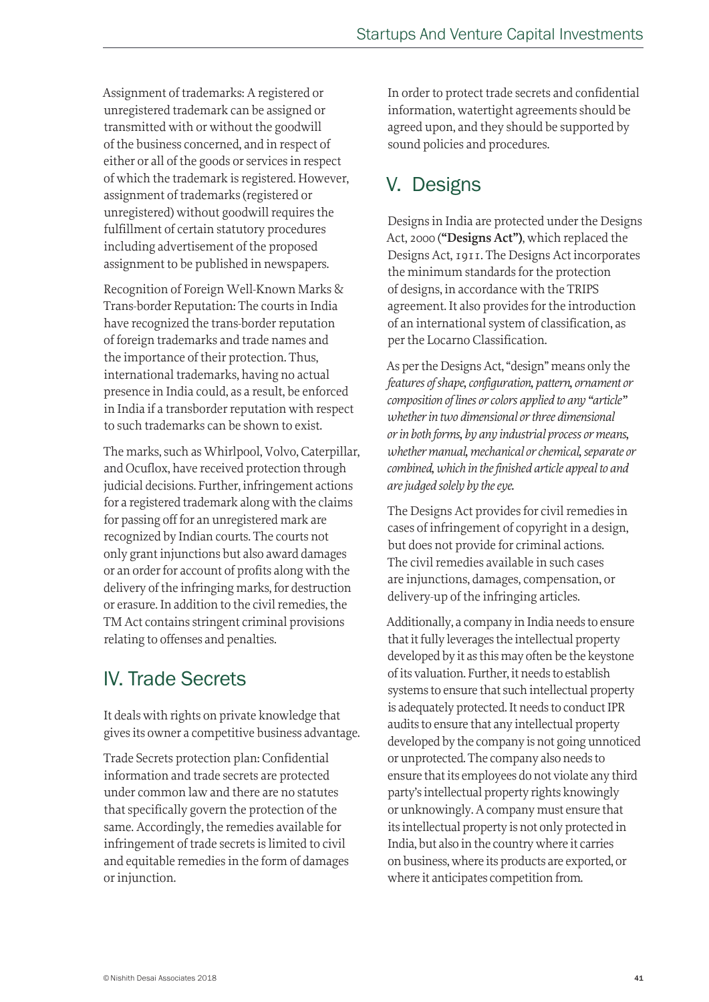Assignment of trademarks: A registered or unregistered trademark can be assigned or transmitted with or without the goodwill of the business concerned, and in respect of either or all of the goods or services in respect of which the trademark is registered. However, assignment of trademarks (registered or unregistered) without goodwill requires the fulfillment of certain statutory procedures including advertisement of the proposed assignment to be published in newspapers.

Recognition of Foreign Well-Known Marks & Trans-border Reputation: The courts in India have recognized the trans-border reputation of foreign trademarks and trade names and the importance of their protection. Thus, international trademarks, having no actual presence in India could, as a result, be enforced in India if a transborder reputation with respect to such trademarks can be shown to exist.

The marks, such as Whirlpool, Volvo, Caterpillar, and Ocuflox, have received protection through judicial decisions. Further, infringement actions for a registered trademark along with the claims for passing off for an unregistered mark are recognized by Indian courts. The courts not only grant injunctions but also award damages or an order for account of profits along with the delivery of the infringing marks, for destruction or erasure. In addition to the civil remedies, the TM Act contains stringent criminal provisions relating to offenses and penalties.

## IV. Trade Secrets

It deals with rights on private knowledge that gives its owner a competitive business advantage.

Trade Secrets protection plan: Confidential information and trade secrets are protected under common law and there are no statutes that specifically govern the protection of the same. Accordingly, the remedies available for infringement of trade secrets is limited to civil and equitable remedies in the form of damages or injunction.

In order to protect trade secrets and confidential information, watertight agreements should be agreed upon, and they should be supported by sound policies and procedures.

## V. Designs

Designs in India are protected under the Designs Act, 2000 (**"Designs Act")**, which replaced the Designs Act, 1911. The Designs Act incorporates the minimum standards for the protection of designs, in accordance with the TRIPS agreement. It also provides for the introduction of an international system of classification, as per the Locarno Classification.

As per the Designs Act, "design" means only the *features of shape, configuration, pattern, ornament or composition of lines or colors applied to any "article" whether in two dimensional or three dimensional or in both forms, by any industrial process or means, whether manual, mechanical or chemical, separate or combined, which in the finished article appeal to and are judged solely by the eye.*

The Designs Act provides for civil remedies in cases of infringement of copyright in a design, but does not provide for criminal actions. The civil remedies available in such cases are injunctions, damages, compensation, or delivery-up of the infringing articles.

Additionally, a company in India needs to ensure that it fully leverages the intellectual property developed by it as this may often be the keystone of its valuation. Further, it needs to establish systems to ensure that such intellectual property is adequately protected. It needs to conduct IPR audits to ensure that any intellectual property developed by the company is not going unnoticed or unprotected. The company also needs to ensure that its employees do not violate any third party's intellectual property rights knowingly or unknowingly. A company must ensure that its intellectual property is not only protected in India, but also in the country where it carries on business, where its products are exported, or where it anticipates competition from.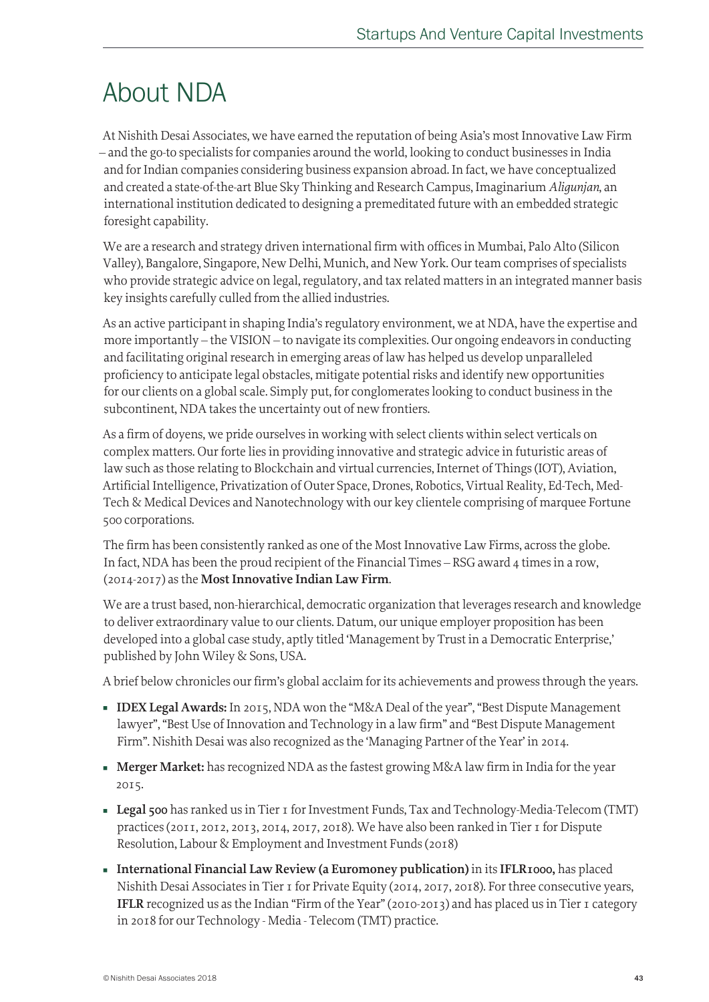## About NDA

At Nishith Desai Associates, we have earned the reputation of being Asia's most Innovative Law Firm – and the go-to specialists for companies around the world, looking to conduct businesses in India and for Indian companies considering business expansion abroad. In fact, we have conceptualized and created a state-of-the-art Blue Sky Thinking and Research Campus, Imaginarium *Aligunjan*, an international institution dedicated to designing a premeditated future with an embedded strategic foresight capability.

We are a research and strategy driven international firm with offices in Mumbai, Palo Alto (Silicon Valley), Bangalore, Singapore, New Delhi, Munich, and New York. Our team comprises of specialists who provide strategic advice on legal, regulatory, and tax related matters in an integrated manner basis key insights carefully culled from the allied industries.

As an active participant in shaping India's regulatory environment, we at NDA, have the expertise and more importantly – the VISION – to navigate its complexities. Our ongoing endeavors in conducting and facilitating original research in emerging areas of law has helped us develop unparalleled proficiency to anticipate legal obstacles, mitigate potential risks and identify new opportunities for our clients on a global scale. Simply put, for conglomerates looking to conduct business in the subcontinent, NDA takes the uncertainty out of new frontiers.

As a firm of doyens, we pride ourselves in working with select clients within select verticals on complex matters. Our forte lies in providing innovative and strategic advice in futuristic areas of law such as those relating to Blockchain and virtual currencies, Internet of Things (IOT), Aviation, Artificial Intelligence, Privatization of Outer Space, Drones, Robotics, Virtual Reality, Ed-Tech, Med-Tech & Medical Devices and Nanotechnology with our key clientele comprising of marquee Fortune 500 corporations.

The firm has been consistently ranked as one of the Most Innovative Law Firms, across the globe. In fact, NDA has been the proud recipient of the Financial Times – RSG award 4 times in a row, (2014-2017) as the **Most Innovative Indian Law Firm**.

We are a trust based, non-hierarchical, democratic organization that leverages research and knowledge to deliver extraordinary value to our clients. Datum, our unique employer proposition has been developed into a global case study, aptly titled 'Management by Trust in a Democratic Enterprise,' published by John Wiley & Sons, USA.

A brief below chronicles our firm's global acclaim for its achievements and prowess through the years.

- **IDEX Legal Awards:** In 2015, NDA won the "M&A Deal of the year", "Best Dispute Management lawyer", "Best Use of Innovation and Technology in a law firm" and "Best Dispute Management Firm". Nishith Desai was also recognized as the 'Managing Partner of the Year' in 2014.
- **Merger Market:** has recognized NDA as the fastest growing M&A law firm in India for the year 2015.
- **Legal 500** has ranked us in Tier 1 for Investment Funds, Tax and Technology-Media-Telecom (TMT) practices (2011, 2012, 2013, 2014, 2017, 2018). We have also been ranked in Tier 1 for Dispute Resolution, Labour & Employment and Investment Funds (2018)
- **International Financial Law Review (a Euromoney publication)** in its **IFLR1000,** has placed Nishith Desai Associates in Tier 1 for Private Equity (2014, 2017, 2018). For three consecutive years, **IFLR** recognized us as the Indian "Firm of the Year" (2010-2013) and has placed us in Tier 1 category in 2018 for our Technology - Media - Telecom (TMT) practice.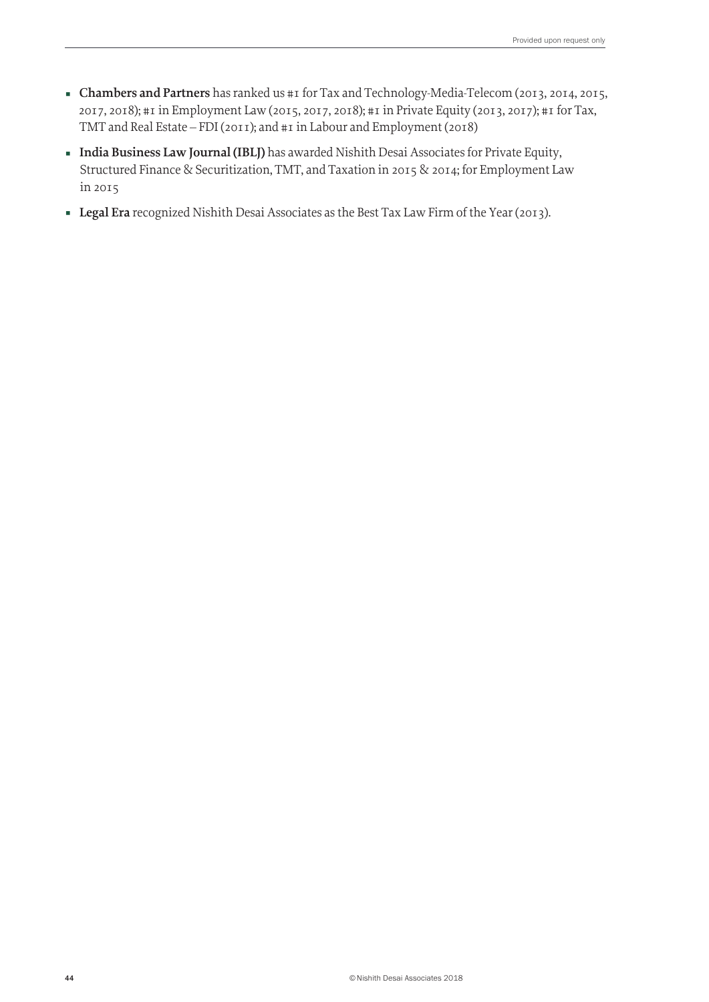- **Chambers and Partners** has ranked us #1 for Tax and Technology-Media-Telecom (2013, 2014, 2015, 2017, 2018); #1 in Employment Law (2015, 2017, 2018); #1 in Private Equity (2013, 2017); #1 for Tax, TMT and Real Estate – FDI (2011); and #1 in Labour and Employment (2018)
- **India Business Law Journal (IBLJ)** has awarded Nishith Desai Associates for Private Equity, Structured Finance & Securitization, TMT, and Taxation in 2015 & 2014; for Employment Law in 2015
- **Legal Era** recognized Nishith Desai Associates as the Best Tax Law Firm of the Year (2013).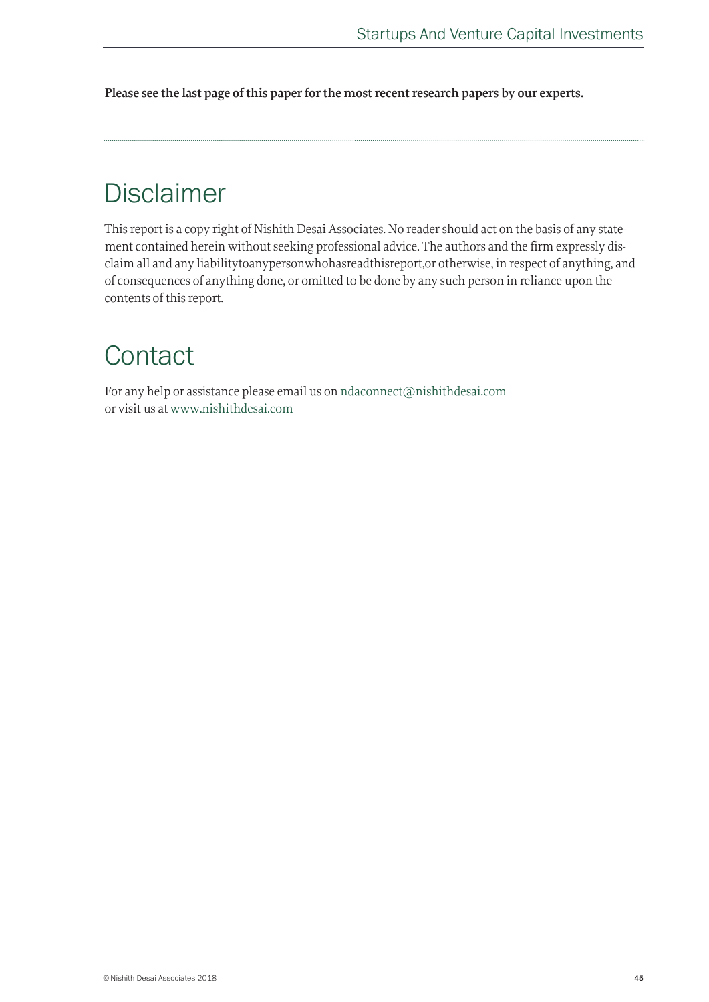**Please see the last page of this paper for the most recent research papers by our experts.**

## Disclaimer

This report is a copy right of Nishith Desai Associates. No reader should act on the basis of any statement contained herein without seeking professional advice. The authors and the firm expressly disclaim all and any liabilitytoanypersonwhohasreadthisreport,or otherwise, in respect of anything, and of consequences of anything done, or omitted to be done by any such person in reliance upon the contents of this report.

## **Contact**

For any help or assistance please email us on ndaconnect@nishithdesai.com or visit us at www.nishithdesai.com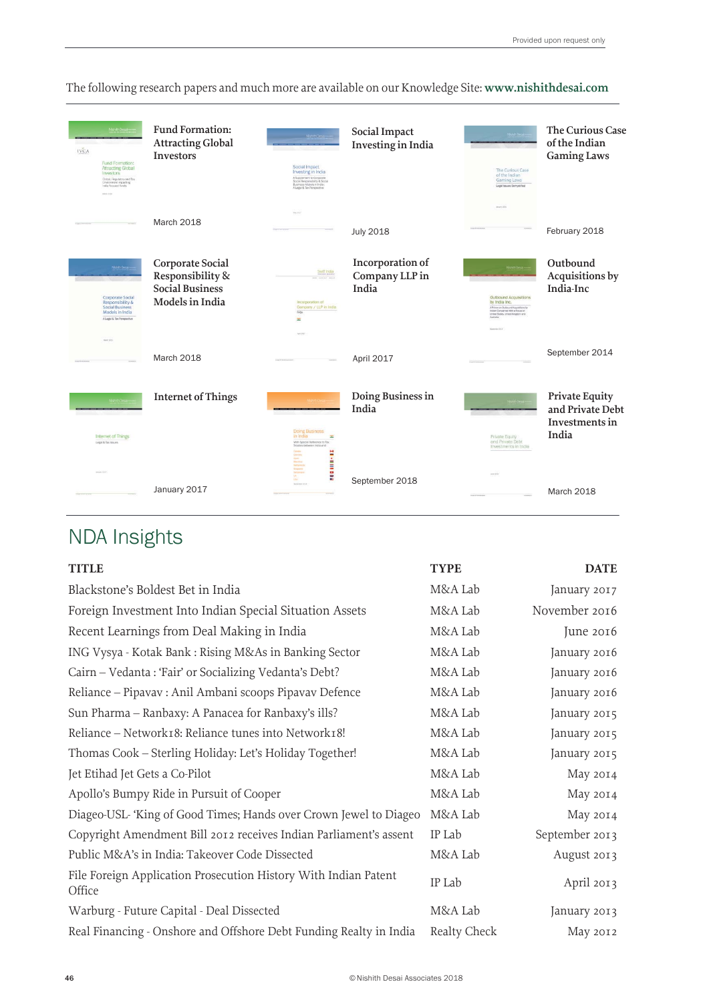| <b>NishtnDes</b><br><b>IVCA</b><br>Fund Formation:<br><b>Attracting Global</b><br>Investors<br>Global, Regulatory and Tax<br><b>Environment Impacting</b><br>india focused funds<br><b>Week State</b> | <b>Fund Formation:</b><br><b>Attracting Global</b><br><b>Investors</b>            | Nahm Desai<br>Social Impact<br>Investing in India<br>A Supplement to Corporate<br>Social Responsibility & Social<br>Business Models in India :<br>A Legal & Tax Perspective | Social Impact<br>Investing in India         | Nenth Design<br>The Curious Case<br>of the Indian<br>Gaming Laws<br>Legal lesure Demystried                                                                                       | <b>The Curious Case</b><br>of the Indian<br><b>Gaming Laws</b> |
|-------------------------------------------------------------------------------------------------------------------------------------------------------------------------------------------------------|-----------------------------------------------------------------------------------|-----------------------------------------------------------------------------------------------------------------------------------------------------------------------------|---------------------------------------------|-----------------------------------------------------------------------------------------------------------------------------------------------------------------------------------|----------------------------------------------------------------|
|                                                                                                                                                                                                       | March 2018                                                                        |                                                                                                                                                                             | <b>July 2018</b>                            | month of the                                                                                                                                                                      | February 2018                                                  |
| Mahith Desai<br><b>Corporate Social</b><br><b>Responsibility &amp;</b><br><b>Social Business</b><br>Models in India<br>A Legal & Tax Perspective                                                      | Corporate Social<br>Responsibility &<br><b>Social Business</b><br>Models in India | Swift india<br>Incorporation of<br>Company / LLP in India<br>FAQS<br>÷<br><b>Sel Will</b>                                                                                   | Incorporation of<br>Company LLP in<br>India | Outbound Acquisitions<br>by India Inc.<br>A Primer on Outbound Acquisitions by<br>Indian Companies With a Focus on<br>United States, United Kingdom and<br>Australia <sup>*</sup> | Outbound<br>Acquisitions by<br>India-Inc                       |
| Men 2021                                                                                                                                                                                              | March 2018                                                                        |                                                                                                                                                                             | April 2017                                  |                                                                                                                                                                                   | September 2014                                                 |
| NationDrive<br>Internet of Things<br>Legal & Tax Isoues                                                                                                                                               | <b>Internet of Things</b>                                                         | Nishitri Desia<br><b>Doing Business</b><br>in India<br>H<br>With Special Reference to Tax:                                                                                  | Doing Business in<br>India                  | Nation Design<br>Private Equity<br>and Private Debt                                                                                                                               | Private Equity<br>and Private Debt<br>Investments in<br>India  |
| insurance (et al.)                                                                                                                                                                                    | January 2017                                                                      | Treaties between India and<br>illi<br><b></b><br><b><i>Internal Street</i></b>                                                                                              | September 2018                              | Investments in India                                                                                                                                                              | March 2018                                                     |

The following research papers and much more are available on our Knowledge Site: **www.nishithdesai.com**

## NDA Insights

| <b>TITLE</b>                                                              | <b>TYPE</b>  | <b>DATE</b>    |
|---------------------------------------------------------------------------|--------------|----------------|
| Blackstone's Boldest Bet in India                                         | M&A Lab      | January 2017   |
| Foreign Investment Into Indian Special Situation Assets                   | M&A Lab      | November 2016  |
| Recent Learnings from Deal Making in India                                | M&A Lab      | June 2016      |
| ING Vysya - Kotak Bank : Rising M&As in Banking Sector                    | M&A Lab      | January 2016   |
| Cairn - Vedanta : 'Fair' or Socializing Vedanta's Debt?                   | M&A Lab      | January 2016   |
| Reliance – Pipavav : Anil Ambani scoops Pipavav Defence                   | M&A Lab      | January 2016   |
| Sun Pharma – Ranbaxy: A Panacea for Ranbaxy's ills?                       | M&A Lab      | January 2015   |
| Reliance - Network18: Reliance tunes into Network18!                      | M&A Lab      | January 2015   |
| Thomas Cook - Sterling Holiday: Let's Holiday Together!                   | M&A Lab      | January 2015   |
| Jet Etihad Jet Gets a Co-Pilot                                            | M&A Lab      | May 2014       |
| Apollo's Bumpy Ride in Pursuit of Cooper                                  | M&A Lab      | May 2014       |
| Diageo-USL 'King of Good Times; Hands over Crown Jewel to Diageo          | M&A Lab      | May 2014       |
| Copyright Amendment Bill 2012 receives Indian Parliament's assent         | IP Lab       | September 2013 |
| Public M&A's in India: Takeover Code Dissected                            | M&A Lab      | August 2013    |
| File Foreign Application Prosecution History With Indian Patent<br>Office | IP Lab       | April 2013     |
| Warburg - Future Capital - Deal Dissected                                 | M&A Lab      | January 2013   |
| Real Financing - Onshore and Offshore Debt Funding Realty in India        | Realty Check | May 2012       |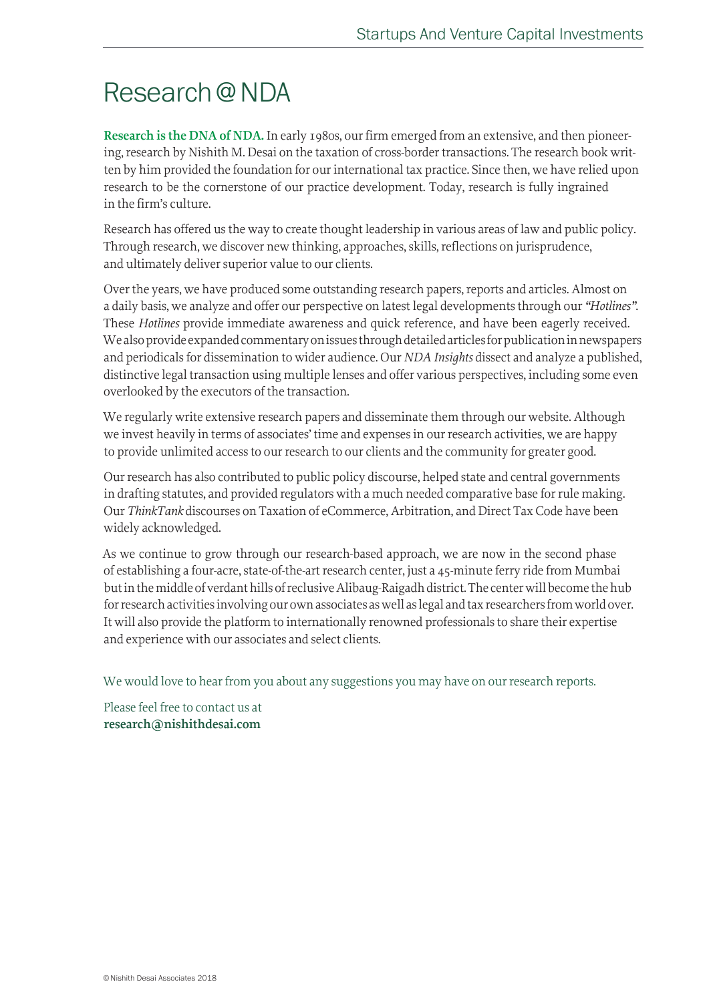## Research @ NDA

**Research is the DNA of NDA.** In early 1980s, our firm emerged from an extensive, and then pioneering, research by Nishith M. Desai on the taxation of cross-border transactions. The research book written by him provided the foundation for our international tax practice. Since then, we have relied upon research to be the cornerstone of our practice development. Today, research is fully ingrained in the firm's culture.

Research has offered us the way to create thought leadership in various areas of law and public policy. Through research, we discover new thinking, approaches, skills, reflections on jurisprudence, and ultimately deliver superior value to our clients.

Over the years, we have produced some outstanding research papers, reports and articles. Almost on a daily basis, we analyze and offer our perspective on latest legal developments through our *"Hotlines"*. These *Hotlines* provide immediate awareness and quick reference, and have been eagerly received. We also provide expanded commentary on issues through detailed articles for publication in newspapers and periodicals for dissemination to wider audience. Our *NDA Insights* dissect and analyze a published, distinctive legal transaction using multiple lenses and offer various perspectives, including some even overlooked by the executors of the transaction.

We regularly write extensive research papers and disseminate them through our website. Although we invest heavily in terms of associates' time and expenses in our research activities, we are happy to provide unlimited access to our research to our clients and the community for greater good.

Our research has also contributed to public policy discourse, helped state and central governments in drafting statutes, and provided regulators with a much needed comparative base for rule making. Our *ThinkTank* discourses on Taxation of eCommerce, Arbitration, and Direct Tax Code have been widely acknowledged.

As we continue to grow through our research-based approach, we are now in the second phase of establishing a four-acre, state-of-the-art research center, just a 45-minute ferry ride from Mumbai but in the middle of verdant hills of reclusive Alibaug-Raigadh district. The center will become the hub for research activities involving our own associates as well as legal and tax researchers from world over. It will also provide the platform to internationally renowned professionals to share their expertise and experience with our associates and select clients.

We would love to hear from you about any suggestions you may have on our research reports.

Please feel free to contact us at **research@nishithdesai.com**